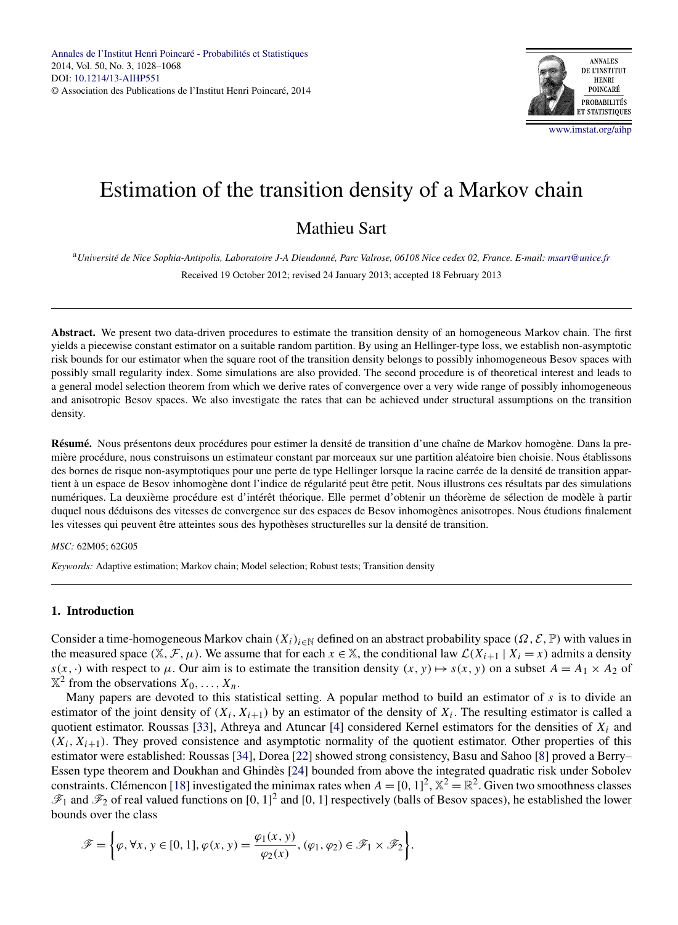

# Estimation of the transition density of a Markov chain

# Mathieu Sart

<sup>a</sup>*Université de Nice Sophia-Antipolis, Laboratoire J-A Dieudonné, Parc Valrose, 06108 Nice cedex 02, France. E-mail: [msart@unice.fr](mailto:msart@unice.fr)* Received 19 October 2012; revised 24 January 2013; accepted 18 February 2013

**Abstract.** We present two data-driven procedures to estimate the transition density of an homogeneous Markov chain. The first yields a piecewise constant estimator on a suitable random partition. By using an Hellinger-type loss, we establish non-asymptotic risk bounds for our estimator when the square root of the transition density belongs to possibly inhomogeneous Besov spaces with possibly small regularity index. Some simulations are also provided. The second procedure is of theoretical interest and leads to a general model selection theorem from which we derive rates of convergence over a very wide range of possibly inhomogeneous and anisotropic Besov spaces. We also investigate the rates that can be achieved under structural assumptions on the transition density.

**Résumé.** Nous présentons deux procédures pour estimer la densité de transition d'une chaîne de Markov homogène. Dans la première procédure, nous construisons un estimateur constant par morceaux sur une partition aléatoire bien choisie. Nous établissons des bornes de risque non-asymptotiques pour une perte de type Hellinger lorsque la racine carrée de la densité de transition appartient à un espace de Besov inhomogène dont l'indice de régularité peut être petit. Nous illustrons ces résultats par des simulations numériques. La deuxième procédure est d'intérêt théorique. Elle permet d'obtenir un théorème de sélection de modèle à partir duquel nous déduisons des vitesses de convergence sur des espaces de Besov inhomogènes anisotropes. Nous étudions finalement les vitesses qui peuvent être atteintes sous des hypothèses structurelles sur la densité de transition.

#### *MSC:* 62M05; 62G05

*Keywords:* Adaptive estimation; Markov chain; Model selection; Robust tests; Transition density

# **1. Introduction**

Consider a time-homogeneous Markov chain  $(X_i)_{i\in\mathbb{N}}$  defined on an abstract probability space  $(\Omega, \mathcal{E}, \mathbb{P})$  with values in the measured space  $(\mathbb{X}, \mathcal{F}, \mu)$ . We assume that for each  $x \in \mathbb{X}$ , the conditional law  $\mathcal{L}(X_{i+1} | X_i = x)$  admits a density  $s(x, \cdot)$  with respect to  $\mu$ . Our aim is to estimate the transition density  $(x, y) \mapsto s(x, y)$  on a subset  $A = A_1 \times A_2$  of  $X^2$  from the observations  $X_0, \ldots, X_n$ .

Many papers are devoted to this statistical setting. A popular method to build an estimator of *s* is to divide an estimator of the joint density of  $(X_i, X_{i+1})$  by an estimator of the density of  $X_i$ . The resulting estimator is called a quotient estimator. Roussas [\[33\]](#page-40-0), Athreya and Atuncar [\[4\]](#page-39-0) considered Kernel estimators for the densities of *Xi* and  $(X_i, X_{i+1})$ . They proved consistence and asymptotic normality of the quotient estimator. Other properties of this estimator were established: Roussas [\[34\]](#page-40-0), Dorea [\[22\]](#page-39-0) showed strong consistency, Basu and Sahoo [\[8\]](#page-39-0) proved a Berry– Essen type theorem and Doukhan and Ghindès [\[24\]](#page-39-0) bounded from above the integrated quadratic risk under Sobolev constraints. Clémencon [\[18\]](#page-39-0) investigated the minimax rates when  $A = [0, 1]^2$ ,  $\mathbb{X}^2 = \mathbb{R}^2$ . Given two smoothness classes  $\mathscr{F}_1$  and  $\mathscr{F}_2$  of real valued functions on [0, 1]<sup>2</sup> and [0, 1] respectively (balls of Besov spaces), he established the lower bounds over the class

$$
\mathscr{F} = \left\{ \varphi, \forall x, y \in [0, 1], \varphi(x, y) = \frac{\varphi_1(x, y)}{\varphi_2(x)}, (\varphi_1, \varphi_2) \in \mathscr{F}_1 \times \mathscr{F}_2 \right\}.
$$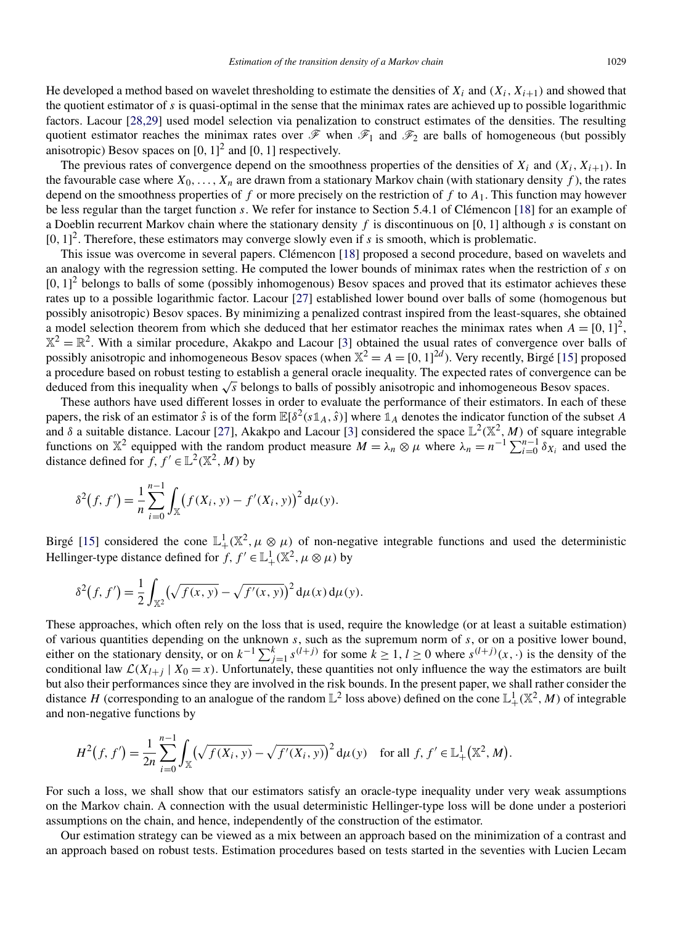He developed a method based on wavelet thresholding to estimate the densities of  $X_i$  and  $(X_i, X_{i+1})$  and showed that the quotient estimator of *s* is quasi-optimal in the sense that the minimax rates are achieved up to possible logarithmic factors. Lacour [\[28,29\]](#page-39-0) used model selection via penalization to construct estimates of the densities. The resulting quotient estimator reaches the minimax rates over  $\mathscr F$  when  $\mathscr F_1$  and  $\mathscr F_2$  are balls of homogeneous (but possibly anisotropic) Besov spaces on [0*,* 1] <sup>2</sup> and [0*,* 1] respectively.

The previous rates of convergence depend on the smoothness properties of the densities of  $X_i$  and  $(X_i, X_{i+1})$ . In the favourable case where  $X_0, \ldots, X_n$  are drawn from a stationary Markov chain (with stationary density f), the rates depend on the smoothness properties of *f* or more precisely on the restriction of *f* to *A*1. This function may however be less regular than the target function *s*. We refer for instance to Section 5.4.1 of Clémencon [\[18\]](#page-39-0) for an example of a Doeblin recurrent Markov chain where the stationary density *f* is discontinuous on [0*,* 1] although *s* is constant on  $[0, 1]^2$ . Therefore, these estimators may converge slowly even if *s* is smooth, which is problematic.

This issue was overcome in several papers. Clémencon [\[18\]](#page-39-0) proposed a second procedure, based on wavelets and an analogy with the regression setting. He computed the lower bounds of minimax rates when the restriction of *s* on  $[0, 1]^2$  belongs to balls of some (possibly inhomogenous) Besov spaces and proved that its estimator achieves these rates up to a possible logarithmic factor. Lacour [\[27\]](#page-39-0) established lower bound over balls of some (homogenous but possibly anisotropic) Besov spaces. By minimizing a penalized contrast inspired from the least-squares, she obtained a model selection theorem from which she deduced that her estimator reaches the minimax rates when  $A = [0, 1]^2$ ,  $X^2 = \mathbb{R}^2$ . With a similar procedure, Akakpo and Lacour [\[3\]](#page-39-0) obtained the usual rates of convergence over balls of possibly anisotropic and inhomogeneous Besov spaces (when  $\mathbb{X}^2 = A = [0, 1]^{2d}$ ). Very recently, Birgé [\[15\]](#page-39-0) proposed a procedure based on robust testing to establish a general oracle inequality. The expected rates of convergence can be deduced from this inequality when <sup>√</sup>*<sup>s</sup>* belongs to balls of possibly anisotropic and inhomogeneous Besov spaces.

These authors have used different losses in order to evaluate the performance of their estimators. In each of these papers, the risk of an estimator  $\hat{s}$  is of the form  $\mathbb{E}[\delta^2(s\mathbb{1}_A,\hat{s})]$  where  $\mathbb{1}_A$  denotes the indicator function of the subset *A* and  $\delta$  a suitable distance. Lacour [\[27\]](#page-39-0), Akakpo and Lacour [\[3\]](#page-39-0) considered the space  $\mathbb{L}^2(\mathbb{X}^2, M)$  of square integrable functions on  $\mathbb{X}^2$  equipped with the random product measure  $M = \lambda_n \otimes \mu$  where  $\lambda_n = n^{-1} \sum_{i=0}^{n-1} \delta_{X_i}$  and used the distance defined for *f, f'*  $\in L^2(\mathbb{X}^2, M)$  by

$$
\delta^{2}(f, f') = \frac{1}{n} \sum_{i=0}^{n-1} \int_{\mathbb{X}} (f(X_{i}, y) - f'(X_{i}, y))^{2} d\mu(y).
$$

Birgé [\[15\]](#page-39-0) considered the cone  $\mathbb{L}^1_+(\mathbb{X}^2, \mu \otimes \mu)$  of non-negative integrable functions and used the deterministic Hellinger-type distance defined for  $f, f' \in \mathbb{L}^1_+(\mathbb{X}^2, \mu \otimes \mu)$  by

$$
\delta^{2}(f, f') = \frac{1}{2} \int_{\mathbb{X}^{2}} (\sqrt{f(x, y)} - \sqrt{f'(x, y)})^{2} d\mu(x) d\mu(y).
$$

These approaches, which often rely on the loss that is used, require the knowledge (or at least a suitable estimation) of various quantities depending on the unknown *s*, such as the supremum norm of *s*, or on a positive lower bound, either on the stationary density, or on  $k^{-1} \sum_{j=1}^{k} s^{(l+j)}$  for some  $k \ge 1$ ,  $l \ge 0$  where  $s^{(l+j)}(x, \cdot)$  is the density of the conditional law  $\mathcal{L}(X_{l+j} | X_0 = x)$ . Unfortunately, these quantities not only influence the way the estimators are built but also their performances since they are involved in the risk bounds. In the present paper, we shall rather consider the distance  $H$  (corresponding to an analogue of the random  $\mathbb{L}^2$  loss above) defined on the cone  $\mathbb{L}^1_+(\mathbb{X}^2,M)$  of integrable and non-negative functions by

$$
H^{2}(f, f') = \frac{1}{2n} \sum_{i=0}^{n-1} \int_{\mathbb{X}} (\sqrt{f(X_{i}, y)} - \sqrt{f'(X_{i}, y)})^{2} d\mu(y) \text{ for all } f, f' \in \mathbb{L}^{1}_{+}(\mathbb{X}^{2}, M).
$$

For such a loss, we shall show that our estimators satisfy an oracle-type inequality under very weak assumptions on the Markov chain. A connection with the usual deterministic Hellinger-type loss will be done under a posteriori assumptions on the chain, and hence, independently of the construction of the estimator.

Our estimation strategy can be viewed as a mix between an approach based on the minimization of a contrast and an approach based on robust tests. Estimation procedures based on tests started in the seventies with Lucien Lecam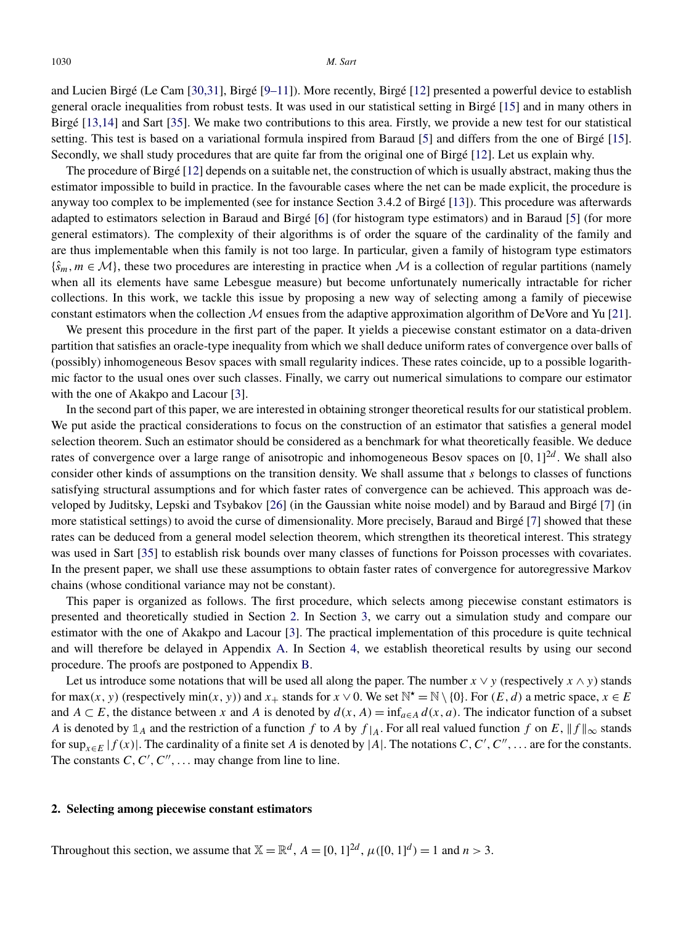<span id="page-2-0"></span>and Lucien Birgé (Le Cam [\[30,31\]](#page-39-0), Birgé [\[9–11\]](#page-39-0)). More recently, Birgé [\[12\]](#page-39-0) presented a powerful device to establish general oracle inequalities from robust tests. It was used in our statistical setting in Birgé [\[15\]](#page-39-0) and in many others in Birgé [\[13,14\]](#page-39-0) and Sart [\[35\]](#page-40-0). We make two contributions to this area. Firstly, we provide a new test for our statistical setting. This test is based on a variational formula inspired from Baraud [\[5\]](#page-39-0) and differs from the one of Birgé [\[15\]](#page-39-0). Secondly, we shall study procedures that are quite far from the original one of Birgé [\[12\]](#page-39-0). Let us explain why.

The procedure of Birgé [\[12\]](#page-39-0) depends on a suitable net, the construction of which is usually abstract, making thus the estimator impossible to build in practice. In the favourable cases where the net can be made explicit, the procedure is anyway too complex to be implemented (see for instance Section 3.4.2 of Birgé [\[13\]](#page-39-0)). This procedure was afterwards adapted to estimators selection in Baraud and Birgé [\[6\]](#page-39-0) (for histogram type estimators) and in Baraud [\[5\]](#page-39-0) (for more general estimators). The complexity of their algorithms is of order the square of the cardinality of the family and are thus implementable when this family is not too large. In particular, given a family of histogram type estimators  ${\{\hat s_m, m \in \mathcal{M}\}}$ , these two procedures are interesting in practice when M is a collection of regular partitions (namely when all its elements have same Lebesgue measure) but become unfortunately numerically intractable for richer collections. In this work, we tackle this issue by proposing a new way of selecting among a family of piecewise constant estimators when the collection  $M$  ensues from the adaptive approximation algorithm of DeVore and Yu [\[21\]](#page-39-0).

We present this procedure in the first part of the paper. It yields a piecewise constant estimator on a data-driven partition that satisfies an oracle-type inequality from which we shall deduce uniform rates of convergence over balls of (possibly) inhomogeneous Besov spaces with small regularity indices. These rates coincide, up to a possible logarithmic factor to the usual ones over such classes. Finally, we carry out numerical simulations to compare our estimator with the one of Akakpo and Lacour [\[3\]](#page-39-0).

In the second part of this paper, we are interested in obtaining stronger theoretical results for our statistical problem. We put aside the practical considerations to focus on the construction of an estimator that satisfies a general model selection theorem. Such an estimator should be considered as a benchmark for what theoretically feasible. We deduce rates of convergence over a large range of anisotropic and inhomogeneous Besov spaces on  $[0, 1]^{2d}$ . We shall also consider other kinds of assumptions on the transition density. We shall assume that *s* belongs to classes of functions satisfying structural assumptions and for which faster rates of convergence can be achieved. This approach was developed by Juditsky, Lepski and Tsybakov [\[26\]](#page-39-0) (in the Gaussian white noise model) and by Baraud and Birgé [\[7\]](#page-39-0) (in more statistical settings) to avoid the curse of dimensionality. More precisely, Baraud and Birgé [\[7\]](#page-39-0) showed that these rates can be deduced from a general model selection theorem, which strengthen its theoretical interest. This strategy was used in Sart [\[35\]](#page-40-0) to establish risk bounds over many classes of functions for Poisson processes with covariates. In the present paper, we shall use these assumptions to obtain faster rates of convergence for autoregressive Markov chains (whose conditional variance may not be constant).

This paper is organized as follows. The first procedure, which selects among piecewise constant estimators is presented and theoretically studied in Section 2. In Section [3,](#page-8-0) we carry out a simulation study and compare our estimator with the one of Akakpo and Lacour [\[3\]](#page-39-0). The practical implementation of this procedure is quite technical and will therefore be delayed in Appendix [A.](#page-16-0) In Section [4,](#page-10-0) we establish theoretical results by using our second procedure. The proofs are postponed to Appendix [B.](#page-18-0)

Let us introduce some notations that will be used all along the paper. The number  $x \vee y$  (respectively  $x \wedge y$ ) stands for  $max(x, y)$  (respectively  $min(x, y)$ ) and  $x_+$  stands for  $x \vee 0$ . We set  $\mathbb{N}^* = \mathbb{N} \setminus \{0\}$ . For  $(E, d)$  a metric space,  $x \in E$ and *A* ⊂ *E*, the distance between *x* and *A* is denoted by  $d(x, A) = \inf_{a \in A} d(x, a)$ . The indicator function of a subset *A* is denoted by  $\mathbb{1}_A$  and the restriction of a function *f* to *A* by  $f|_A$ . For all real valued function *f* on *E*,  $||f||_{\infty}$  stands for sup<sub> $x \in E$ </sub>  $|f(x)|$ . The cardinality of a finite set *A* is denoted by  $|A|$ . The notations *C*, *C'*, *C''*, ... are for the constants. The constants  $C, C', C'', \ldots$  may change from line to line.

# **2. Selecting among piecewise constant estimators**

Throughout this section, we assume that  $\mathbb{X} = \mathbb{R}^d$ ,  $A = [0, 1]^{2d}$ ,  $\mu([0, 1]^d) = 1$  and  $n > 3$ .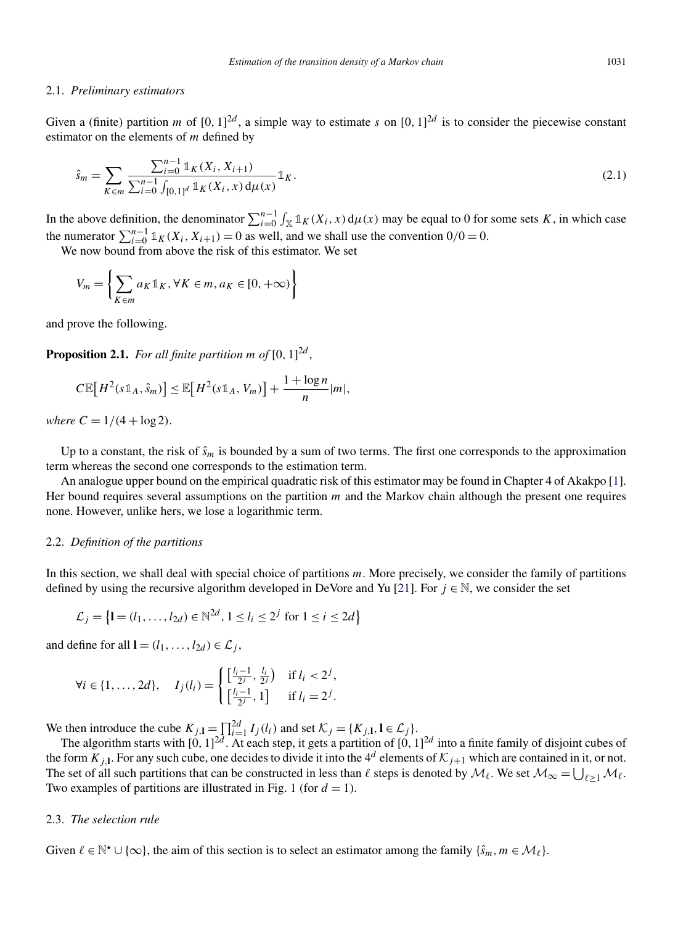#### *Estimation of the transition density of a Markov chain* 1031

#### <span id="page-3-0"></span>2.1. *Preliminary estimators*

Given a (finite) partition *m* of  $[0, 1]^{2d}$ , a simple way to estimate *s* on  $[0, 1]^{2d}$  is to consider the piecewise constant estimator on the elements of *m* defined by

$$
\hat{s}_m = \sum_{K \in m} \frac{\sum_{i=0}^{n-1} \mathbb{1}_K(X_i, X_{i+1})}{\sum_{i=0}^{n-1} \int_{[0,1]^d} \mathbb{1}_K(X_i, x) d\mu(x)} \mathbb{1}_K. \tag{2.1}
$$

In the above definition, the denominator  $\sum_{i=0}^{n-1} \int_{\mathbb{X}} \mathbb{1}_K(X_i, x) d\mu(x)$  may be equal to 0 for some sets *K*, in which case the numerator  $\sum_{i=0}^{n-1} \mathbb{1}_K(X_i, X_{i+1}) = 0$  as well, and we shall use the convention  $0/0 = 0$ .

We now bound from above the risk of this estimator. We set

$$
V_m = \left\{ \sum_{K \in m} a_K \mathbb{1}_K, \forall K \in m, a_K \in [0, +\infty) \right\}
$$

and prove the following.

**Proposition 2.1.** *For all finite partition m of* [0*,* 1] 2*d* ,

$$
C\mathbb{E}[H^2(s\mathbb{1}_A,\hat{s}_m)] \leq \mathbb{E}[H^2(s\mathbb{1}_A,V_m)] + \frac{1+\log n}{n}|m|,
$$

*where*  $C = 1/(4 + \log 2)$ .

Up to a constant, the risk of  $\hat{s}_m$  is bounded by a sum of two terms. The first one corresponds to the approximation term whereas the second one corresponds to the estimation term.

An analogue upper bound on the empirical quadratic risk of this estimator may be found in Chapter 4 of Akakpo [\[1\]](#page-39-0). Her bound requires several assumptions on the partition *m* and the Markov chain although the present one requires none. However, unlike hers, we lose a logarithmic term.

#### 2.2. *Definition of the partitions*

In this section, we shall deal with special choice of partitions *m*. More precisely, we consider the family of partitions defined by using the recursive algorithm developed in DeVore and Yu [\[21\]](#page-39-0). For  $j \in \mathbb{N}$ , we consider the set

$$
\mathcal{L}_j = \left\{ \mathbf{I} = (l_1, \dots, l_{2d}) \in \mathbb{N}^{2d}, 1 \le l_i \le 2^j \text{ for } 1 \le i \le 2d \right\}
$$

and define for all **l** =  $(l_1, \ldots, l_{2d}) \in \mathcal{L}_i$ ,

$$
\forall i \in \{1, ..., 2d\}, \quad I_j(l_i) = \begin{cases} \left[\frac{l_i - 1}{2^j}, \frac{l_i}{2^j}\right) & \text{if } l_i < 2^j, \\ \left[\frac{l_i - 1}{2^j}, 1\right] & \text{if } l_i = 2^j. \end{cases}
$$

We then introduce the cube  $K_{j,1} = \prod_{i=1}^{2d} I_i(l_i)$  and set  $K_j = \{K_{j,1}, 1 \in \mathcal{L}_j\}.$ 

The algorithm starts with  $[0, 1]^{2d}$ . At each step, it gets a partition of  $[0, 1]^{2d}$  into a finite family of disjoint cubes of the form  $K_{j,1}$ . For any such cube, one decides to divide it into the 4<sup>d</sup> elements of  $K_{j+1}$  which are contained in it, or not. The set of all such partitions that can be constructed in less than  $\ell$  steps is denoted by  $\mathcal{M}_{\ell}$ . We set  $\mathcal{M}_{\infty} = \bigcup_{\ell \geq 1} \mathcal{M}_{\ell}$ . Two examples of partitions are illustrated in Fig. [1](#page-4-0) (for  $d = 1$ ).

#### 2.3. *The selection rule*

Given  $\ell \in \mathbb{N}^{\star} \cup \{\infty\}$ , the aim of this section is to select an estimator among the family  $\{\hat{s}_m, m \in \mathcal{M}_{\ell}\}\$ .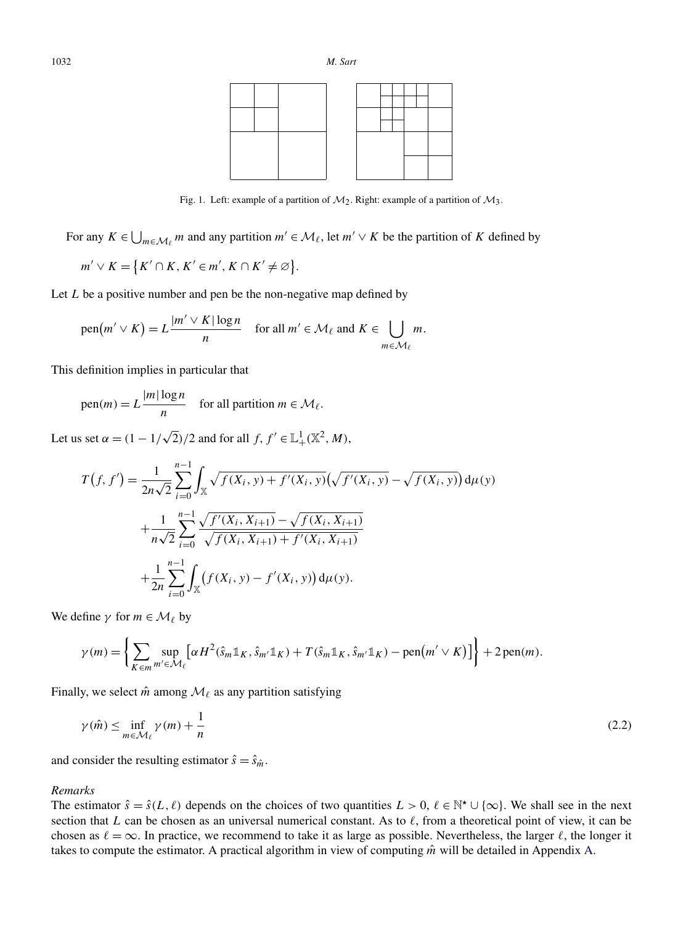<span id="page-4-0"></span>

Fig. 1. Left: example of a partition of  $M_2$ . Right: example of a partition of  $M_3$ .

For any  $K \in \bigcup_{m \in \mathcal{M}_\ell} m$  and any partition  $m' \in \mathcal{M}_\ell$ , let  $m' \vee K$  be the partition of *K* defined by

$$
m' \vee K = \{K' \cap K, K' \in m', K \cap K' \neq \varnothing\}.
$$

Let *L* be a positive number and pen be the non-negative map defined by

pen
$$
(m' \vee K) = L \frac{|m' \vee K| \log n}{n}
$$
 for all  $m' \in \mathcal{M}_\ell$  and  $K \in \bigcup_{m \in \mathcal{M}_\ell} m$ .

This definition implies in particular that

 $p_{\text{en}}(m) = L \frac{|m| \log n}{n}$  for all partition  $m \in \mathcal{M}_{\ell}$ .

Let us set  $\alpha = (1 - 1/\sqrt{2})/2$  and for all  $f, f' \in \mathbb{L}^1_+(\mathbb{X}^2, M)$ ,

$$
T(f, f') = \frac{1}{2n\sqrt{2}} \sum_{i=0}^{n-1} \int_{\mathbb{X}} \sqrt{f(X_i, y) + f'(X_i, y)} \left(\sqrt{f'(X_i, y)} - \sqrt{f(X_i, y)}\right) d\mu(y)
$$
  
+ 
$$
\frac{1}{n\sqrt{2}} \sum_{i=0}^{n-1} \frac{\sqrt{f'(X_i, X_{i+1})} - \sqrt{f(X_i, X_{i+1})}}{\sqrt{f(X_i, X_{i+1})} + f'(X_i, X_{i+1})}
$$
  
+ 
$$
\frac{1}{2n} \sum_{i=0}^{n-1} \int_{\mathbb{X}} \left(f(X_i, y) - f'(X_i, y)\right) d\mu(y).
$$

We define  $\gamma$  for  $m \in \mathcal{M}_\ell$  by

$$
\gamma(m) = \left\{ \sum_{K \in m} \sup_{m' \in \mathcal{M}_{\ell}} \left[ \alpha H^2(\hat{s}_m \mathbb{1}_K, \hat{s}_{m'} \mathbb{1}_K) + T(\hat{s}_m \mathbb{1}_K, \hat{s}_{m'} \mathbb{1}_K) - \text{pen}(m' \vee K) \right] \right\} + 2 \text{ pen}(m).
$$

Finally, we select  $\hat{m}$  among  $\mathcal{M}_{\ell}$  as any partition satisfying

$$
\gamma(\hat{m}) \le \inf_{m \in \mathcal{M}_{\ell}} \gamma(m) + \frac{1}{n} \tag{2.2}
$$

and consider the resulting estimator  $\hat{s} = \hat{s}_{\hat{m}}$ .

# *Remarks*

The estimator  $\hat{s} = \hat{s}(L,\ell)$  depends on the choices of two quantities  $L > 0$ ,  $\ell \in \mathbb{N}^{\star} \cup \{\infty\}$ . We shall see in the next section that *L* can be chosen as an universal numerical constant. As to  $\ell$ , from a theoretical point of view, it can be chosen as  $\ell = \infty$ . In practice, we recommend to take it as large as possible. Nevertheless, the larger  $\ell$ , the longer it takes to compute the estimator. A practical algorithm in view of computing  $\hat{m}$  will be detailed in Appendix [A.](#page-16-0)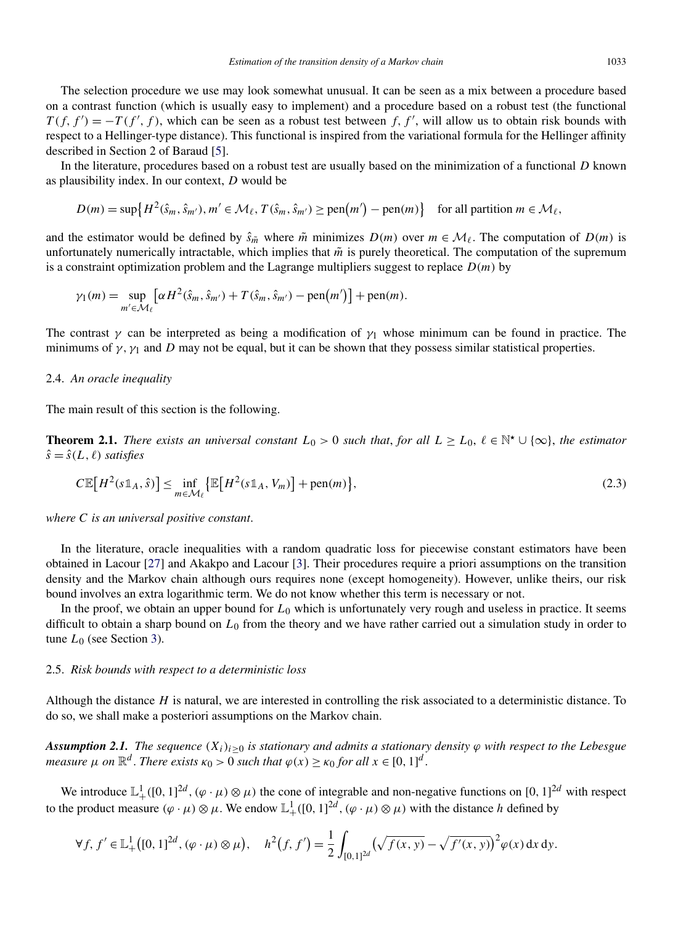<span id="page-5-0"></span>The selection procedure we use may look somewhat unusual. It can be seen as a mix between a procedure based on a contrast function (which is usually easy to implement) and a procedure based on a robust test (the functional  $T(f, f') = -T(f', f)$ , which can be seen as a robust test between *f, f'*, will allow us to obtain risk bounds with respect to a Hellinger-type distance). This functional is inspired from the variational formula for the Hellinger affinity described in Section 2 of Baraud [\[5\]](#page-39-0).

In the literature, procedures based on a robust test are usually based on the minimization of a functional *D* known as plausibility index. In our context, *D* would be

$$
D(m) = \sup \{ H^2(\hat{s}_m, \hat{s}_{m'}), m' \in \mathcal{M}_\ell, T(\hat{s}_m, \hat{s}_{m'}) \ge \text{pen}(m') - \text{pen}(m) \} \quad \text{for all partition } m \in \mathcal{M}_\ell,
$$

and the estimator would be defined by  $\hat{s}_{\tilde{m}}$  where  $\tilde{m}$  minimizes  $D(m)$  over  $m \in \mathcal{M}_{\ell}$ . The computation of  $D(m)$  is unfortunately numerically intractable, which implies that  $\tilde{m}$  is purely theoretical. The computation of the supremum is a constraint optimization problem and the Lagrange multipliers suggest to replace  $D(m)$  by

$$
\gamma_1(m) = \sup_{m' \in \mathcal{M}_\ell} \left[ \alpha H^2(\hat{s}_m, \hat{s}_{m'}) + T(\hat{s}_m, \hat{s}_{m'}) - \text{pen}(m') \right] + \text{pen}(m).
$$

The contrast  $\gamma$  can be interpreted as being a modification of  $\gamma_1$  whose minimum can be found in practice. The minimums of  $\gamma$ ,  $\gamma_1$  and *D* may not be equal, but it can be shown that they possess similar statistical properties.

#### 2.4. *An oracle inequality*

The main result of this section is the following.

**Theorem 2.1.** *There exists an universal constant*  $L_0 > 0$  *such that, for all*  $L \geq L_0, \ell \in \mathbb{N}^{\star} \cup \{\infty\}$ , *the estimator*  $\hat{s} = \hat{s}(L,\ell)$  *satisfies* 

$$
C\mathbb{E}\big[H^2(s\mathbb{1}_A,\hat{s})\big] \le \inf_{m\in\mathcal{M}_{\ell}}\big\{\mathbb{E}\big[H^2(s\mathbb{1}_A,V_m)\big] + \text{pen}(m)\big\},\tag{2.3}
$$

*where C is an universal positive constant*.

In the literature, oracle inequalities with a random quadratic loss for piecewise constant estimators have been obtained in Lacour [\[27\]](#page-39-0) and Akakpo and Lacour [\[3\]](#page-39-0). Their procedures require a priori assumptions on the transition density and the Markov chain although ours requires none (except homogeneity). However, unlike theirs, our risk bound involves an extra logarithmic term. We do not know whether this term is necessary or not.

In the proof, we obtain an upper bound for  $L_0$  which is unfortunately very rough and useless in practice. It seems difficult to obtain a sharp bound on *L*<sup>0</sup> from the theory and we have rather carried out a simulation study in order to tune *L*<sub>0</sub> (see Section [3\)](#page-8-0).

#### 2.5. *Risk bounds with respect to a deterministic loss*

Although the distance *H* is natural, we are interested in controlling the risk associated to a deterministic distance. To do so, we shall make a posteriori assumptions on the Markov chain.

*Assumption 2.1. The sequence*  $(X_i)_{i>0}$  *is stationary and admits a stationary density*  $\varphi$  *with respect to the Lebesgue measure*  $\mu$  *on*  $\mathbb{R}^d$ . *There exists*  $\kappa_0 > 0$  *such that*  $\varphi(x) \geq \kappa_0$  *for all*  $x \in [0, 1]^d$ .

We introduce  $\mathbb{L}^1_+([0,1]^{2d}, (\varphi \cdot \mu) \otimes \mu)$  the cone of integrable and non-negative functions on  $[0,1]^{2d}$  with respect to the product measure  $(\varphi \cdot \mu) \otimes \mu$ . We endow  $\mathbb{L}^1_+([0,1]^{2d}, (\varphi \cdot \mu) \otimes \mu)$  with the distance *h* defined by

$$
\forall f, f' \in \mathbb{L}^1_+([0,1]^{2d}, (\varphi \cdot \mu) \otimes \mu), \quad h^2(f, f') = \frac{1}{2} \int_{[0,1]^{2d}} (\sqrt{f(x,y)} - \sqrt{f'(x,y)})^2 \varphi(x) dx dy.
$$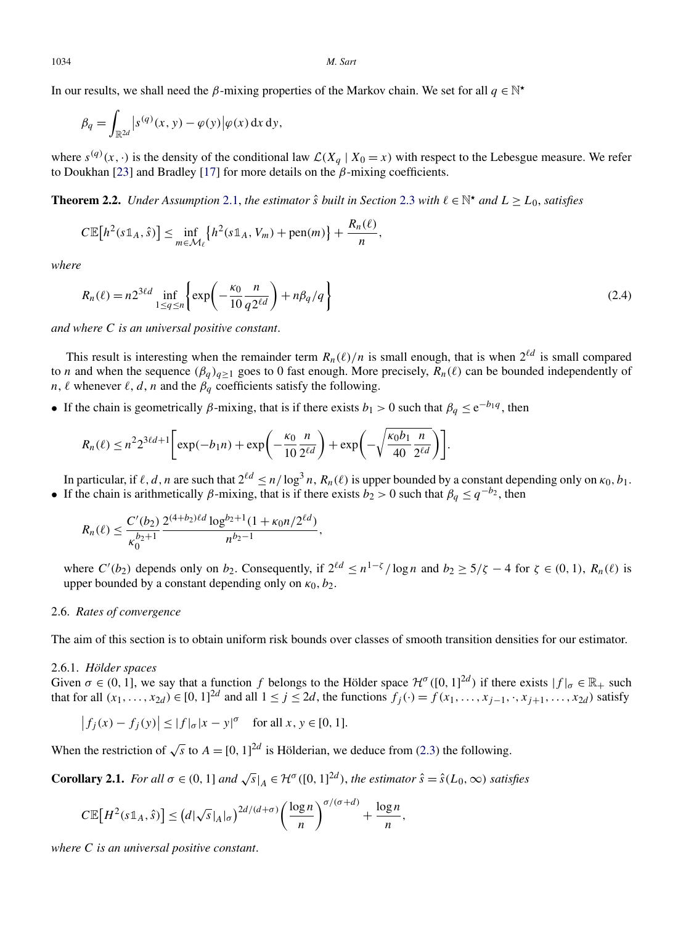<span id="page-6-0"></span>1034 *M. Sart*

In our results, we shall need the *β*-mixing properties of the Markov chain. We set for all  $q \in \mathbb{N}^*$ 

$$
\beta_q = \int_{\mathbb{R}^{2d}} |s^{(q)}(x, y) - \varphi(y)| \varphi(x) \, \mathrm{d}x \, \mathrm{d}y,
$$

where  $s^{(q)}(x, \cdot)$  is the density of the conditional law  $\mathcal{L}(X_q | X_0 = x)$  with respect to the Lebesgue measure. We refer to Doukhan [\[23\]](#page-39-0) and Bradley [\[17\]](#page-39-0) for more details on the *β*-mixing coefficients.

**Theorem 2.2.** *Under Assumption* [2.1,](#page-5-0) *the estimator*  $\hat{s}$  *built in Section* [2.3](#page-3-0) *with*  $\ell \in \mathbb{N}^*$  *and*  $L \ge L_0$ *, satisfies* 

$$
C\mathbb{E}[h^{2}(s\mathbb{1}_{A},\hat{s})] \leq \inf_{m\in\mathcal{M}_{\ell}}\left\{h^{2}(s\mathbb{1}_{A},V_{m}) + \text{pen}(m)\right\} + \frac{R_{n}(\ell)}{n},
$$

*where*

$$
R_n(\ell) = n2^{3\ell d} \inf_{1 \le q \le n} \left\{ \exp\left(-\frac{\kappa_0}{10} \frac{n}{q 2^{\ell d}}\right) + n\beta_q/q \right\}
$$
(2.4)

*and where C is an universal positive constant*.

This result is interesting when the remainder term  $R_n(\ell)/n$  is small enough, that is when  $2^{\ell d}$  is small compared to *n* and when the sequence  $(\beta_q)_{q>1}$  goes to 0 fast enough. More precisely,  $R_n(\ell)$  can be bounded independently of *n*,  $\ell$  whenever  $\ell$ ,  $d$ ,  $n$  and the  $\beta_q$  coefficients satisfy the following.

• If the chain is geometrically  $\beta$ -mixing, that is if there exists  $b_1 > 0$  such that  $\beta_q \le e^{-b_1 q}$ , then

$$
R_n(\ell) \leq n^2 2^{3\ell d + 1} \bigg[ \exp(-b_1 n) + \exp\bigg(-\frac{\kappa_0}{10} \frac{n}{2^{\ell d}}\bigg) + \exp\bigg(-\sqrt{\frac{\kappa_0 b_1 n}{40} \frac{n}{2^{\ell d}}}\bigg) \bigg].
$$

In particular, if  $\ell$ , *d*, *n* are such that  $2^{\ell d} \le n/\log^3 n$ ,  $R_n(\ell)$  is upper bounded by a constant depending only on  $\kappa_0$ ,  $b_1$ . • If the chain is arithmetically *β*-mixing, that is if there exists  $b_2 > 0$  such that  $\beta_q \leq q^{-b_2}$ , then

$$
R_n(\ell) \leq \frac{C'(b_2)}{\kappa_0^{b_2+1}} \frac{2^{(4+b_2)\ell d} \log^{b_2+1} (1+\kappa_0 n/2^{\ell d})}{n^{b_2-1}},
$$

where  $C'(b_2)$  depends only on  $b_2$ . Consequently, if  $2^{\ell d} \le n^{1-\zeta}/\log n$  and  $b_2 \ge 5/\zeta - 4$  for  $\zeta \in (0,1)$ ,  $R_n(\ell)$  is upper bounded by a constant depending only on  $\kappa_0$ ,  $b_2$ .

# 2.6. *Rates of convergence*

The aim of this section is to obtain uniform risk bounds over classes of smooth transition densities for our estimator.

#### 2.6.1. *Hölder spaces*

Given  $\sigma \in (0, 1]$ , we say that a function *f* belongs to the Hölder space  $\mathcal{H}^{\sigma}([0, 1]^{2d})$  if there exists  $|f|_{\sigma} \in \mathbb{R}_+$  such that for all  $(x_1, \ldots, x_{2d}) \in [0, 1]^{2d}$  and all  $1 \le j \le 2d$ , the functions  $f_j(\cdot) = f(x_1, \ldots, x_{j-1}, \cdot, x_{j+1}, \ldots, x_{2d})$  satisfy

$$
|f_j(x) - f_j(y)| \le |f|_{\sigma} |x - y|^{\sigma}
$$
 for all  $x, y \in [0, 1]$ .

When the restriction of  $\sqrt{s}$  to  $A = [0, 1]^{2d}$  is Hölderian, we deduce from [\(2.3\)](#page-5-0) the following.

**Corollary 2.1.** For all  $\sigma \in (0, 1]$  and  $\sqrt{s}|_A \in \mathcal{H}^{\sigma}([0, 1]^{2d})$ , the estimator  $\hat{s} = \hat{s}(L_0, \infty)$  satisfies

$$
C\mathbb{E}\big[H^2(s\mathbb{1}_A,\hat{s})\big] \leq (d|\sqrt{s}|_A|_{\sigma})^{2d/(d+\sigma)} \bigg(\frac{\log n}{n}\bigg)^{\sigma/(\sigma+d)} + \frac{\log n}{n},
$$

*where C is an universal positive constant*.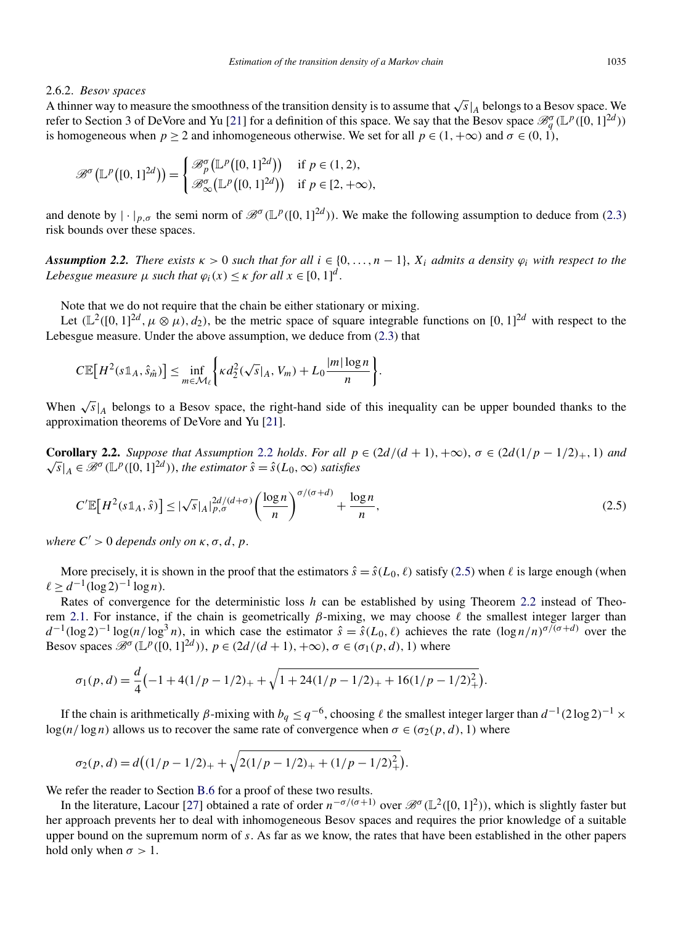#### <span id="page-7-0"></span>2.6.2. *Besov spaces*

A thinner way to measure the smoothness of the transition density is to assume that  $\sqrt{s}|_A$  belongs to a Besov space. We refer to Section 3 of DeVore and Yu [\[21\]](#page-39-0) for a definition of this space. We say that the Besov space  $\mathcal{B}_q^{\sigma}(\mathbb{L}^p([0,1]^{2d}))$ is homogeneous when  $p > 2$  and inhomogeneous otherwise. We set for all  $p \in (1, +\infty)$  and  $\sigma \in (0, 1)$ ,

$$
\mathcal{B}^{\sigma}(\mathbb{L}^p([0,1]^{2d})) = \begin{cases} \mathcal{B}_p^{\sigma}(\mathbb{L}^p([0,1]^{2d})) & \text{if } p \in (1,2), \\ \mathcal{B}_{\infty}^{\sigma}(\mathbb{L}^p([0,1]^{2d})) & \text{if } p \in [2,+\infty), \end{cases}
$$

and denote by  $|\cdot|_{p,\sigma}$  the semi norm of  $\mathscr{B}^{\sigma}(\mathbb{L}^p([0,1]^{2d}))$ . We make the following assumption to deduce from [\(2.3\)](#page-5-0) risk bounds over these spaces.

*Assumption 2.2. There exists*  $\kappa > 0$  *such that for all*  $i \in \{0, ..., n-1\}$ ,  $X_i$  *admits a density*  $\varphi_i$  *with respect to the Lebesgue measure*  $\mu$  *such that*  $\varphi_i(x) \leq \kappa$  *for all*  $x \in [0, 1]^d$ .

Note that we do not require that the chain be either stationary or mixing.

Let  $(\mathbb{L}^2([0,1]^{2d}, \mu \otimes \mu), d_2)$ , be the metric space of square integrable functions on  $[0,1]^{2d}$  with respect to the Lebesgue measure. Under the above assumption, we deduce from [\(2.3\)](#page-5-0) that

$$
C\mathbb{E}\big[H^2(s\mathbb{1}_A,\hat{s}_{\hat{m}})\big]\leq \inf_{m\in\mathcal{M}_{\ell}}\bigg\{\kappa d_2^2(\sqrt{s}|_A,V_m)+L_0\frac{|m|\log n}{n}\bigg\}.
$$

When  $\sqrt{s}|_A$  belongs to a Besov space, the right-hand side of this inequality can be upper bounded thanks to the approximation theorems of DeVore and Yu [\[21\]](#page-39-0).

**Corollary 2.2.** Suppose that Assumption 2.2 holds. For all  $p \in (2d/(d+1), +\infty)$ ,  $\sigma \in (2d(1/p - 1/2)_+, 1)$  and **Coronary 2.2.** Suppose that Assumption 2.2 hotas. For all p<br>  $\sqrt{s}|_A \in \mathcal{B}^{\sigma}(\mathbb{L}^p([0, 1]^{2d}))$ , the estimator  $\hat{s} = \hat{s}(L_0, \infty)$  satisfies

$$
C'\mathbb{E}\big[H^2(s\mathbb{1}_A,\hat{s})\big] \le |\sqrt{s}|_A|_{p,\sigma}^{2d/(d+\sigma)}\bigg(\frac{\log n}{n}\bigg)^{\sigma/(\sigma+d)} + \frac{\log n}{n},\tag{2.5}
$$

*where*  $C' > 0$  *depends only on*  $\kappa, \sigma, d, p$ .

More precisely, it is shown in the proof that the estimators  $\hat{s} = \hat{s}(L_0, \ell)$  satisfy (2.5) when  $\ell$  is large enough (when  $\ell \geq d^{-1}(\log 2)^{-1} \log n$ .

Rates of convergence for the deterministic loss *h* can be established by using Theorem [2.2](#page-6-0) instead of Theo-rem [2.1.](#page-5-0) For instance, if the chain is geometrically  $β$ -mixing, we may choose  $ℓ$  the smallest integer larger than  $d^{-1}(\log 2)^{-1} \log(n/\log^3 n)$ , in which case the estimator  $\hat{s} = \hat{s}(L_0, \ell)$  achieves the rate  $(\log n/n)^{\sigma/(\sigma+d)}$  over the Besov spaces  $\mathcal{B}^{\sigma}(\mathbb{L}^p([0,1]^{2d}))$ ,  $p \in (2d/(d+1), +\infty)$ ,  $\sigma \in (\sigma_1(p,d), 1)$  where

$$
\sigma_1(p,d) = \frac{d}{4} \left( -1 + 4(1/p - 1/2)_{+} + \sqrt{1 + 24(1/p - 1/2)_{+} + 16(1/p - 1/2)_{+}^{2}} \right).
$$

If the chain is arithmetically *β*-mixing with  $b_q \leq q^{-6}$ , choosing  $\ell$  the smallest integer larger than  $d^{-1}(2 \log 2)^{-1} \times$ log $(n/\log n)$  allows us to recover the same rate of convergence when  $\sigma \in (\sigma_2(p,d), 1)$  where

$$
\sigma_2(p,d) = d\big((1/p - 1/2)_{+} + \sqrt{2(1/p - 1/2)_{+} + (1/p - 1/2)_{+}^{2}}\big).
$$

We refer the reader to Section [B.6](#page-33-0) for a proof of these two results.

In the literature, Lacour [\[27\]](#page-39-0) obtained a rate of order  $n^{-\sigma/(\sigma+1)}$  over  $\mathscr{B}^{\sigma}(\mathbb{L}^2([0,1]^2))$ , which is slightly faster but her approach prevents her to deal with inhomogeneous Besov spaces and requires the prior knowledge of a suitable upper bound on the supremum norm of *s*. As far as we know, the rates that have been established in the other papers hold only when  $\sigma > 1$ .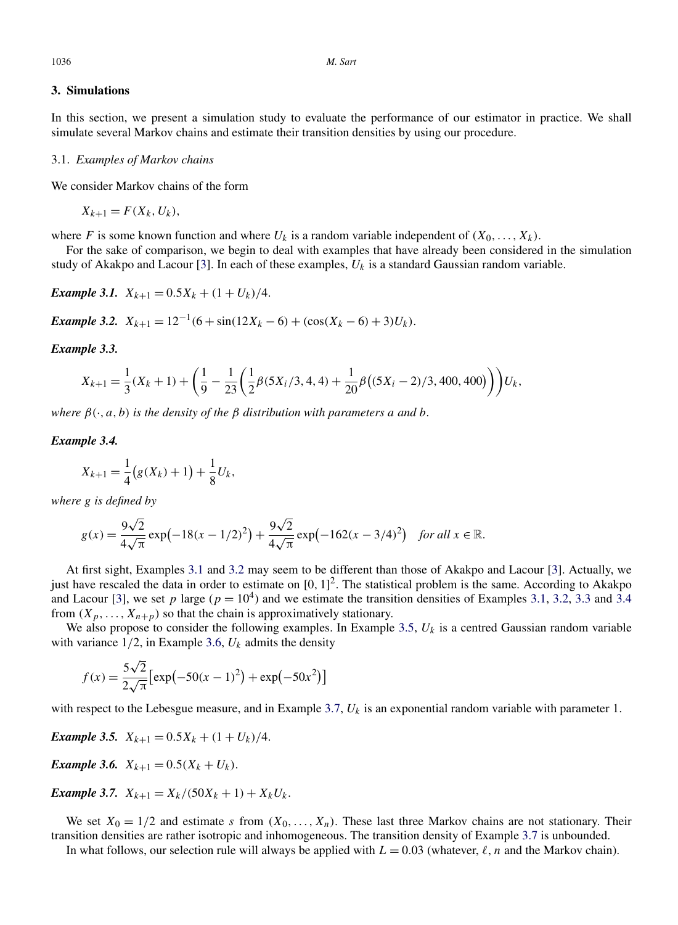# <span id="page-8-0"></span>**3. Simulations**

In this section, we present a simulation study to evaluate the performance of our estimator in practice. We shall simulate several Markov chains and estimate their transition densities by using our procedure.

#### 3.1. *Examples of Markov chains*

We consider Markov chains of the form

$$
X_{k+1} = F(X_k, U_k),
$$

where *F* is some known function and where  $U_k$  is a random variable independent of  $(X_0, \ldots, X_k)$ .

For the sake of comparison, we begin to deal with examples that have already been considered in the simulation study of Akakpo and Lacour [\[3\]](#page-39-0). In each of these examples, *Uk* is a standard Gaussian random variable.

*Example 3.1.*  $X_{k+1} = 0.5X_k + (1 + U_k)/4$ .

*Example 3.2.*  $X_{k+1} = 12^{-1}(6 + \sin(12X_k - 6) + (\cos(X_k - 6) + 3)U_k)$ .

## *Example 3.3.*

$$
X_{k+1} = \frac{1}{3}(X_k + 1) + \left(\frac{1}{9} - \frac{1}{23}\left(\frac{1}{2}\beta(5X_i/3, 4, 4) + \frac{1}{20}\beta((5X_i - 2)/3, 400, 400)\right)\right)U_k,
$$

*where*  $\beta(\cdot, a, b)$  *is the density of the*  $\beta$  *distribution with parameters a and b.* 

#### *Example 3.4.*

$$
X_{k+1} = \frac{1}{4} (g(X_k) + 1) + \frac{1}{8} U_k,
$$

*where g is defined by*

$$
g(x) = \frac{9\sqrt{2}}{4\sqrt{\pi}} \exp\left(-18(x - 1/2)^2\right) + \frac{9\sqrt{2}}{4\sqrt{\pi}} \exp\left(-162(x - 3/4)^2\right) \quad \text{for all } x \in \mathbb{R}.
$$

At first sight, Examples 3.1 and 3.2 may seem to be different than those of Akakpo and Lacour [\[3\]](#page-39-0). Actually, we just have rescaled the data in order to estimate on [0*,* 1] 2. The statistical problem is the same. According to Akakpo and Lacour [\[3\]](#page-39-0), we set  $p$  large ( $p = 10<sup>4</sup>$ ) and we estimate the transition densities of Examples 3.1, 3.2, 3.3 and 3.4 from  $(X_p, \ldots, X_{n+p})$  so that the chain is approximatively stationary.

We also propose to consider the following examples. In Example 3.5,  $U_k$  is a centred Gaussian random variable with variance  $1/2$ , in Example 3.6,  $U_k$  admits the density

$$
f(x) = \frac{5\sqrt{2}}{2\sqrt{\pi}} \left[ \exp(-50(x-1)^2) + \exp(-50x^2) \right]
$$

with respect to the Lebesgue measure, and in Example 3.7, *Uk* is an exponential random variable with parameter 1.

*Example 3.5.*  $X_{k+1} = 0.5X_k + (1 + U_k)/4$ .

*Example 3.6.*  $X_{k+1} = 0.5(X_k + U_k)$ .

*Example 3.7.*  $X_{k+1} = X_k/(50X_k + 1) + X_kU_k$ .

We set  $X_0 = 1/2$  and estimate *s* from  $(X_0, \ldots, X_n)$ . These last three Markov chains are not stationary. Their transition densities are rather isotropic and inhomogeneous. The transition density of Example 3.7 is unbounded.

In what follows, our selection rule will always be applied with  $L = 0.03$  (whatever,  $\ell$ , *n* and the Markov chain).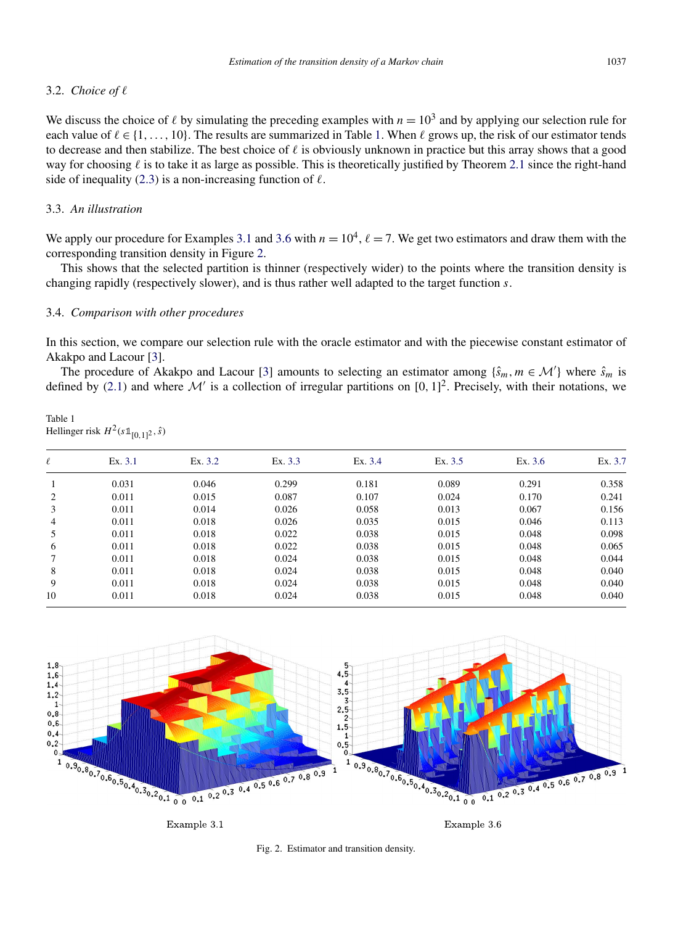# 3.2. *Choice of*

We discuss the choice of  $\ell$  by simulating the preceding examples with  $n = 10^3$  and by applying our selection rule for each value of  $\ell \in \{1,\ldots,10\}$ . The results are summarized in Table 1. When  $\ell$  grows up, the risk of our estimator tends to decrease and then stabilize. The best choice of  $\ell$  is obviously unknown in practice but this array shows that a good way for choosing  $\ell$  is to take it as large as possible. This is theoretically justified by Theorem [2.1](#page-5-0) since the right-hand side of inequality [\(2.3\)](#page-5-0) is a non-increasing function of  $\ell$ .

# 3.3. *An illustration*

We apply our procedure for Examples [3.1](#page-8-0) and [3.6](#page-8-0) with  $n = 10^4$ ,  $\ell = 7$ . We get two estimators and draw them with the corresponding transition density in Figure 2.

This shows that the selected partition is thinner (respectively wider) to the points where the transition density is changing rapidly (respectively slower), and is thus rather well adapted to the target function *s*.

## 3.4. *Comparison with other procedures*

In this section, we compare our selection rule with the oracle estimator and with the piecewise constant estimator of Akakpo and Lacour [\[3\]](#page-39-0).

The procedure of Akakpo and Lacour [\[3\]](#page-39-0) amounts to selecting an estimator among  $\{\hat{s}_m, m \in \mathcal{M}'\}$  where  $\hat{s}_m$  is defined by [\(2.1\)](#page-3-0) and where  $\mathcal{M}'$  is a collection of irregular partitions on [0, 1]<sup>2</sup>. Precisely, with their notations, we

#### Table 1 Hellinger risk  $H^2(s\mathbb{1}_{[0,1]^2}, \hat{s})$

| l              | Ex. 3.1 | Ex. 3.2 | Ex. 3.3 | Ex. 3.4 | Ex. 3.5 | Ex. $3.6$ | Ex. 3.7 |
|----------------|---------|---------|---------|---------|---------|-----------|---------|
|                | 0.031   | 0.046   | 0.299   | 0.181   | 0.089   | 0.291     | 0.358   |
| 2              | 0.011   | 0.015   | 0.087   | 0.107   | 0.024   | 0.170     | 0.241   |
| 3              | 0.011   | 0.014   | 0.026   | 0.058   | 0.013   | 0.067     | 0.156   |
| $\overline{4}$ | 0.011   | 0.018   | 0.026   | 0.035   | 0.015   | 0.046     | 0.113   |
| 5              | 0.011   | 0.018   | 0.022   | 0.038   | 0.015   | 0.048     | 0.098   |
| 6              | 0.011   | 0.018   | 0.022   | 0.038   | 0.015   | 0.048     | 0.065   |
|                | 0.011   | 0.018   | 0.024   | 0.038   | 0.015   | 0.048     | 0.044   |
| 8              | 0.011   | 0.018   | 0.024   | 0.038   | 0.015   | 0.048     | 0.040   |
| 9              | 0.011   | 0.018   | 0.024   | 0.038   | 0.015   | 0.048     | 0.040   |
| 10             | 0.011   | 0.018   | 0.024   | 0.038   | 0.015   | 0.048     | 0.040   |
|                |         |         |         |         |         |           |         |



Example 3.1

Example 3.6

Fig. 2. Estimator and transition density.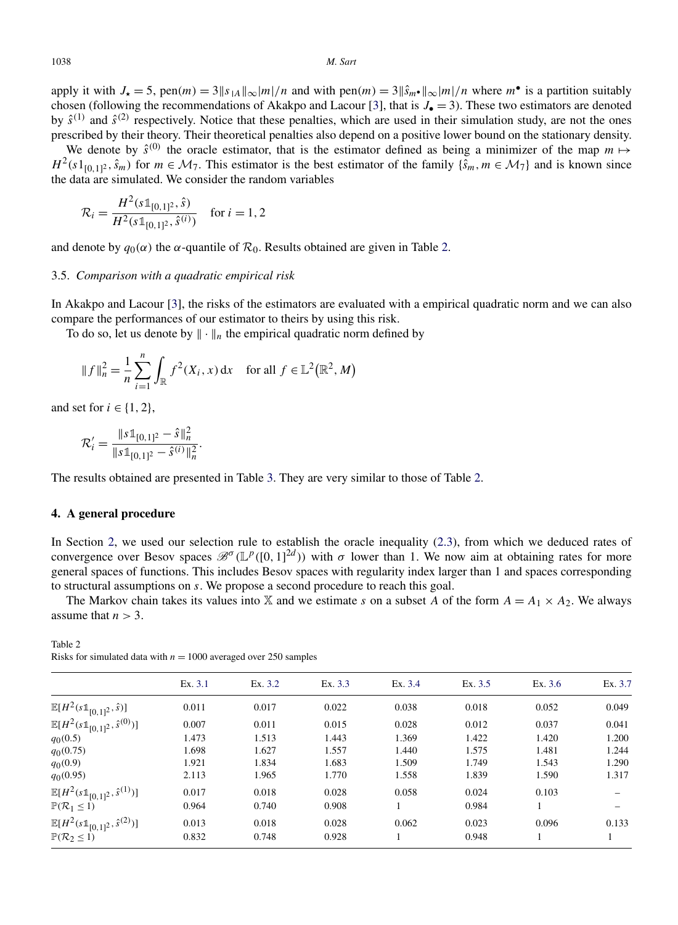<span id="page-10-0"></span>apply it with  $J_{\star} = 5$ , pen $(m) = 3||s_{1A}||_{\infty} |m|/n$  and with pen $(m) = 3||\hat{s}_{m} \cdot ||_{\infty} |m|/n$  where  $m^{\bullet}$  is a partition suitably chosen (following the recommendations of Akakpo and Lacour [\[3\]](#page-39-0), that is *J*• = 3). These two estimators are denoted by  $\hat{s}^{(1)}$  and  $\hat{s}^{(2)}$  respectively. Notice that these penalties, which are used in their simulation study, are not the ones prescribed by their theory. Their theoretical penalties also depend on a positive lower bound on the stationary density.

We denote by  $\hat{s}^{(0)}$  the oracle estimator, that is the estimator defined as being a minimizer of the map  $m \mapsto$  $H^2(s1_{[0,1]^2}, \hat{s}_m)$  for  $m \in \mathcal{M}_7$ . This estimator is the best estimator of the family  $\{\hat{s}_m, m \in \mathcal{M}_7\}$  and is known since the data are simulated. We consider the random variables

$$
\mathcal{R}_i = \frac{H^2(s \mathbb{1}_{[0,1]^2}, \hat{s})}{H^2(s \mathbb{1}_{[0,1]^2}, \hat{s}^{(i)})} \quad \text{for } i = 1, 2
$$

and denote by  $q_0(\alpha)$  the  $\alpha$ -quantile of  $\mathcal{R}_0$ . Results obtained are given in Table 2.

#### 3.5. *Comparison with a quadratic empirical risk*

In Akakpo and Lacour [\[3\]](#page-39-0), the risks of the estimators are evaluated with a empirical quadratic norm and we can also compare the performances of our estimator to theirs by using this risk.

To do so, let us denote by  $\|\cdot\|_n$  the empirical quadratic norm defined by

$$
||f||_n^2 = \frac{1}{n} \sum_{i=1}^n \int_{\mathbb{R}} f^2(X_i, x) dx
$$
 for all  $f \in \mathbb{L}^2(\mathbb{R}^2, M)$ 

and set for  $i \in \{1, 2\}$ ,

$$
\mathcal{R}'_i = \frac{\|s\mathbb{1}_{[0,1]^2} - \hat{s}\|_n^2}{\|s\mathbb{1}_{[0,1]^2} - \hat{s}^{(i)}\|_n^2}.
$$

The results obtained are presented in Table [3.](#page-11-0) They are very similar to those of Table 2.

#### **4. A general procedure**

In Section [2,](#page-2-0) we used our selection rule to establish the oracle inequality [\(2.3\)](#page-5-0), from which we deduced rates of convergence over Besov spaces  $\mathscr{B}^{\sigma}(\mathbb{L}^p([0,1]^{2d}))$  with  $\sigma$  lower than 1. We now aim at obtaining rates for more general spaces of functions. This includes Besov spaces with regularity index larger than 1 and spaces corresponding to structural assumptions on *s*. We propose a second procedure to reach this goal.

The Markov chain takes its values into X and we estimate *s* on a subset *A* of the form  $A = A_1 \times A_2$ . We always assume that  $n > 3$ .

| Table 2                                                            |  |
|--------------------------------------------------------------------|--|
| Risks for simulated data with $n = 1000$ averaged over 250 samples |  |

|                                                         | Ex. 3.1 | Ex. 3.2 | Ex. 3.3 | Ex. 3.4 | Ex. 3.5 | Ex. $3.6$ | Ex. 3.7 |
|---------------------------------------------------------|---------|---------|---------|---------|---------|-----------|---------|
| $\mathbb{E}[H^2(s1\!\!\!\;1_{[0,1]^2},\hat{s})]$        | 0.011   | 0.017   | 0.022   | 0.038   | 0.018   | 0.052     | 0.049   |
| $\mathbb{E}[H^2(s\mathbb{1}_{[0,1]^2}, \hat{s}^{(0)})]$ | 0.007   | 0.011   | 0.015   | 0.028   | 0.012   | 0.037     | 0.041   |
| $q_0(0.5)$                                              | 1.473   | 1.513   | 1.443   | 1.369   | 1.422   | 1.420     | 1.200   |
| $q_0(0.75)$                                             | 1.698   | 1.627   | 1.557   | 1.440   | 1.575   | 1.481     | 1.244   |
| $q_0(0.9)$                                              | 1.921   | 1.834   | 1.683   | 1.509   | 1.749   | 1.543     | 1.290   |
| $q_0(0.95)$                                             | 2.113   | 1.965   | 1.770   | 1.558   | 1.839   | 1.590     | 1.317   |
| $\mathbb{E}[H^2(s\mathbb{1}_{[0,1]^2}, \hat{s}^{(1)})]$ | 0.017   | 0.018   | 0.028   | 0.058   | 0.024   | 0.103     |         |
| $\mathbb{P}(\mathcal{R}_1 \leq 1)$                      | 0.964   | 0.740   | 0.908   |         | 0.984   |           |         |
| $\mathbb{E}[H^2(s\mathbb{1}_{[0,1]^2},\hat{s}^{(2)})]$  | 0.013   | 0.018   | 0.028   | 0.062   | 0.023   | 0.096     | 0.133   |
| $\mathbb{P}(\mathcal{R}_2 \leq 1)$                      | 0.832   | 0.748   | 0.928   |         | 0.948   |           |         |
|                                                         |         |         |         |         |         |           |         |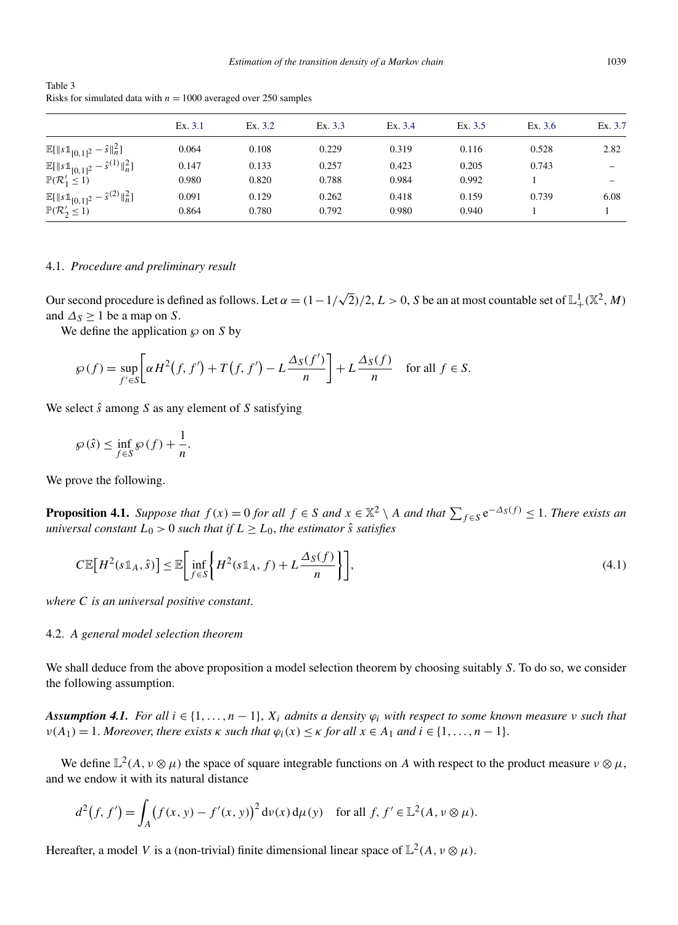|                                                                                                    | Ex. 3.1        | Ex. 3.2        | Ex. 3.3        | Ex. 3.4        | Ex. 3.5        | Ex. 3.6 | Ex. 3.7 |
|----------------------------------------------------------------------------------------------------|----------------|----------------|----------------|----------------|----------------|---------|---------|
| $\mathbb{E}[\ s\mathbb{1}_{[0,1]^2}-\hat{s}\ _n^2]$                                                | 0.064          | 0.108          | 0.229          | 0.319          | 0.116          | 0.528   | 2.82    |
| $\mathbb{E}[\ s\mathbb{1}_{[0,1]^2}-\hat{s}^{(1)}\ _n^2]$<br>$\mathbb{P}(\mathcal{R}_1' \leq 1)$   | 0.147<br>0.980 | 0.133<br>0.820 | 0.257<br>0.788 | 0.423<br>0.984 | 0.205<br>0.992 | 0.743   |         |
| $\frac{\mathbb{E}[\ s\mathbb{1}_{[0,1]^2}-\hat{s}^{(2)}\ _n^2]}{\mathbb{P}(\mathcal{R}_2'\leq 1)}$ | 0.091<br>0.864 | 0.129<br>0.780 | 0.262<br>0.792 | 0.418<br>0.980 | 0.159<br>0.940 | 0.739   | 6.08    |

<span id="page-11-0"></span>Table 3 Risks for simulated data with  $n = 1000$  averaged over 250 samples

# 4.1. *Procedure and preliminary result*

Our second procedure is defined as follows. Let  $\alpha = (1 - 1)$  $\sqrt{2}$ /2, *L* > 0, *S* be an at most countable set of  $\mathbb{L}^1_+(\mathbb{X}^2, M)$ and  $\Delta$ <sub>S</sub>  $\geq$  1 be a map on *S*.

We define the application  $\wp$  on *S* by

$$
\wp(f) = \sup_{f' \in S} \left[ \alpha H^2(f, f') + T(f, f') - L \frac{\Delta_S(f')}{n} \right] + L \frac{\Delta_S(f)}{n} \quad \text{for all } f \in S.
$$

We select *s*ˆ among *S* as any element of *S* satisfying

$$
\wp(\hat{s}) \le \inf_{f \in S} \wp(f) + \frac{1}{n}.
$$

We prove the following.

**Proposition 4.1.** *Suppose that*  $f(x) = 0$  *for all*  $f \in S$  *and*  $x \in \mathbb{X}^2 \setminus A$  *and that*  $\sum_{f \in S} e^{-\Delta_S(f)} \leq 1$ *. There exists an universal constant*  $L_0 > 0$  *such that if*  $L \ge L_0$ *, the estimator s*<sup>*s*</sup> *satisfies* 

$$
C\mathbb{E}\big[H^2(s\mathbb{1}_A,\hat{s})\big] \leq \mathbb{E}\bigg[\inf_{f\in S} \bigg\{H^2(s\mathbb{1}_A,f) + L\frac{\Delta_S(f)}{n}\bigg\}\bigg],\tag{4.1}
$$

*where C is an universal positive constant*.

# 4.2. *A general model selection theorem*

We shall deduce from the above proposition a model selection theorem by choosing suitably *S*. To do so, we consider the following assumption.

*Assumption 4.1. For all*  $i \in \{1, ..., n-1\}$ *,*  $X_i$  *admits a density*  $\varphi_i$  *with respect to some known measure*  $\nu$  such that  $\nu(A_1) = 1$ *. Moreover, there exists*  $\kappa$  *such that*  $\varphi_i(x) \leq \kappa$  *for all*  $x \in A_1$  *and*  $i \in \{1, ..., n-1\}$ *.* 

We define  $\mathbb{L}^2(A, v \otimes \mu)$  the space of square integrable functions on *A* with respect to the product measure  $v \otimes \mu$ , and we endow it with its natural distance

$$
d^{2}(f, f') = \int_{A} (f(x, y) - f'(x, y))^{2} d\nu(x) d\mu(y) \text{ for all } f, f' \in \mathbb{L}^{2}(A, \nu \otimes \mu).
$$

Hereafter, a model *V* is a (non-trivial) finite dimensional linear space of  $\mathbb{L}^2(A, v \otimes \mu)$ .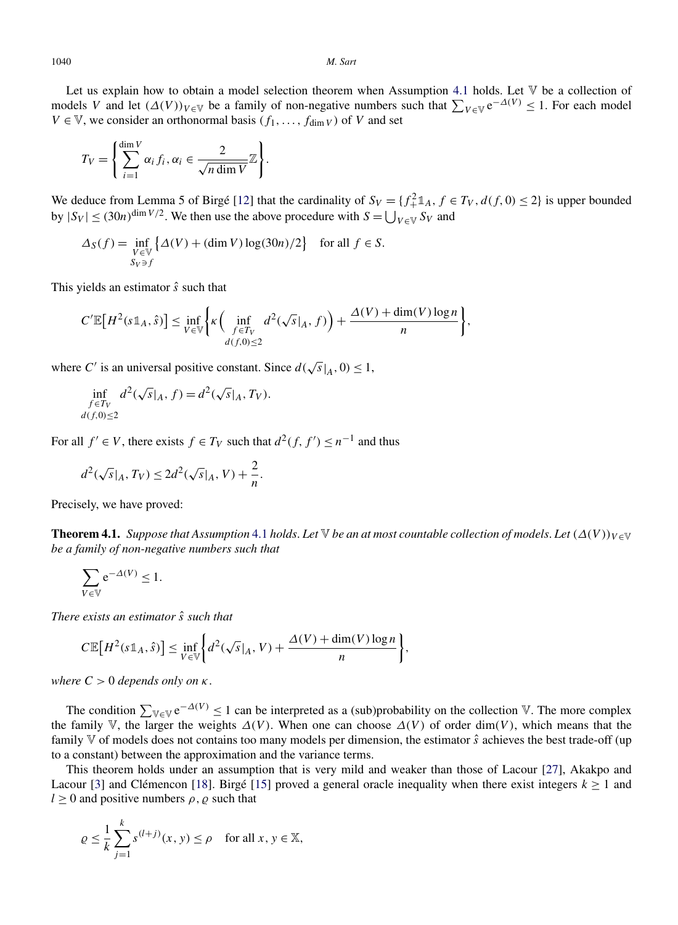<span id="page-12-0"></span>Let us explain how to obtain a model selection theorem when Assumption [4.1](#page-11-0) holds. Let V be a collection of models *V* and let  $(\Delta(V))_{V \in V}$  be a family of non-negative numbers such that  $\sum_{V \in V} e^{-\Delta(V)} \leq 1$ . For each model  $V \in V$ , we consider an orthonormal basis  $(f_1, \ldots, f_{\text{dim }V})$  of *V* and set

$$
T_V = \left\{ \sum_{i=1}^{\dim V} \alpha_i f_i, \alpha_i \in \frac{2}{\sqrt{n \dim V}} \mathbb{Z} \right\}.
$$

We deduce from Lemma 5 of Birgé [\[12\]](#page-39-0) that the cardinality of  $S_V = \{f_+^2 \mathbb{1}_A, f \in T_V, d(f, 0) \le 2\}$  is upper bounded by  $|S_V| \le (30n)^{\dim V/2}$ . We then use the above procedure with  $S = \bigcup_{V \in V} S_V$  and

$$
\Delta_S(f) = \inf_{\substack{V \in \mathbb{V} \\ S_V \ni f}} \left\{ \Delta(V) + (\dim V) \log(30n)/2 \right\} \quad \text{for all } f \in S.
$$

This yields an estimator *s*ˆ such that

$$
C' \mathbb{E}\big[H^2(s\mathbb{1}_A,\hat{s})\big] \leq \inf_{V \in \mathbb{V}} \Biggl\{ \kappa \Biggl( \inf_{\substack{f \in T_V \\ d(f,0) \leq 2}} d^2(\sqrt{s}|_A,f) \Biggr) + \frac{\Delta(V) + \dim(V) \log n}{n} \Biggr\},\,
$$

where *C'* is an universal positive constant. Since  $d(\sqrt{s}|_A, 0) \le 1$ ,

$$
\inf_{\substack{f \in T_V \\ d(f,0) \le 2}} d^2(\sqrt{s}|_A, f) = d^2(\sqrt{s}|_A, T_V).
$$

For all  $f' \in V$ , there exists  $f \in T_V$  such that  $d^2(f, f') \leq n^{-1}$  and thus

$$
d^2(\sqrt{s}|_A,T_V)\leq 2d^2(\sqrt{s}|_A,V)+\frac{2}{n}.
$$

Precisely, we have proved:

**Theorem [4.1](#page-11-0).** *Suppose that Assumption* 4.1 *holds. Let*  $\mathbb{V}$  *be an at most countable collection of models. Let*  $(\Delta(V))_{V \in \mathbb{V}}$ *be a family of non-negative numbers such that*

$$
\sum_{V \in \mathbb{V}} e^{-\Delta(V)} \le 1.
$$

*There exists an estimator s*ˆ *such that*

$$
C\mathbb{E}\big[H^2(s\mathbb{1}_A,\hat{s})\big] \leq \inf_{V \in \mathbb{V}} \bigg\{ d^2(\sqrt{s}|_A, V) + \frac{\Delta(V) + \dim(V)\log n}{n} \bigg\},\,
$$

*where*  $C > 0$  *depends only on*  $\kappa$ .

The condition  $\sum_{V \in V} e^{-\Delta(V)} \le 1$  can be interpreted as a (sub)probability on the collection V. The more complex the family V, the larger the weights  $\Delta(V)$ . When one can choose  $\Delta(V)$  of order dim(V), which means that the family V of models does not contains too many models per dimension, the estimator *s*ˆ achieves the best trade-off (up to a constant) between the approximation and the variance terms.

This theorem holds under an assumption that is very mild and weaker than those of Lacour [\[27\]](#page-39-0), Akakpo and Lacour [\[3\]](#page-39-0) and Clémencon [\[18\]](#page-39-0). Birgé [\[15\]](#page-39-0) proved a general oracle inequality when there exist integers  $k \ge 1$  and  $l \geq 0$  and positive numbers  $\rho$ ,  $\varrho$  such that

$$
\varrho \le \frac{1}{k} \sum_{j=1}^{k} s^{(l+j)}(x, y) \le \rho \quad \text{for all } x, y \in \mathbb{X},
$$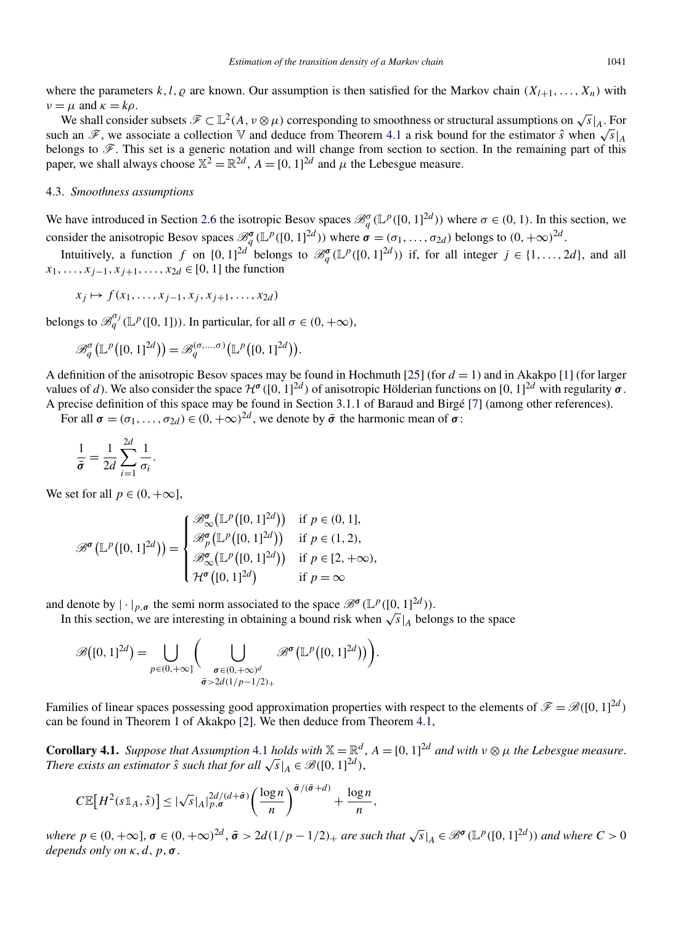<span id="page-13-0"></span>where the parameters  $k, l, \varrho$  are known. Our assumption is then satisfied for the Markov chain  $(X_{l+1},...,X_n)$  with  $\nu = \mu$  and  $\kappa = k\rho$ .

We shall consider subsets  $\mathscr{F} \subset \mathbb{L}^2(A, v \otimes \mu)$  corresponding to smoothness or structural assumptions on  $\sqrt{s}|_A$ . For such an  $\mathscr F$ , we associate a collection  $\mathbb V$  and deduce from Theorem [4.1](#page-12-0) a risk bound for the estimator  $\hat s$  when  $\sqrt{s}|_A$ belongs to  $\mathscr{F}$ . This set is a generic notation and will change from section to section. In the remaining part of this paper, we shall always choose  $\mathbb{X}^2 = \mathbb{R}^{2d}$ ,  $A = [0, 1]^{2d}$  and  $\mu$  the Lebesgue measure.

# 4.3. *Smoothness assumptions*

We have introduced in Section [2.6](#page-6-0) the isotropic Besov spaces  $\mathcal{B}_q^{\sigma}(\mathbb{L}^p([0,1]^{2d}))$  where  $\sigma \in (0,1)$ . In this section, we consider the anisotropic Besov spaces  $\mathcal{B}_q^{\sigma}(\mathbb{L}^p([0,1]^{2d}))$  where  $\sigma = (\sigma_1, \ldots, \sigma_{2d})$  belongs to  $(0, +\infty)^{2d}$ .

Intuitively, a function *f* on  $[0, 1]^{2d}$  belongs to  $\mathcal{B}_q^{\sigma}(\mathbb{L}^p([0, 1]^{2d}))$  if, for all integer  $j \in \{1, ..., 2d\}$ , and all *x*<sub>1</sub>*,...,x*<sub>*i*−1</sub>*,x*<sub>*i*+1</sub>*,...,x*<sub>2*d*</sub> ∈ [0*,* 1] the function

$$
x_j \mapsto f(x_1, \ldots, x_{j-1}, x_j, x_{j+1}, \ldots, x_{2d})
$$

belongs to  $\mathscr{B}_q^{\sigma_j}(\mathbb{L}^p([0,1]))$ . In particular, for all  $\sigma \in (0, +\infty)$ ,

$$
\mathscr{B}^{\sigma}_q(\mathbb{L}^p([0,1]^{2d})) = \mathscr{B}^{(\sigma,\ldots,\sigma)}_q(\mathbb{L}^p([0,1]^{2d})).
$$

A definition of the anisotropic Besov spaces may be found in Hochmuth [\[25\]](#page-39-0) (for  $d = 1$ ) and in Akakpo [\[1\]](#page-39-0) (for larger values of *d*). We also consider the space  $\mathcal{H}^{\sigma}([0, 1]^{2d})$  of anisotropic Hölderian functions on  $[0, 1]^{2d}$  with regularity  $\sigma$ . A precise definition of this space may be found in Section 3.1.1 of Baraud and Birgé [\[7\]](#page-39-0) (among other references).

For all  $\sigma = (\sigma_1, \ldots, \sigma_{2d}) \in (0, +\infty)^{2d}$ , we denote by  $\bar{\sigma}$  the harmonic mean of  $\sigma$ :

$$
\frac{1}{\bar{\sigma}} = \frac{1}{2d} \sum_{i=1}^{2d} \frac{1}{\sigma_i}.
$$

We set for all  $p \in (0, +\infty]$ ,

$$
\mathcal{B}^{\sigma}(\mathbb{L}^p([0,1]^{2d})) = \begin{cases} \mathcal{B}_{\infty}^{\sigma}(\mathbb{L}^p([0,1]^{2d})) & \text{if } p \in (0,1], \\ \mathcal{B}_{p}^{\sigma}(\mathbb{L}^p([0,1]^{2d})) & \text{if } p \in (1,2), \\ \mathcal{B}_{\infty}^{\sigma}(\mathbb{L}^p([0,1]^{2d})) & \text{if } p \in [2,+\infty), \\ \mathcal{H}^{\sigma}([0,1]^{2d}) & \text{if } p = \infty \end{cases}
$$

and denote by  $|\cdot|_{p,\sigma}$  the semi norm associated to the space  $\mathscr{B}^{\sigma}(\mathbb{L}^p([0,1]^{2d}))$ .

In this section, we are interesting in obtaining a bound risk when  $\sqrt{s}|_A$  belongs to the space

$$
\mathscr{B}([0,1]^{2d}) = \bigcup_{p \in (0,+\infty)} \left( \bigcup_{\substack{\sigma \in (0,+\infty)^d \\ \bar{\sigma} > 2d(1/p-1/2)_+}} \mathscr{B}^{\sigma}(\mathbb{L}^p([0,1]^{2d})) \right).
$$

Families of linear spaces possessing good approximation properties with respect to the elements of  $\mathscr{F} = \mathscr{B}([0, 1]^{2d})$ can be found in Theorem 1 of Akakpo [\[2\]](#page-39-0). We then deduce from Theorem [4.1,](#page-12-0)

**Corollary [4.1](#page-11-0).** *Suppose that Assumption* 4.1 *holds with*  $\mathbb{X} = \mathbb{R}^d$ ,  $A = [0, 1]^{2d}$  *and with*  $v \otimes \mu$  *the Lebesgue measure. There exists an estimator*  $\hat{s}$  *such that for all*  $\sqrt{s}|_A \in \mathcal{B}([0, 1]^{2d})$ ,  $\hat{s}$  *A*  $\leq$  *P*(*I*)*,*  $\leq$  *P*) *A i A i A i all*  $\sqrt{s}|_A \in \mathcal{B}([0, 1]^{2d})$ ,  $\leq$  *P i i i all*  $\sqrt{s}|_A \in \mathcal$ 

$$
C\mathbb{E}\big[H^2(s\mathbb{1}_A,\hat{s})\big] \leq |\sqrt{s}|_A|_{p,\sigma}^{2d/(d+\bar{\sigma})}\bigg(\frac{\log n}{n}\bigg)^{\bar{\sigma}/(\bar{\sigma}+d)} + \frac{\log n}{n},
$$

where  $p \in (0, +\infty]$ ,  $\sigma \in (0, +\infty)^{2d}$ ,  $\bar{\sigma} > 2d(1/p - 1/2)_+$  are such that  $\sqrt{s}|_A \in \mathscr{B}^{\sigma}(\mathbb{L}^p([0, 1]^{2d}))$  and where  $C > 0$ *depends only on*  $\kappa$ *, d, p,*  $\sigma$ *.*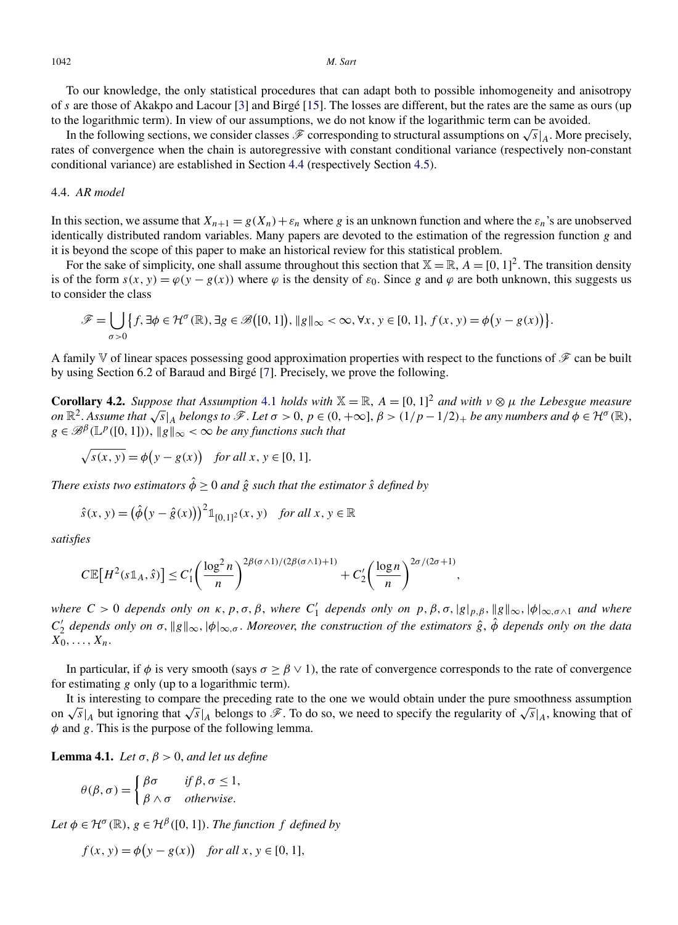<span id="page-14-0"></span>To our knowledge, the only statistical procedures that can adapt both to possible inhomogeneity and anisotropy of *s* are those of Akakpo and Lacour [\[3\]](#page-39-0) and Birgé [\[15\]](#page-39-0). The losses are different, but the rates are the same as ours (up to the logarithmic term). In view of our assumptions, we do not know if the logarithmic term can be avoided.

In the following sections, we consider classes  $\mathscr F$  corresponding to structural assumptions on  $\sqrt{s}|_A$ . More precisely, rates of convergence when the chain is autoregressive with constant conditional variance (respectively non-constant conditional variance) are established in Section 4.4 (respectively Section [4.5\)](#page-15-0).

# 4.4. *AR model*

In this section, we assume that  $X_{n+1} = g(X_n) + \varepsilon_n$  where *g* is an unknown function and where the  $\varepsilon_n$ 's are unobserved identically distributed random variables. Many papers are devoted to the estimation of the regression function *g* and it is beyond the scope of this paper to make an historical review for this statistical problem.

For the sake of simplicity, one shall assume throughout this section that  $X = \mathbb{R}$ ,  $A = [0, 1]^2$ . The transition density is of the form  $s(x, y) = \varphi(y - g(x))$  where  $\varphi$  is the density of  $\varepsilon_0$ . Since g and  $\varphi$  are both unknown, this suggests us to consider the class

$$
\mathscr{F} = \bigcup_{\sigma > 0} \left\{ f, \exists \phi \in \mathcal{H}^{\sigma}(\mathbb{R}), \exists g \in \mathscr{B}([0, 1]), ||g||_{\infty} < \infty, \forall x, y \in [0, 1], f(x, y) = \phi(y - g(x)) \right\}.
$$

A family V of linear spaces possessing good approximation properties with respect to the functions of  $\mathscr F$  can be built by using Section 6.2 of Baraud and Birgé [\[7\]](#page-39-0). Precisely, we prove the following.

**Corollary 4.2.** *Suppose that Assumption* [4.1](#page-11-0) *holds with*  $\mathbb{X} = \mathbb{R}$ ,  $A = [0, 1]^2$  *and with*  $v \otimes \mu$  *the Lebesgue measure* on  $\mathbb{R}^2$ . Assume that  $\sqrt{s}|_A$  belongs to  $\mathscr{F}$ . Let  $\sigma > 0$ ,  $p \in (0, +\infty]$ ,  $\beta > (1/p - 1/2)_+$  be any numbers and  $\phi \in \mathcal{H}^{\sigma}(\mathbb{R})$ ,  $g \in \mathscr{B}^{\beta}(\mathbb{L}^p([0,1]))$ ,  $\|g\|_{\infty} < \infty$  *be any functions such that* 

$$
\sqrt{s(x, y)} = \phi(y - g(x)) \quad \text{for all } x, y \in [0, 1].
$$

*There exists two estimators*  $\hat{\phi} \ge 0$  *and*  $\hat{g}$  *such that the estimator*  $\hat{s}$  *defined by* 

$$
\hat{s}(x, y) = (\hat{\phi}(y - \hat{g}(x)))^2 \mathbb{1}_{[0,1]^2}(x, y)
$$
 for all  $x, y \in \mathbb{R}$ 

*satisfies*

$$
C\mathbb{E}\big[H^2(s\mathbb{1}_A,\hat{s})\big]\leq C_1'\bigg(\frac{\log^2 n}{n}\bigg)^{2\beta(\sigma\wedge 1)/(2\beta(\sigma\wedge 1)+1)}+C_2'\bigg(\frac{\log n}{n}\bigg)^{2\sigma/(2\sigma+1)},
$$

*where*  $C > 0$  *depends only on*  $\kappa$ *, p, σ, β, where*  $C'_1$  *depends only on*  $p$ *,*  $\beta$ *,*  $\sigma$ *,*  $|g|_{p,\beta}$ *,*  $\|g\|_{\infty}$ *,*  $|\phi|_{\infty, \sigma \wedge 1}$  *and where C*<sup>'</sup><sub>2</sub> *depends only on* σ,  $\|g\|_{∞}$ ,  $|\phi|_{∞, σ}$ . *Moreover*, the construction of the estimators  $\hat{g}$ ,  $\hat{\phi}$  depends only on the data  $\overline{X_0}, \ldots, \overline{X_n}$ .

In particular, if  $\phi$  is very smooth (says  $\sigma \ge \beta \vee 1$ ), the rate of convergence corresponds to the rate of convergence for estimating *g* only (up to a logarithmic term).

It is interesting to compare the preceding rate to the one we would obtain under the pure smoothness assumption on  $\sqrt{s}|_A$  but ignoring that  $\sqrt{s}|_A$  belongs to  $\mathscr F$ . To do so, we need to specify the regularity of  $\sqrt{s}|_A$ , knowing that of *φ* and *g*. This is the purpose of the following lemma.

**Lemma 4.1.** *Let*  $\sigma$ ,  $\beta$  > 0, *and let us define* 

$$
\theta(\beta,\sigma) = \begin{cases} \beta\sigma & \text{if } \beta, \sigma \le 1, \\ \beta \wedge \sigma & \text{otherwise.} \end{cases}
$$

*Let*  $\phi \in \mathcal{H}^{\sigma}(\mathbb{R})$ ,  $g \in \mathcal{H}^{\beta}([0, 1])$ *. The function f defined by* 

$$
f(x, y) = \phi(y - g(x)) \quad \text{for all } x, y \in [0, 1],
$$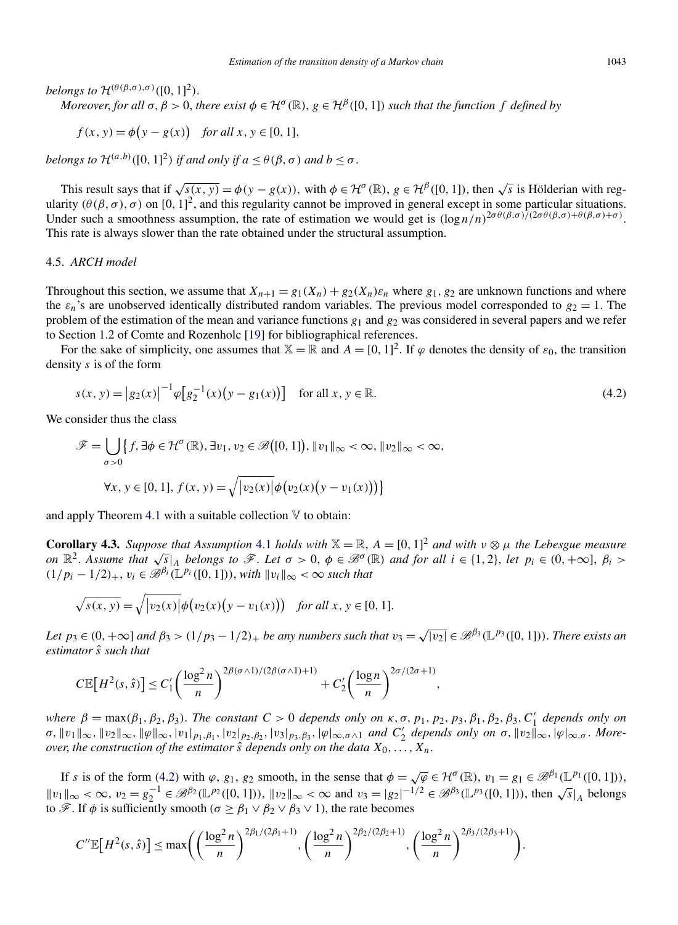<span id="page-15-0"></span>*belongs to*  $\mathcal{H}^{(\theta(\beta,\sigma),\sigma)}([0,1]^2)$ .

*Moreover, for all*  $\sigma$ ,  $\beta > 0$ , *there exist*  $\phi \in H^{\sigma}(\mathbb{R})$ ,  $g \in H^{\beta}([0, 1])$  *such that the function f defined by* 

$$
f(x, y) = \phi(y - g(x)) \quad \text{for all } x, y \in [0, 1],
$$

*belongs to*  $\mathcal{H}^{(a,b)}([0,1]^2)$  *if and only if*  $a \leq \theta(\beta, \sigma)$  *and*  $b \leq \sigma$ .

This result says that if  $\sqrt{s(x,y)} = \phi(y - g(x))$ , with  $\phi \in \mathcal{H}^{\sigma}(\mathbb{R})$ ,  $g \in \mathcal{H}^{\beta}([0, 1])$ , then  $\sqrt{s}$  is Hölderian with regularity  $(\theta(\beta, \sigma), \sigma)$  on  $[0, 1]^2$ , and this regularity cannot be improved in general except in some particular situations. Under such a smoothness assumption, the rate of estimation we would get is  $(\log n/n)^{2\sigma\theta(\beta,\sigma)/(2\sigma\theta(\beta,\sigma)+\theta(\beta,\sigma)+\sigma)}$ . This rate is always slower than the rate obtained under the structural assumption.

# 4.5. *ARCH model*

Throughout this section, we assume that  $X_{n+1} = g_1(X_n) + g_2(X_n)\varepsilon_n$  where  $g_1, g_2$  are unknown functions and where the  $\varepsilon_n$ 's are unobserved identically distributed random variables. The previous model corresponded to  $g_2 = 1$ . The problem of the estimation of the mean and variance functions *g*<sup>1</sup> and *g*<sup>2</sup> was considered in several papers and we refer to Section 1.2 of Comte and Rozenholc [\[19\]](#page-39-0) for bibliographical references.

For the sake of simplicity, one assumes that  $X = \mathbb{R}$  and  $A = [0, 1]^2$ . If  $\varphi$  denotes the density of  $\varepsilon_0$ , the transition density *s* is of the form

$$
s(x, y) = |g_2(x)|^{-1} \varphi \left[ g_2^{-1}(x) \left( y - g_1(x) \right) \right] \quad \text{for all } x, y \in \mathbb{R}.
$$
 (4.2)

We consider thus the class

$$
\mathscr{F} = \bigcup_{\sigma > 0} \{ f, \exists \phi \in \mathcal{H}^{\sigma}(\mathbb{R}), \exists v_1, v_2 \in \mathscr{B}\big([0, 1]\big), \lVert v_1 \rVert_{\infty} < \infty, \lVert v_2 \rVert_{\infty} < \infty,
$$
\n
$$
\forall x, y \in [0, 1], f(x, y) = \sqrt{\lvert v_2(x) \rvert} \phi\big(v_2(x)\big(y - v_1(x)\big)\big) \}
$$

and apply Theorem [4.1](#page-12-0) with a suitable collection  $V$  to obtain:

**Corollary 4.3.** *Suppose that Assumption* [4.1](#page-11-0) *holds with*  $\mathbb{X} = \mathbb{R}$ ,  $A = [0, 1]^2$  *and with*  $v \otimes \mu$  *the Lebesgue measure* on  $\mathbb{R}^2$ . Assume that  $\sqrt{s}|_A$  belongs to  $\mathscr{F}$ . Let  $\sigma > 0$ ,  $\phi \in \mathscr{B}^{\sigma}(\mathbb{R})$  and for all  $i \in \{1,2\}$ , let  $p_i \in (0,+\infty], \beta_i >$  $(1/p_i - 1/2)_+, v_i \in \mathcal{B}^{\beta_i}(\mathbb{L}^{p_i}([0,1]))$ , *with*  $||v_i||_{\infty} < \infty$  *such that* 

$$
\sqrt{s(x, y)} = \sqrt{|v_2(x)|} \phi(v_2(x)(y - v_1(x))) \text{ for all } x, y \in [0, 1].
$$

Let  $p_3 \in (0, +\infty]$  and  $\beta_3 > (1/p_3 - 1/2)_+$  be any numbers such that  $v_3 = \sqrt{|v_2|} \in \mathcal{B}^{\beta_3}(\mathbb{L}^{p_3}([0, 1]))$ . There exists an *estimator s*ˆ *such that*

$$
C\mathbb{E}\big[H^2(s,\hat{s})\big] \leq C_1' \bigg(\frac{\log^2 n}{n}\bigg)^{2\beta(\sigma\wedge 1)/(2\beta(\sigma\wedge 1)+1)} + C_2' \bigg(\frac{\log n}{n}\bigg)^{2\sigma/(2\sigma+1)},
$$

*where*  $\beta = \max(\beta_1, \beta_2, \beta_3)$ . *The constant*  $C > 0$  *depends only on*  $\kappa, \sigma, p_1, p_2, p_3, \beta_1, \beta_2, \beta_3, C'_1$  *depends only on*  $\sigma$ ,  $||v_1||_{\infty}$ ,  $||v_2||_{\infty}$ ,  $||\varphi||_{\infty}$ ,  $|v_1|_{p_1,\beta_1}$ ,  $|v_2|_{p_2,\beta_2}$ ,  $|v_3|_{p_3,\beta_3}$ ,  $|\varphi|_{\infty,\sigma\wedge 1}$  and  $C'_2$  depends only on  $\sigma$ ,  $||v_2||_{\infty}$ ,  $|\varphi|_{\infty,\sigma}$ . More*over, the construction of the estimator*  $\hat{s}$  *depends only on the data*  $X_0, \ldots, X_n$ .

If s is of the form (4.2) with  $\varphi$ ,  $g_1$ ,  $g_2$  smooth, in the sense that  $\phi = \sqrt{\varphi} \in \mathcal{H}^{\sigma}(\mathbb{R})$ ,  $v_1 = g_1 \in \mathcal{B}^{\beta_1}(\mathbb{L}^{p_1}([0, 1]))$ ,  $||v_1||_{\infty} < \infty$ ,  $v_2 = g_2^{-1} \in \mathcal{B}^{\beta_2}(\mathbb{L}^{p_2}([0, 1]))$ ,  $||v_2||_{\infty} < \infty$  and  $v_3 = |g_2|^{-1/2} \in \mathcal{B}^{\beta_3}(\mathbb{L}^{p_3}([0, 1]))$ , then  $\sqrt{s}|_A$  belongs to  $\mathscr{F}$ . If  $\phi$  is sufficiently smooth ( $\sigma \geq \beta_1 \vee \beta_2 \vee \beta_3 \vee 1$ ), the rate becomes

$$
C''\mathbb{E}\big[H^2(s,\hat{s})\big] \leq \max\biggl(\biggl(\frac{\log^2 n}{n}\biggr)^{2\beta_1/(2\beta_1+1)},\biggl(\frac{\log^2 n}{n}\biggr)^{2\beta_2/(2\beta_2+1)},\biggl(\frac{\log^2 n}{n}\biggr)^{2\beta_3/(2\beta_3+1)}\biggr).
$$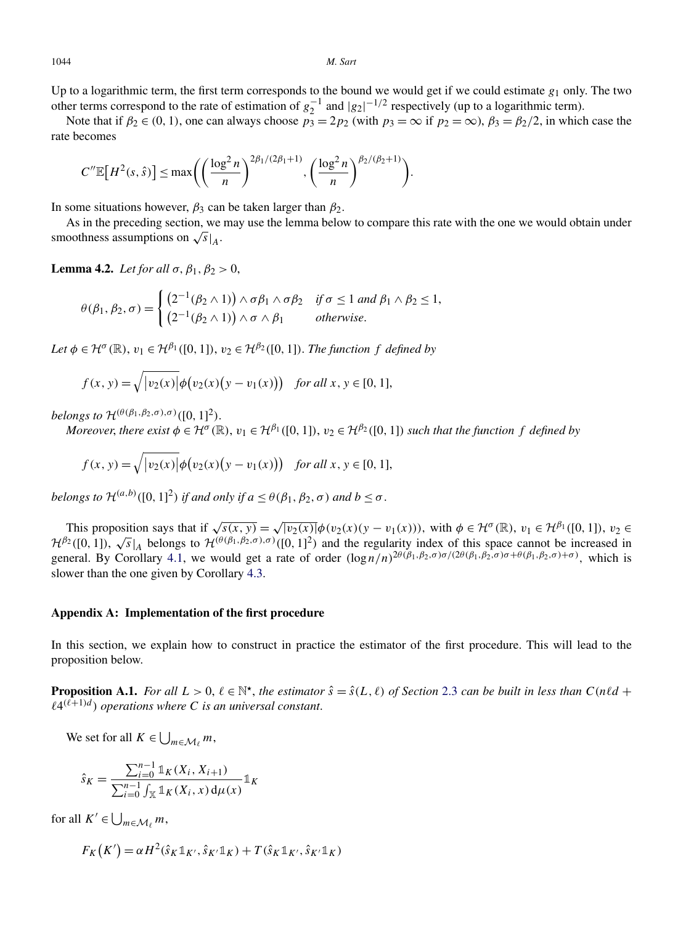<span id="page-16-0"></span>

Up to a logarithmic term, the first term corresponds to the bound we would get if we could estimate *g*<sup>1</sup> only. The two other terms correspond to the rate of estimation of  $g_2^{-1}$  and  $|g_2|^{-1/2}$  respectively (up to a logarithmic term).

Note that if  $\beta_2 \in (0, 1)$ , one can always choose  $p_3 = 2p_2$  (with  $p_3 = \infty$  if  $p_2 = \infty$ ),  $\beta_3 = \beta_2/2$ , in which case the rate becomes

$$
C''\mathbb{E}[H^{2}(s,\hat{s})] \leq \max\biggl(\biggl(\frac{\log^{2} n}{n}\biggr)^{2\beta_{1}/(2\beta_{1}+1)},\biggl(\frac{\log^{2} n}{n}\biggr)^{\beta_{2}/(\beta_{2}+1)}\biggr).
$$

In some situations however,  $\beta_3$  can be taken larger than  $\beta_2$ .

As in the preceding section, we may use the lemma below to compare this rate with the one we would obtain under smoothness assumptions on  $\sqrt{s}|_A$ .

**Lemma 4.2.** *Let for all*  $\sigma$ ,  $\beta_1$ ,  $\beta_2$  > 0,

$$
\theta(\beta_1, \beta_2, \sigma) = \begin{cases}\n\left(2^{-1}(\beta_2 \wedge 1)\right) \wedge \sigma \beta_1 \wedge \sigma \beta_2 & \text{if } \sigma \le 1 \text{ and } \beta_1 \wedge \beta_2 \le 1, \\
\left(2^{-1}(\beta_2 \wedge 1)\right) \wedge \sigma \wedge \beta_1 & \text{otherwise.} \n\end{cases}
$$

*Let*  $\phi \in \mathcal{H}^{\sigma}(\mathbb{R})$ ,  $v_1 \in \mathcal{H}^{\beta_1}([0,1])$ ,  $v_2 \in \mathcal{H}^{\beta_2}([0,1])$ . *The function f defined by* 

$$
f(x, y) = \sqrt{|v_2(x)|} \phi(v_2(x)(y - v_1(x))) \text{ for all } x, y \in [0, 1],
$$

*belongs to*  $\mathcal{H}^{(\theta(\beta_1, \beta_2, \sigma), \sigma)}([0, 1]^2)$ .

Moreover, there exist  $\phi \in H^{\sigma}(\mathbb{R})$ ,  $v_1 \in H^{\beta_1}([0,1])$ ,  $v_2 \in H^{\beta_2}([0,1])$  such that the function f defined by

$$
f(x, y) = \sqrt{|v_2(x)|} \phi(v_2(x)(y - v_1(x))) \text{ for all } x, y \in [0, 1],
$$

*belongs to*  $\mathcal{H}^{(a,b)}([0,1]^2)$  *if and only if*  $a \leq \theta(\beta_1, \beta_2, \sigma)$  *and*  $b \leq \sigma$ .

This proposition says that if  $\sqrt{s(x, y)} = \sqrt{|v_2(x)|} \phi(v_2(x)(y - v_1(x)))$ , with  $\phi \in \mathcal{H}^{\sigma}(\mathbb{R})$ ,  $v_1 \in \mathcal{H}^{\beta_1}([0, 1])$ ,  $v_2 \in \mathcal{H}^{\beta_2}([0, 1])$ His proposition says that  $\pi \sqrt{s(x, y)} = \sqrt{v_2(x)/\varphi(v_2(x)(y - v_1(x)))}$ , with  $\varphi \in \pi$  (ks),  $v_1 \in \pi$  ([0, 1]),  $v_2 \in \mathbb{R}^2$  ([0, 1]),  $\sqrt{s}|_A$  belongs to  $\mathcal{H}^{(\theta(\beta_1, \beta_2, \sigma), \sigma)}([0, 1]^2)$  and the regularity index of this s general. By Corollary [4.1,](#page-13-0) we would get a rate of order *(*log *n/n)*2*θ(β*1*,β*2*,σ)σ/(*2*θ(β*1*,β*2*,σ)σ*+*θ(β*1*,β*2*,σ)*<sup>+</sup>*σ),* which is slower than the one given by Corollary [4.3.](#page-15-0)

# **Appendix A: Implementation of the first procedure**

In this section, we explain how to construct in practice the estimator of the first procedure. This will lead to the proposition below.

**Proposition A.1.** *For all*  $L > 0$ ,  $\ell \in \mathbb{N}^*$ , *the estimator*  $\hat{s} = \hat{s}(L,\ell)$  *of Section* [2.3](#page-3-0) *can be built in less than*  $C(n\ell d + \ell)$  $\ell 4^{(\ell+1)d}$  *operations where* C *is an universal constant.* 

We set for all  $K \in \bigcup_{m \in \mathcal{M}_{\ell}} m$ ,

$$
\hat{s}_K = \frac{\sum_{i=0}^{n-1} \mathbb{1}_K(X_i, X_{i+1})}{\sum_{i=0}^{n-1} \int_{\mathbb{X}} \mathbb{1}_K(X_i, x) d\mu(x)} \mathbb{1}_K
$$

for all  $K' \in \bigcup_{m \in \mathcal{M}_\ell} m$ ,

$$
F_K(K') = \alpha H^2(\hat{s}_K \mathbb{1}_{K'}, \hat{s}_{K'} \mathbb{1}_K) + T(\hat{s}_K \mathbb{1}_{K'}, \hat{s}_{K'} \mathbb{1}_K)
$$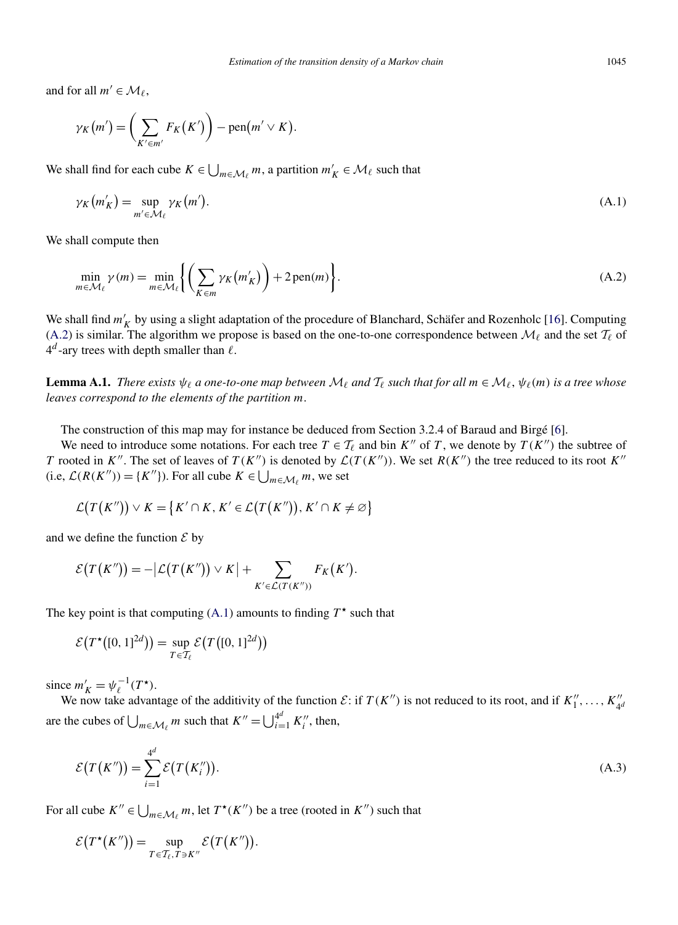<span id="page-17-0"></span>and for all  $m' \in \mathcal{M}_{\ell}$ ,

$$
\gamma_K(m') = \bigg(\sum_{K' \in m'} F_K(K')\bigg) - \text{pen}(m' \vee K).
$$

We shall find for each cube  $K \in \bigcup_{m \in \mathcal{M}_\ell} m$ , a partition  $m'_K \in \mathcal{M}_\ell$  such that

$$
\gamma_K(m'_K) = \sup_{m' \in \mathcal{M}_\ell} \gamma_K(m'). \tag{A.1}
$$

We shall compute then

$$
\min_{m \in \mathcal{M}_{\ell}} \gamma(m) = \min_{m \in \mathcal{M}_{\ell}} \left\{ \left( \sum_{K \in m} \gamma_K(m_K') \right) + 2 \operatorname{pen}(m) \right\}.
$$
\n(A.2)

We shall find  $m'_K$  by using a slight adaptation of the procedure of Blanchard, Schäfer and Rozenholc [\[16\]](#page-39-0). Computing (A.2) is similar. The algorithm we propose is based on the one-to-one correspondence between  $\mathcal{M}_{\ell}$  and the set  $\mathcal{T}_{\ell}$  of  $4^d$ -ary trees with depth smaller than  $\ell$ .

**Lemma A.1.** *There exists*  $\psi_{\ell}$  *a one-to-one map between*  $\mathcal{M}_{\ell}$  *and*  $\mathcal{T}_{\ell}$  *such that for all*  $m \in \mathcal{M}_{\ell}$ ,  $\psi_{\ell}(m)$  *is a tree whose leaves correspond to the elements of the partition m*.

The construction of this map may for instance be deduced from Section 3.2.4 of Baraud and Birgé [\[6\]](#page-39-0).

We need to introduce some notations. For each tree  $T \in \mathcal{T}_{\ell}$  and bin  $K''$  of *T*, we denote by  $T(K'')$  the subtree of *T* rooted in *K<sup>n</sup>*. The set of leaves of  $T(K^n)$  is denoted by  $\mathcal{L}(T(K^n))$ . We set  $R(K^n)$  the tree reduced to its root  $K^n$ (i.e,  $\mathcal{L}(R(K'')) = \{K''\}\)$ . For all cube  $K \in \bigcup_{m \in \mathcal{M}_{\ell}} m$ , we set

$$
\mathcal{L}(T(K'')) \vee K = \{K' \cap K, K' \in \mathcal{L}(T(K'')), K' \cap K \neq \emptyset\}
$$

and we define the function  $\mathcal E$  by

$$
\mathcal{E}(T(K'')) = -|\mathcal{L}(T(K'')) \vee K| + \sum_{K' \in \mathcal{L}(T(K''))} F_K(K').
$$

The key point is that computing  $(A.1)$  amounts to finding  $T^*$  such that

$$
\mathcal{E}\big(T^{\star}\big([0,1]^{2d}\big)\big) = \sup_{T \in \mathcal{T}_{\ell}} \mathcal{E}\big(T\big([0,1]^{2d}\big)\big)
$$

since  $m'_K = \psi_{\ell}^{-1}(T^*)$ .

We now take advantage of the additivity of the function  $\mathcal{E}$ : if  $T(K'')$  is not reduced to its root, and if  $K''_1, \ldots, K''_{4^d}$ are the cubes of  $\bigcup_{m \in \mathcal{M}_\ell} m$  such that  $K'' = \bigcup_{i=1}^{4^d} K''_i$ , then,

$$
\mathcal{E}(T(K'')) = \sum_{i=1}^{4^d} \mathcal{E}(T(K''_i)).
$$
\n(A.3)

For all cube  $K'' \in \bigcup_{m \in \mathcal{M}_{\ell}} m$ , let  $T^*(K'')$  be a tree (rooted in  $K''$ ) such that

$$
\mathcal{E}(T^{\star}(K'')) = \sup_{T \in \mathcal{T}_{\ell}, T \ni K''} \mathcal{E}(T(K'')).
$$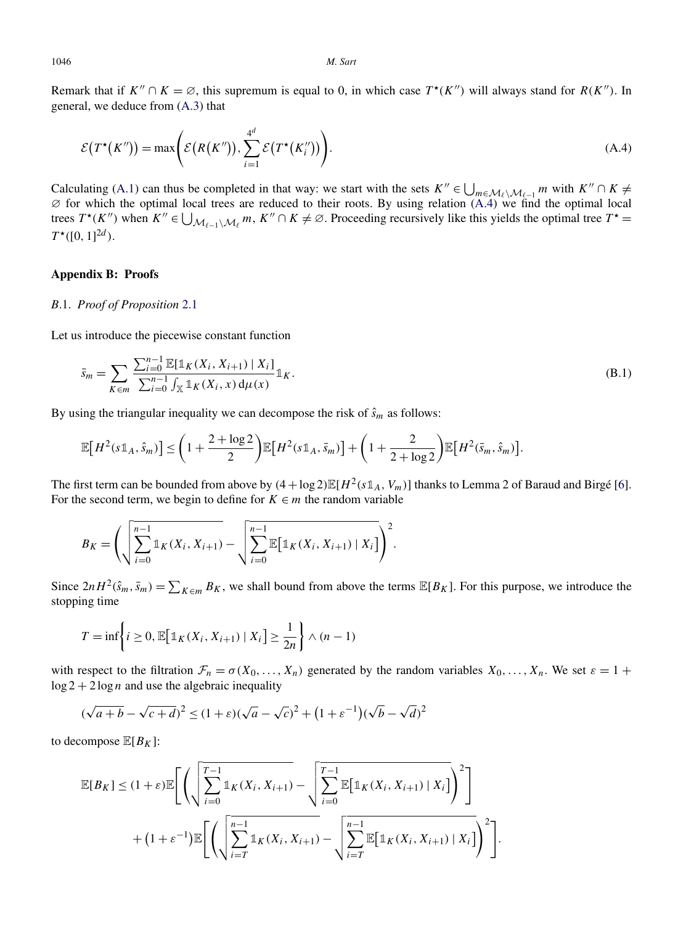<span id="page-18-0"></span>Remark that if  $K'' \cap K = \emptyset$ , this supremum is equal to 0, in which case  $T^*(K'')$  will always stand for  $R(K'')$ . In general, we deduce from [\(A.3\)](#page-17-0) that

$$
\mathcal{E}(T^{\star}(K'')) = \max\left(\mathcal{E}(R(K'')), \sum_{i=1}^{4^d} \mathcal{E}(T^{\star}(K''_i))\right).
$$
\n(A.4)

Calculating [\(A.1\)](#page-17-0) can thus be completed in that way: we start with the sets  $K'' \in \bigcup_{m \in \mathcal{M}_{\ell}} M_{\ell-1} m$  with  $K'' \cap K \neq \emptyset$  $\varnothing$  for which the optimal local trees are reduced to their roots. By using relation (A.4) we find the optimal local trees  $T^*(K'')$  when  $K'' \in \bigcup_{\mathcal{M}_{\ell-1}\setminus\mathcal{M}_{\ell}} m$ ,  $K'' \cap K \neq \emptyset$ . Proceeding recursively like this yields the optimal tree  $T^* =$  $T^{\star}([0, 1]^{2d})$ .

# **Appendix B: Proofs**

## *B*.1. *Proof of Proposition* [2.1](#page-3-0)

Let us introduce the piecewise constant function

$$
\bar{s}_m = \sum_{K \in m} \frac{\sum_{i=0}^{n-1} \mathbb{E}[\mathbb{1}_K(X_i, X_{i+1}) | X_i]}{\sum_{i=0}^{n-1} \int_{\mathbb{X}} \mathbb{1}_K(X_i, x) d\mu(x)} \mathbb{1}_K.
$$
\n(B.1)

By using the triangular inequality we can decompose the risk of  $\hat{s}_m$  as follows:

$$
\mathbb{E}\big[H^2(s\mathbb{1}_A,\hat{s}_m)\big] \leq \bigg(1+\frac{2+\log 2}{2}\bigg)\mathbb{E}\big[H^2(s\mathbb{1}_A,\bar{s}_m)\big] + \bigg(1+\frac{2}{2+\log 2}\bigg)\mathbb{E}\big[H^2(\bar{s}_m,\hat{s}_m)\big].
$$

The first term can be bounded from above by  $(4 + \log 2) \mathbb{E}[H^2(\text{sl}_A, V_m)]$  thanks to Lemma 2 of Baraud and Birgé [\[6\]](#page-39-0). For the second term, we begin to define for  $K \in m$  the random variable

$$
B_K = \left( \sqrt{\sum_{i=0}^{n-1} \mathbb{1}_K(X_i, X_{i+1})} - \sqrt{\sum_{i=0}^{n-1} \mathbb{E}[\mathbb{1}_K(X_i, X_{i+1}) | X_i]} \right)^2.
$$

Since  $2nH^2(\hat{s}_m, \bar{s}_m) = \sum_{K \in \mathbb{R}} B_K$ , we shall bound from above the terms  $\mathbb{E}[B_K]$ . For this purpose, we introduce the stopping time

$$
T = \inf \left\{ i \ge 0, \mathbb{E} \big[ \mathbb{1}_K(X_i, X_{i+1}) \mid X_i \big] \ge \frac{1}{2n} \right\} \wedge (n-1)
$$

with respect to the filtration  $\mathcal{F}_n = \sigma(X_0, \ldots, X_n)$  generated by the random variables  $X_0, \ldots, X_n$ . We set  $\varepsilon = 1 +$  $\log 2 + 2 \log n$  and use the algebraic inequality

$$
(\sqrt{a+b} - \sqrt{c+d})^2 \le (1+\varepsilon)(\sqrt{a} - \sqrt{c})^2 + (1+\varepsilon^{-1})(\sqrt{b} - \sqrt{d})^2
$$

to decompose  $\mathbb{E}[B_K]$ :

$$
\mathbb{E}[B_K] \leq (1+\varepsilon)\mathbb{E}\Bigg[\Bigg(\sqrt{\sum_{i=0}^{T-1} \mathbb{1}_K(X_i, X_{i+1})} - \sqrt{\sum_{i=0}^{T-1} \mathbb{E}\big[\mathbb{1}_K(X_i, X_{i+1}) \mid X_i\big]}\Bigg)^2\Bigg] + (1+\varepsilon^{-1})\mathbb{E}\Bigg[\Bigg(\sqrt{\sum_{i=T}^{n-1} \mathbb{1}_K(X_i, X_{i+1})} - \sqrt{\sum_{i=T}^{n-1} \mathbb{E}\big[\mathbb{1}_K(X_i, X_{i+1}) \mid X_i\big]}\Bigg)^2\Bigg].
$$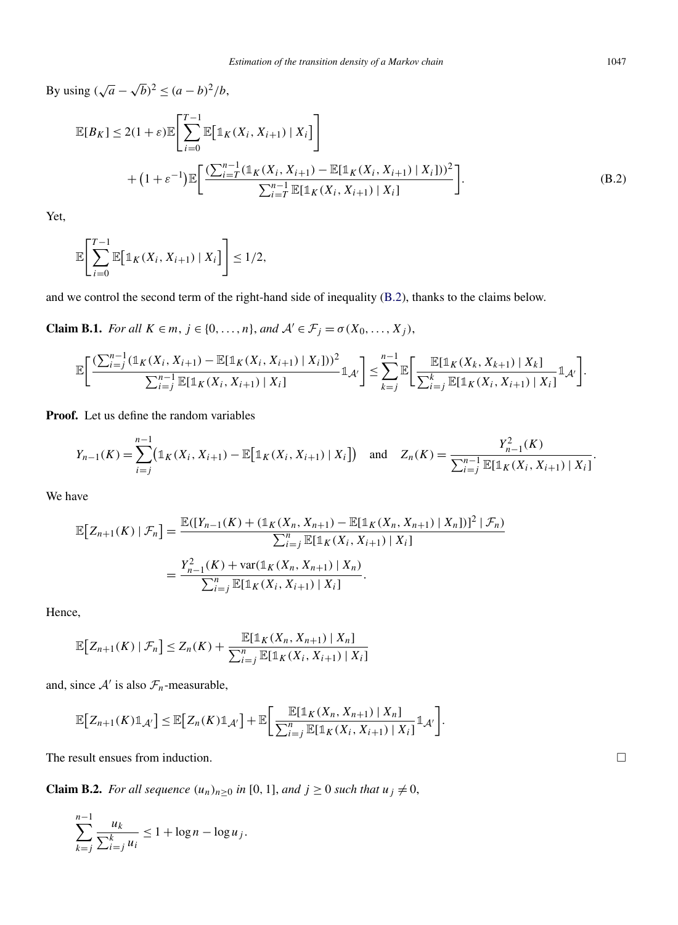<span id="page-19-0"></span>*By* using  $(\sqrt{a} - \sqrt{b})^2$  ≤  $(a - b)^2/b$ ,

$$
\mathbb{E}[B_K] \le 2(1+\varepsilon)\mathbb{E}\Bigg[\sum_{i=0}^{T-1} \mathbb{E}\big[\mathbb{1}_K(X_i, X_{i+1}) | X_i\big]\Bigg] + (1+\varepsilon^{-1})\mathbb{E}\bigg[\frac{(\sum_{i=T}^{n-1} (\mathbb{1}_K(X_i, X_{i+1}) - \mathbb{E}[\mathbb{1}_K(X_i, X_{i+1}) | X_i]))^2}{\sum_{i=T}^{n-1} \mathbb{E}[\mathbb{1}_K(X_i, X_{i+1}) | X_i]} \Bigg].
$$
\n(B.2)

Yet,

$$
\mathbb{E}\Bigg[\sum_{i=0}^{T-1}\mathbb{E}\big[\mathbb{1}_K(X_i,X_{i+1})\mid X_i\big]\Bigg]\leq 1/2,
$$

and we control the second term of the right-hand side of inequality (B.2), thanks to the claims below.

**Claim B.1.** *For all*  $K \in m$ ,  $j \in \{0, ..., n\}$ , *and*  $\mathcal{A}' \in \mathcal{F}_j = \sigma(X_0, ..., X_j)$ ,

$$
\mathbb{E}\bigg[\frac{\left(\sum_{i=j}^{n-1}(\mathbb{1}_{K}(X_{i}, X_{i+1})-\mathbb{E}[\mathbb{1}_{K}(X_{i}, X_{i+1})\mid X_{i}]\right)^{2}}{\sum_{i=j}^{n-1}\mathbb{E}[\mathbb{1}_{K}(X_{i}, X_{i+1})\mid X_{i}]}\mathbb{1}_{A'}\bigg]\leq \sum_{k=j}^{n-1}\mathbb{E}\bigg[\frac{\mathbb{E}[\mathbb{1}_{K}(X_{k}, X_{k+1})\mid X_{k}]}{\sum_{i=j}^{k}\mathbb{E}[\mathbb{1}_{K}(X_{i}, X_{i+1})\mid X_{i}]} \mathbb{1}_{A'}\bigg].
$$

**Proof.** Let us define the random variables

$$
Y_{n-1}(K) = \sum_{i=j}^{n-1} \bigl( \mathbb{1}_K(X_i, X_{i+1}) - \mathbb{E} \bigl[ \mathbb{1}_K(X_i, X_{i+1}) \mid X_i \bigr] \bigr) \quad \text{and} \quad Z_n(K) = \frac{Y_{n-1}^2(K)}{\sum_{i=j}^{n-1} \mathbb{E} [\mathbb{1}_K(X_i, X_{i+1}) \mid X_i]}.
$$

We have

$$
\mathbb{E}\big[Z_{n+1}(K) \mid \mathcal{F}_n\big] = \frac{\mathbb{E}([Y_{n-1}(K) + (\mathbb{1}_K(X_n, X_{n+1}) - \mathbb{E}[\mathbb{1}_K(X_n, X_{n+1}) | X_n])]^2 \mid \mathcal{F}_n)}{\sum_{i=j}^n \mathbb{E}[\mathbb{1}_K(X_i, X_{i+1}) | X_i]}
$$

$$
= \frac{Y_{n-1}^2(K) + \text{var}(\mathbb{1}_K(X_n, X_{n+1}) | X_n)}{\sum_{i=j}^n \mathbb{E}[\mathbb{1}_K(X_i, X_{i+1}) | X_i]}.
$$

Hence,

$$
\mathbb{E}[Z_{n+1}(K) | \mathcal{F}_n] \le Z_n(K) + \frac{\mathbb{E}[\mathbb{1}_K(X_n, X_{n+1}) | X_n]}{\sum_{i=1}^n \mathbb{E}[\mathbb{1}_K(X_i, X_{i+1}) | X_i]}
$$

and, since  $A'$  is also  $\mathcal{F}_n$ -measurable,

$$
\mathbb{E}\big[Z_{n+1}(K)\mathbb{1}_{\mathcal{A}'}\big] \leq \mathbb{E}\big[Z_n(K)\mathbb{1}_{\mathcal{A}'}\big] + \mathbb{E}\bigg[\frac{\mathbb{E}\big[\mathbb{1}_K(X_n,X_{n+1})\mid X_n\big]}{\sum_{i=j}^n \mathbb{E}\big[\mathbb{1}_K(X_i,X_{i+1})\mid X_i\big]}\mathbb{1}_{\mathcal{A}'}\bigg].
$$

The result ensues from induction.

**Claim B.2.** *For all sequence*  $(u_n)_{n\geq 0}$  *in* [0, 1], *and*  $j \geq 0$  *such that*  $u_j \neq 0$ ,

$$
\sum_{k=j}^{n-1} \frac{u_k}{\sum_{i=j}^k u_i} \le 1 + \log n - \log u_j.
$$

 $\Box$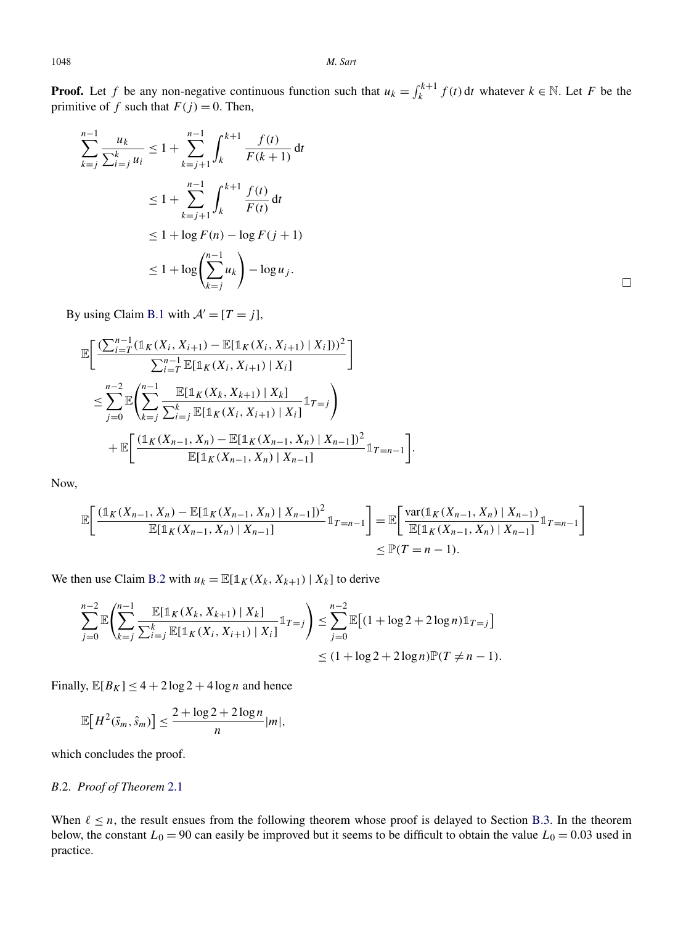**Proof.** Let *f* be any non-negative continuous function such that  $u_k = \int_k^{k+1} f(t) dt$  whatever  $k \in \mathbb{N}$ . Let *F* be the primitive of *f* such that  $F(j) = 0$ . Then,

$$
\sum_{k=j}^{n-1} \frac{u_k}{\sum_{i=j}^k u_i} \le 1 + \sum_{k=j+1}^{n-1} \int_k^{k+1} \frac{f(t)}{F(k+1)} dt
$$
  

$$
\le 1 + \sum_{k=j+1}^{n-1} \int_k^{k+1} \frac{f(t)}{F(t)} dt
$$
  

$$
\le 1 + \log F(n) - \log F(j+1)
$$
  

$$
\le 1 + \log \left(\sum_{k=j}^{n-1} u_k\right) - \log u_j.
$$

By using Claim [B.1](#page-19-0) with  $A' = [T = j]$ ,

$$
\mathbb{E}\bigg[\frac{\left(\sum_{i=T}^{n-1}(\mathbb{1}_{K}(X_{i}, X_{i+1}) - \mathbb{E}[\mathbb{1}_{K}(X_{i}, X_{i+1}) | X_{i}])\right)^{2}}{\sum_{i=T}^{n-1} \mathbb{E}[\mathbb{1}_{K}(X_{i}, X_{i+1}) | X_{i}]}\bigg] \n\leq \sum_{j=0}^{n-2} \mathbb{E}\bigg(\sum_{k=j}^{n-1} \frac{\mathbb{E}[\mathbb{1}_{K}(X_{k}, X_{k+1}) | X_{k}]}{\sum_{i=j}^{k} \mathbb{E}[\mathbb{1}_{K}(X_{i}, X_{i+1}) | X_{i}]} \mathbb{1}_{T=j}\bigg) \n+ \mathbb{E}\bigg[\frac{(\mathbb{1}_{K}(X_{n-1}, X_{n}) - \mathbb{E}[\mathbb{1}_{K}(X_{n-1}, X_{n}) | X_{n-1}])^{2}}{\mathbb{E}[\mathbb{1}_{K}(X_{n-1}, X_{n}) | X_{n-1}]} \mathbb{1}_{T=n-1}\bigg].
$$

Now,

$$
\mathbb{E}\left[\frac{(\mathbb{1}_{K}(X_{n-1}, X_{n}) - \mathbb{E}[\mathbb{1}_{K}(X_{n-1}, X_{n}) | X_{n-1}])^{2}}{\mathbb{E}[\mathbb{1}_{K}(X_{n-1}, X_{n}) | X_{n-1}]} \mathbb{1}_{T=n-1}\right] = \mathbb{E}\left[\frac{\text{var}(\mathbb{1}_{K}(X_{n-1}, X_{n}) | X_{n-1})}{\mathbb{E}[\mathbb{1}_{K}(X_{n-1}, X_{n}) | X_{n-1}]} \mathbb{1}_{T=n-1}\right]
$$
  
\$\leq \mathbb{P}(T=n-1).

We then use Claim [B.2](#page-19-0) with  $u_k = \mathbb{E}[\mathbb{1}_K(X_k, X_{k+1}) | X_k]$  to derive

$$
\sum_{j=0}^{n-2} \mathbb{E}\left(\sum_{k=j}^{n-1} \frac{\mathbb{E}[\mathbb{1}_K(X_k, X_{k+1}) | X_k]}{\sum_{i=j}^k \mathbb{E}[\mathbb{1}_K(X_i, X_{i+1}) | X_i]} \mathbb{1}_{T=j}\right) \leq \sum_{j=0}^{n-2} \mathbb{E}[(1 + \log 2 + 2\log n)\mathbb{1}_{T=j}]
$$
  

$$
\leq (1 + \log 2 + 2\log n)\mathbb{P}(T \neq n - 1).
$$

Finally,  $\mathbb{E}[B_K] \leq 4 + 2 \log 2 + 4 \log n$  and hence

$$
\mathbb{E}\big[H^2(\bar{s}_m,\hat{s}_m)\big] \le \frac{2+\log 2+2\log n}{n}|m|,
$$

which concludes the proof.

# *B*.2. *Proof of Theorem* [2.1](#page-5-0)

When  $\ell \leq n$ , the result ensues from the following theorem whose proof is delayed to Section [B.3.](#page-21-0) In the theorem below, the constant  $L_0 = 90$  can easily be improved but it seems to be difficult to obtain the value  $L_0 = 0.03$  used in practice.

 $\Box$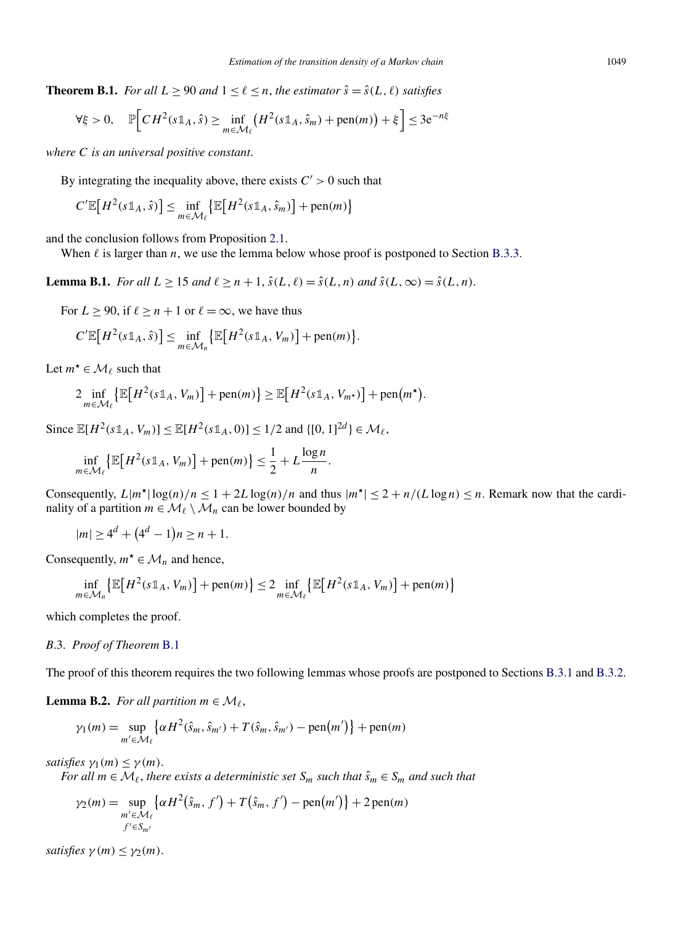<span id="page-21-0"></span>**Theorem B.1.** *For all*  $L \geq 90$  *and*  $1 \leq \ell \leq n$ *, the estimator*  $\hat{s} = \hat{s}(L,\ell)$  *satisfies* 

$$
\forall \xi > 0, \quad \mathbb{P}\Big[CH^2(s\mathbb{1}_A, \hat{s}) \ge \inf_{m \in \mathcal{M}_\ell} \left(H^2(s\mathbb{1}_A, \hat{s}_m) + \text{pen}(m)\right) + \xi\Big] \le 3e^{-n\xi}
$$

*where C is an universal positive constant*.

By integrating the inequality above, there exists  $C' > 0$  such that

$$
C'\mathbb{E}\big[H^2(s\mathbb{1}_A,\hat{s})\big] \le \inf_{m\in\mathcal{M}_{\ell}}\big\{\mathbb{E}\big[H^2(s\mathbb{1}_A,\hat{s}_m)\big] + \text{pen}(m)\big\}
$$

and the conclusion follows from Proposition [2.1.](#page-3-0)

When  $\ell$  is larger than  $n$ , we use the lemma below whose proof is postponed to Section [B.3.3.](#page-28-0)

**Lemma B.1.** *For all*  $L > 15$  *and*  $\ell > n + 1$ ,  $\hat{s}(L, \ell) = \hat{s}(L, n)$  *and*  $\hat{s}(L, \infty) = \hat{s}(L, n)$ .

For  $L \ge 90$ , if  $\ell \ge n + 1$  or  $\ell = \infty$ , we have thus

$$
C'\mathbb{E}\big[H^2(s\mathbb{1}_A,\hat{s})\big]\leq \inf_{m\in\mathcal{M}_n}\big\{\mathbb{E}\big[H^2(s\mathbb{1}_A,V_m)\big]+ \text{pen}(m)\big\}.
$$

Let  $m^* \in \mathcal{M}_\ell$  such that

$$
2\inf_{m\in\mathcal{M}_{\ell}}\left\{\mathbb{E}\left[H^{2}(s\mathbb{1}_{A}, V_{m})\right]+\operatorname{pen}(m)\right\}\geq\mathbb{E}\left[H^{2}(s\mathbb{1}_{A}, V_{m^{\star}})\right]+\operatorname{pen}(m^{\star}).
$$

Since  $\mathbb{E}[H^2(s\mathbb{1}_A, V_m)] \le \mathbb{E}[H^2(s\mathbb{1}_A, 0)] \le 1/2$  and  $\{[0, 1]^{2d}\} \in \mathcal{M}_{\ell}$ ,

$$
\inf_{m \in \mathcal{M}_{\ell}} \left\{ \mathbb{E} \big[ H^2(s \mathbb{1}_A, V_m) \big] + \text{pen}(m) \right\} \le \frac{1}{2} + L \frac{\log n}{n}.
$$

Consequently,  $L|m^*| \log(n)/n \leq 1 + 2L \log(n)/n$  and thus  $|m^*| \leq 2 + n/(L \log n) \leq n$ . Remark now that the cardinality of a partition  $m \in \mathcal{M}_{\ell} \setminus \mathcal{M}_n$  can be lower bounded by

$$
|m| \ge 4^d + (4^d - 1)n \ge n + 1.
$$

Consequently,  $m^* \in \mathcal{M}_n$  and hence,

$$
\inf_{m \in \mathcal{M}_n} \left\{ \mathbb{E} \left[ H^2(s \mathbb{1}_A, V_m) \right] + \text{pen}(m) \right\} \le 2 \inf_{m \in \mathcal{M}_\ell} \left\{ \mathbb{E} \left[ H^2(s \mathbb{1}_A, V_m) \right] + \text{pen}(m) \right\}
$$

which completes the proof.

#### *B*.3. *Proof of Theorem* B.1

The proof of this theorem requires the two following lemmas whose proofs are postponed to Sections [B.3.1](#page-23-0) and [B.3.2.](#page-24-0)

**Lemma B.2.** *For all partition*  $m \in \mathcal{M}_{\ell}$ ,

$$
\gamma_1(m) = \sup_{m' \in \mathcal{M}_\ell} \left\{ \alpha H^2(\hat{s}_m, \hat{s}_{m'}) + T(\hat{s}_m, \hat{s}_{m'}) - \text{pen}(m') \right\} + \text{pen}(m)
$$

*satisfies*  $\gamma_1(m) \leq \gamma(m)$ .

*For all*  $m \in \mathcal{M}_{\ell}$ , *there exists a deterministic set*  $S_m$  *such that*  $\hat{s}_m \in S_m$  *and such that* 

$$
\gamma_2(m) = \sup_{\substack{m' \in \mathcal{M}_{\ell} \\ f' \in S_{m'}}} \{ \alpha H^2(\hat{s}_m, f') + T(\hat{s}_m, f') - \text{pen}(m') \} + 2 \text{pen}(m)
$$

*satisfies*  $\gamma(m) \leq \gamma_2(m)$ .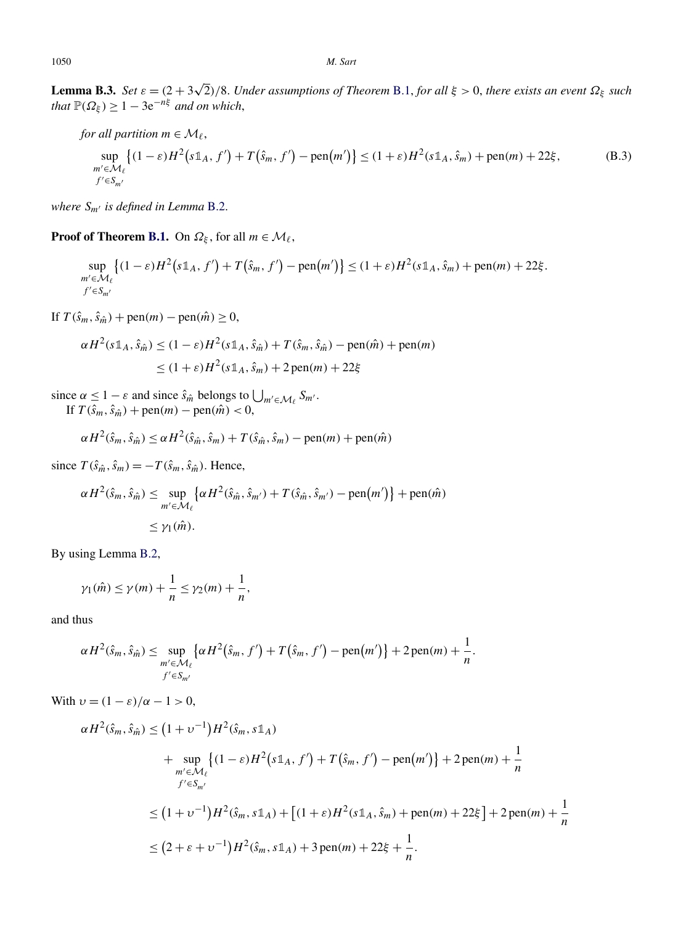<span id="page-22-0"></span>**Lemma B.3.** *Set ε* = *(*2 + 3 <sup>√</sup>2*)/*8. *Under assumptions of Theorem* [B.1,](#page-21-0) *for all ξ >* 0, *there exists an event Ωξ such that*  $\mathbb{P}(\Omega_{\xi}) \geq 1 - 3e^{-n\xi}$  *and on which*,

for all partition 
$$
m \in \mathcal{M}_{\ell}
$$
,  
\n
$$
\sup_{m' \in \mathcal{M}_{\ell}} \left\{ (1 - \varepsilon) H^2(s \mathbb{1}_A, f') + T(\hat{s}_m, f') - \text{pen}(m') \right\} \le (1 + \varepsilon) H^2(s \mathbb{1}_A, \hat{s}_m) + \text{pen}(m) + 22\xi,
$$
\n(B.3)  
\n $f' \in S_{m'}$ 

*where*  $S_{m'}$  *is defined in Lemma* [B.2.](#page-21-0)

**Proof of Theorem [B.1.](#page-21-0)** On  $\Omega_{\xi}$ , for all  $m \in \mathcal{M}_{\ell}$ ,

$$
\sup_{m'\in\mathcal{M}_{\ell}}\left\{(1-\varepsilon)H^2\big(s\mathbb{1}_A,f'\big)+T\big(\hat{s}_m,f'\big)-\text{pen}\big(m'\big)\right\}\leq(1+\varepsilon)H^2(s\mathbb{1}_A,\hat{s}_m)+\text{pen}(m)+22\xi.
$$
  

$$
f'\in S_{m'}
$$

If *T*( $\hat{s}_m$ ,  $\hat{s}_{\hat{m}}$ ) + pen(*m*) − pen( $\hat{m}$ ) ≥ 0,

$$
\alpha H^2(s\mathbb{1}_A, \hat{s}_{\hat{m}}) \le (1 - \varepsilon)H^2(s\mathbb{1}_A, \hat{s}_{\hat{m}}) + T(\hat{s}_m, \hat{s}_{\hat{m}}) - \text{pen}(\hat{m}) + \text{pen}(m)
$$
  

$$
\le (1 + \varepsilon)H^2(s\mathbb{1}_A, \hat{s}_m) + 2\text{pen}(m) + 22\xi
$$

since  $\alpha \leq 1 - \varepsilon$  and since  $\hat{s}_{\hat{m}}$  belongs to  $\bigcup_{m' \in \mathcal{M}_{\ell}} S_{m'}$ . If *T*( $\hat{s}_m$ , $\hat{s}_{\hat{m}}$ ) + pen(*m*) − pen( $\hat{m}$ ) < 0,

$$
\alpha H^2(\hat{s}_m, \hat{s}_{\hat{m}}) \le \alpha H^2(\hat{s}_{\hat{m}}, \hat{s}_m) + T(\hat{s}_{\hat{m}}, \hat{s}_m) - \text{pen}(m) + \text{pen}(\hat{m})
$$

since  $T(\hat{s}_{\hat{m}}, \hat{s}_{m}) = -T(\hat{s}_{m}, \hat{s}_{\hat{m}})$ . Hence,

$$
\alpha H^2(\hat{s}_m, \hat{s}_{\hat{m}}) \le \sup_{m' \in \mathcal{M}_{\ell}} \left\{ \alpha H^2(\hat{s}_{\hat{m}}, \hat{s}_{m'}) + T(\hat{s}_{\hat{m}}, \hat{s}_{m'}) - \text{pen}(m') \right\} + \text{pen}(\hat{m})
$$
  

$$
\le \gamma_1(\hat{m}).
$$

By using Lemma [B.2,](#page-21-0)

$$
\gamma_1(\hat{m}) \le \gamma(m) + \frac{1}{n} \le \gamma_2(m) + \frac{1}{n},
$$

and thus

$$
\alpha H^2(\hat{s}_m, \hat{s}_{\hat{m}}) \leq \sup_{\substack{m' \in \mathcal{M}_{\ell} \\ f' \in S_{m'}}} \left\{ \alpha H^2(\hat{s}_m, f') + T(\hat{s}_m, f') - \text{pen}(m') \right\} + 2 \text{ pen}(m) + \frac{1}{n}.
$$

With  $v = (1 - \varepsilon)/\alpha - 1 > 0$ ,

$$
\alpha H^{2}(\hat{s}_{m}, \hat{s}_{\hat{m}}) \leq (1 + \nu^{-1}) H^{2}(\hat{s}_{m}, s\mathbb{1}_{A})
$$
  
+ 
$$
\sup_{m' \in \mathcal{M}_{\ell}} \left\{ (1 - \varepsilon) H^{2}(s\mathbb{1}_{A}, f') + T(\hat{s}_{m}, f') - \text{pen}(m') \right\} + 2 \text{ pen}(m) + \frac{1}{n}
$$
  

$$
f' \in S_{m'}
$$
  

$$
\leq (1 + \nu^{-1}) H^{2}(\hat{s}_{m}, s\mathbb{1}_{A}) + \left[ (1 + \varepsilon) H^{2}(s\mathbb{1}_{A}, \hat{s}_{m}) + \text{pen}(m) + 22\xi \right] + 2 \text{ pen}(m) + \frac{1}{n}
$$
  

$$
\leq (2 + \varepsilon + \nu^{-1}) H^{2}(\hat{s}_{m}, s\mathbb{1}_{A}) + 3 \text{ pen}(m) + 22\xi + \frac{1}{n}.
$$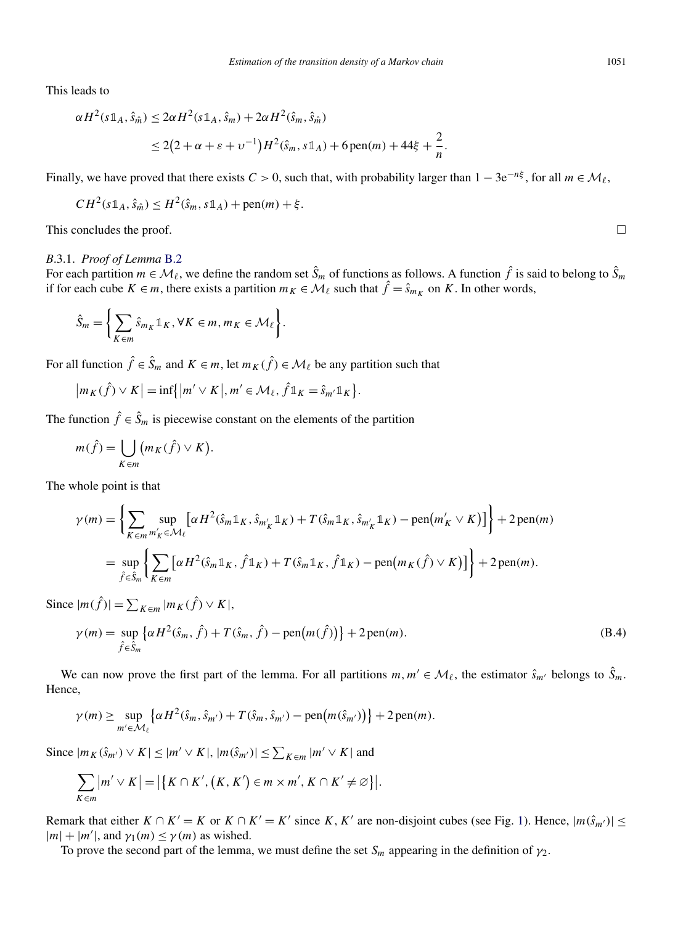<span id="page-23-0"></span>This leads to

$$
\alpha H^{2}(s \mathbb{1}_{A}, \hat{s}_{\hat{m}}) \leq 2\alpha H^{2}(s \mathbb{1}_{A}, \hat{s}_{m}) + 2\alpha H^{2}(\hat{s}_{m}, \hat{s}_{\hat{m}})
$$
  

$$
\leq 2(2 + \alpha + \varepsilon + \upsilon^{-1})H^{2}(\hat{s}_{m}, s \mathbb{1}_{A}) + 6 \operatorname{pen}(m) + 44\xi + \frac{2}{n}.
$$

Finally, we have proved that there exists  $C > 0$ , such that, with probability larger than  $1 - 3e^{-n\xi}$ , for all  $m \in M_\ell$ ,

$$
CH^2(s\mathbb{1}_A, \hat{s}_{\hat{m}}) \leq H^2(\hat{s}_m, s\mathbb{1}_A) + \text{pen}(m) + \xi.
$$

This concludes the proof.  $\Box$ 

#### *B*.3.1. *Proof of Lemma* [B.2](#page-21-0)

For each partition  $m \in \mathcal{M}_{\ell}$ , we define the random set  $\hat{S}_m$  of functions as follows. A function  $\hat{f}$  is said to belong to  $\hat{S}_m$ if for each cube  $K \in m$ , there exists a partition  $m_K \in \mathcal{M}_\ell$  such that  $\hat{f} = \hat{s}_{m_K}$  on K. In other words,

$$
\hat{S}_m = \left\{ \sum_{K \in m} \hat{s}_{m_K} \mathbb{1}_K, \forall K \in m, m_K \in \mathcal{M}_{\ell} \right\}.
$$

For all function  $\hat{f} \in \hat{S}_m$  and  $K \in m$ , let  $m_K(\hat{f}) \in \mathcal{M}_\ell$  be any partition such that

$$
|m_K(\hat{f}) \vee K| = \inf\{|m' \vee K|, m' \in \mathcal{M}_{\ell}, \hat{f} \mathbb{1}_K = \hat{s}_{m'} \mathbb{1}_K\}.
$$

The function  $\hat{f} \in \hat{S}_m$  is piecewise constant on the elements of the partition

$$
m(\hat{f}) = \bigcup_{K \in m} (m_K(\hat{f}) \vee K).
$$

The whole point is that

$$
\gamma(m) = \left\{ \sum_{K \in m} \sup_{m_K' \in \mathcal{M}_{\ell}} \left[ \alpha H^2(\hat{s}_m \mathbb{1}_K, \hat{s}_{m_K'} \mathbb{1}_K) + T(\hat{s}_m \mathbb{1}_K, \hat{s}_{m_K'} \mathbb{1}_K) - \text{pen}(m_K' \vee K) \right] \right\} + 2 \text{ pen}(m)
$$
  
= 
$$
\sup_{\hat{f} \in \hat{S}_m} \left\{ \sum_{K \in m} \left[ \alpha H^2(\hat{s}_m \mathbb{1}_K, \hat{f} \mathbb{1}_K) + T(\hat{s}_m \mathbb{1}_K, \hat{f} \mathbb{1}_K) - \text{pen}(m_K(\hat{f}) \vee K) \right] \right\} + 2 \text{ pen}(m).
$$

Since  $|m(\hat{f})| = \sum_{K \in m} |m_K(\hat{f}) \vee K|$ ,

$$
\gamma(m) = \sup_{\hat{f} \in \hat{S}_m} \{ \alpha H^2(\hat{s}_m, \hat{f}) + T(\hat{s}_m, \hat{f}) - \text{pen}(m(\hat{f})) \} + 2 \text{pen}(m). \tag{B.4}
$$

We can now prove the first part of the lemma. For all partitions  $m, m' \in M_{\ell}$ , the estimator  $\hat{s}_{m'}$  belongs to  $\hat{S}_m$ . Hence,

$$
\gamma(m) \geq \sup_{m' \in \mathcal{M}_{\ell}} \left\{ \alpha H^2(\hat{s}_m, \hat{s}_{m'}) + T(\hat{s}_m, \hat{s}_{m'}) - \text{pen}(m(\hat{s}_{m'})) \right\} + 2\text{pen}(m).
$$

Since  $|m_K(\hat{s}_{m'}) \vee K| \le |m' \vee K|, |m(\hat{s}_{m'})| \le \sum_{K \in \mathfrak{m}} |m' \vee K|$  and

$$
\sum_{K \in m} |m' \vee K| = |\{K \cap K', (K, K') \in m \times m', K \cap K' \neq \varnothing\}|.
$$

Remark that either  $K \cap K' = K$  or  $K \cap K' = K'$  since  $K, K'$  are non-disjoint cubes (see Fig. [1\)](#page-4-0). Hence,  $|m(\hat{s}_{m'})| \le$  $|m| + |m'|$ , and  $\gamma_1(m) \leq \gamma(m)$  as wished.

To prove the second part of the lemma, we must define the set *Sm* appearing in the definition of *γ*2.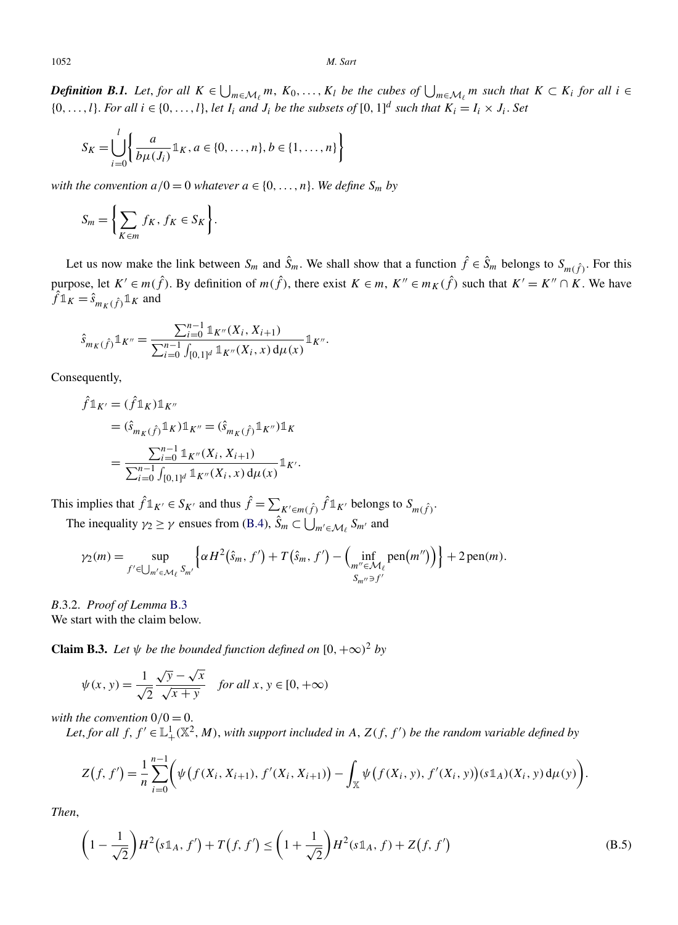<span id="page-24-0"></span>1052 *M. Sart*

*Definition B.1. Let, for all*  $K \in \bigcup_{m \in \mathcal{M}_\ell} m$ ,  $K_0, \ldots, K_l$  *be the cubes of*  $\bigcup_{m \in \mathcal{M}_\ell} m$  *such that*  $K \subset K_i$  *for all i* ∈  $\{0, \ldots, l\}$ . For all  $i \in \{0, \ldots, l\}$ , let  $I_i$  and  $J_i$  be the subsets of  $[0, 1]^d$  such that  $K_i = I_i \times J_i$ . Set

$$
S_K = \bigcup_{i=0}^l \left\{ \frac{a}{b\mu(J_i)} \mathbb{1}_K, a \in \{0, \dots, n\}, b \in \{1, \dots, n\} \right\}
$$

*with the convention*  $a/0 = 0$  *whatever*  $a \in \{0, \ldots, n\}$ *. We define*  $S_m$  *by* 

$$
S_m = \left\{ \sum_{K \in m} f_K, f_K \in S_K \right\}.
$$

Let us now make the link between  $S_m$  and  $\hat{S}_m$ . We shall show that a function  $\hat{f} \in \hat{S}_m$  belongs to  $S_{m(\hat{f})}$ . For this purpose, let  $K' \in m(\hat{f})$ . By definition of  $m(\hat{f})$ , there exist  $K \in m$ ,  $K'' \in m_K(\hat{f})$  such that  $K' = K'' \cap K$ . We have  $\hat{f} \mathbb{1}_K = \hat{s}_{m_K(\hat{f})} \mathbb{1}_K$  and

$$
\hat{s}_{m_K(\hat{f})} \mathbb{1}_{K''} = \frac{\sum_{i=0}^{n-1} \mathbb{1}_{K''}(X_i, X_{i+1})}{\sum_{i=0}^{n-1} \int_{[0,1]^d} \mathbb{1}_{K''}(X_i, x) d\mu(x)} \mathbb{1}_{K''}.
$$

Consequently,

$$
\hat{f}\mathbb{1}_{K'} = (\hat{f}\mathbb{1}_{K})\mathbb{1}_{K''}
$$
\n
$$
= (\hat{s}_{m_{K}(\hat{f})}\mathbb{1}_{K})\mathbb{1}_{K''} = (\hat{s}_{m_{K}(\hat{f})}\mathbb{1}_{K''})\mathbb{1}_{K}
$$
\n
$$
= \frac{\sum_{i=0}^{n-1} \mathbb{1}_{K''}(X_{i}, X_{i+1})}{\sum_{i=0}^{n-1} \int_{[0,1]^{d}} \mathbb{1}_{K''}(X_{i}, x) d\mu(x)} \mathbb{1}_{K'}.
$$

This implies that  $\hat{f} \mathbb{1}_{K'} \in S_{K'}$  and thus  $\hat{f} = \sum_{K' \in m(\hat{f})} \hat{f} \mathbb{1}_{K'}$  belongs to  $S_{m(\hat{f})}$ . The inequality  $\gamma_2 \ge \gamma$  ensues from [\(B.4\)](#page-23-0),  $\hat{S}_m \subset \bigcup_{m' \in \mathcal{M}_\ell} S_{m'}$  and

$$
\gamma_2(m) = \sup_{f' \in \bigcup_{m' \in \mathcal{M}_\ell} S_{m'}} \left\{ \alpha H^2(\hat{s}_m, f') + T(\hat{s}_m, f') - \left( \inf_{\substack{m'' \in \mathcal{M}_\ell \\ S_{m''} \ni f'}} \text{pen}(m'') \right) \right\} + 2 \text{ pen}(m).
$$

# *B*.3.2. *Proof of Lemma* [B.3](#page-22-0) We start with the claim below.

**Claim B.3.** *Let*  $\psi$  *be the bounded function defined on*  $[0, +\infty)^2$  *by* 

$$
\psi(x, y) = \frac{1}{\sqrt{2}} \frac{\sqrt{y} - \sqrt{x}}{\sqrt{x + y}} \quad \text{for all } x, y \in [0, +\infty)
$$

*with the convention*  $0/0 = 0$ .

Let, for all  $f, f' \in \mathbb{L}^1_+(\mathbb{X}^2, M)$ , with support included in A,  $Z(f, f')$  be the random variable defined by

$$
Z(f, f') = \frac{1}{n} \sum_{i=0}^{n-1} \Big( \psi\big(f(X_i, X_{i+1}), f'(X_i, X_{i+1})\big) - \int_{\mathbb{X}} \psi\big(f(X_i, y), f'(X_i, y)\big)(s \mathbb{1}_A)(X_i, y) d\mu(y) \Big).
$$

*Then*,

$$
\left(1 - \frac{1}{\sqrt{2}}\right)H^2\left(s\mathbb{1}_A, f'\right) + T\left(f, f'\right) \le \left(1 + \frac{1}{\sqrt{2}}\right)H^2\left(s\mathbb{1}_A, f\right) + Z\left(f, f'\right) \tag{B.5}
$$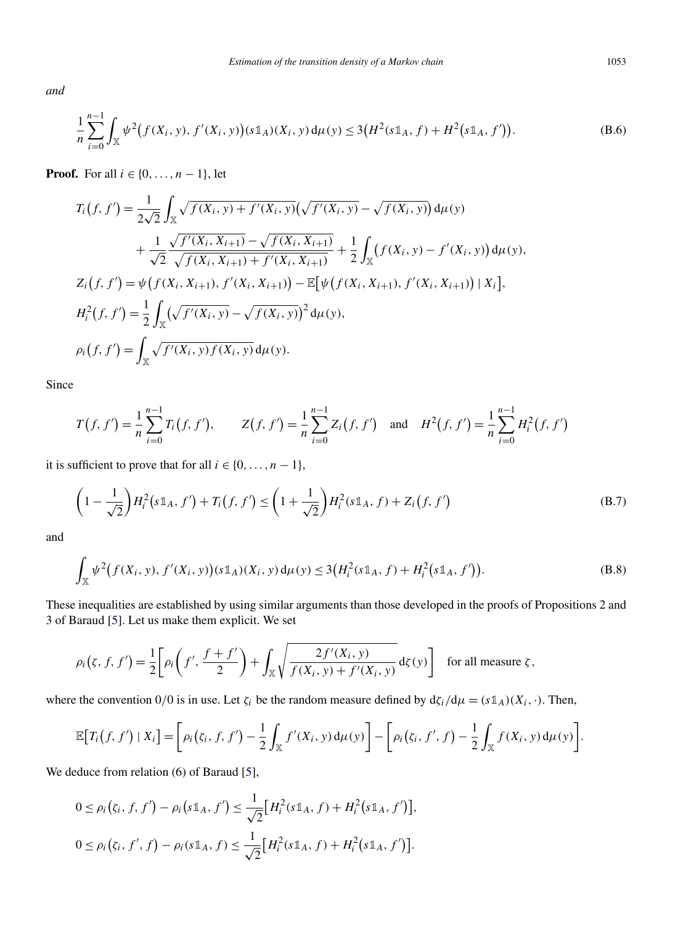<span id="page-25-0"></span>*and*

$$
\frac{1}{n}\sum_{i=0}^{n-1}\int_{\mathbb{X}}\psi^2(f(X_i, y), f'(X_i, y))(s\mathbb{1}_A)(X_i, y)d\mu(y) \leq 3\big(H^2(s\mathbb{1}_A, f) + H^2(s\mathbb{1}_A, f')\big).
$$
 (B.6)

**Proof.** For all  $i \in \{0, ..., n-1\}$ , let

$$
T_i(f, f') = \frac{1}{2\sqrt{2}} \int_{\mathbb{X}} \sqrt{f(X_i, y) + f'(X_i, y)} \left(\sqrt{f'(X_i, y)} - \sqrt{f(X_i, y)}\right) d\mu(y)
$$
  
+ 
$$
\frac{1}{\sqrt{2}} \frac{\sqrt{f'(X_i, X_{i+1})} - \sqrt{f(X_i, X_{i+1})}}{\sqrt{f(X_i, X_{i+1})} + f'(X_i, X_{i+1})} + \frac{1}{2} \int_{\mathbb{X}} \left(f(X_i, y) - f'(X_i, y)\right) d\mu(y),
$$
  

$$
Z_i(f, f') = \psi\left(f(X_i, X_{i+1}), f'(X_i, X_{i+1})\right) - \mathbb{E}\left[\psi\left(f(X_i, X_{i+1}), f'(X_i, X_{i+1})\right) | X_i\right],
$$
  

$$
H_i^2(f, f') = \frac{1}{2} \int_{\mathbb{X}} \left(\sqrt{f'(X_i, y)} - \sqrt{f(X_i, y)}\right)^2 d\mu(y),
$$
  

$$
\rho_i(f, f') = \int_{\mathbb{X}} \sqrt{f'(X_i, y)} f(X_i, y) d\mu(y).
$$

Since

$$
T(f, f') = \frac{1}{n} \sum_{i=0}^{n-1} T_i(f, f'), \qquad Z(f, f') = \frac{1}{n} \sum_{i=0}^{n-1} Z_i(f, f') \quad \text{and} \quad H^2(f, f') = \frac{1}{n} \sum_{i=0}^{n-1} H_i^2(f, f')
$$

it is sufficient to prove that for all  $i \in \{0, \ldots, n-1\}$ ,

$$
\left(1 - \frac{1}{\sqrt{2}}\right)H_i^2(s\mathbb{1}_A, f') + T_i(f, f') \le \left(1 + \frac{1}{\sqrt{2}}\right)H_i^2(s\mathbb{1}_A, f) + Z_i(f, f')
$$
\n(B.7)

and

$$
\int_{\mathbb{X}} \psi^2 \big( f(X_i, y), f'(X_i, y) \big) (s \mathbb{1}_A)(X_i, y) \, d\mu(y) \le 3 \big( H_i^2(s \mathbb{1}_A, f) + H_i^2(s \mathbb{1}_A, f') \big).
$$
\n(B.8)

These inequalities are established by using similar arguments than those developed in the proofs of Propositions 2 and 3 of Baraud [\[5\]](#page-39-0). Let us make them explicit. We set

$$
\rho_i(\zeta, f, f') = \frac{1}{2} \bigg[ \rho_i \bigg( f', \frac{f + f'}{2} \bigg) + \int_{\mathbb{X}} \sqrt{\frac{2f'(X_i, y)}{f(X_i, y) + f'(X_i, y)}} \, d\zeta(y) \bigg] \quad \text{for all measure } \zeta,
$$

where the convention  $0/0$  is in use. Let  $\zeta_i$  be the random measure defined by  $d\zeta_i/d\mu = (s\mathbb{1}_A)(X_i,\cdot)$ . Then,

$$
\mathbb{E}\big[T_i(f,f')\mid X_i\big]=\bigg[\rho_i(\zeta_i,f,f')-\frac{1}{2}\int_{\mathbb{X}}f'(X_i,y)\,d\mu(y)\bigg]-\bigg[\rho_i(\zeta_i,f',f)-\frac{1}{2}\int_{\mathbb{X}}f(X_i,y)\,d\mu(y)\bigg].
$$

We deduce from relation (6) of Baraud [\[5\]](#page-39-0),

$$
0 \le \rho_i(\zeta_i, f, f') - \rho_i(s\mathbb{1}_A, f') \le \frac{1}{\sqrt{2}} \Big[ H_i^2(s\mathbb{1}_A, f) + H_i^2(s\mathbb{1}_A, f') \Big],
$$
  

$$
0 \le \rho_i(\zeta_i, f', f) - \rho_i(s\mathbb{1}_A, f) \le \frac{1}{\sqrt{2}} \Big[ H_i^2(s\mathbb{1}_A, f) + H_i^2(s\mathbb{1}_A, f') \Big].
$$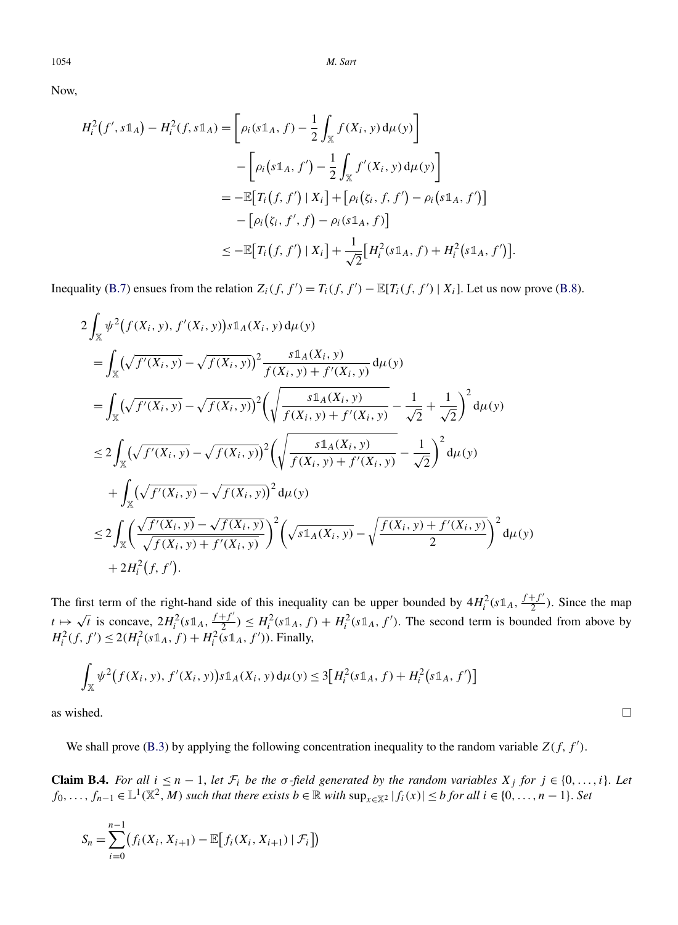1054 *M. Sart*

Now,

$$
H_i^2(f', s1\!\!1_A) - H_i^2(f, s1\!\!1_A) = \left[\rho_i(s1\!\!1_A, f) - \frac{1}{2} \int_{\mathbb{X}} f(X_i, y) d\mu(y)\right] \\
- \left[\rho_i(s1\!\!1_A, f') - \frac{1}{2} \int_{\mathbb{X}} f'(X_i, y) d\mu(y)\right] \\
= -\mathbb{E}\left[T_i(f, f') \mid X_i\right] + \left[\rho_i(\zeta_i, f, f') - \rho_i(s1\!\!1_A, f')\right] \\
- \left[\rho_i(\zeta_i, f', f) - \rho_i(s1\!\!1_A, f)\right] \\
\leq -\mathbb{E}\left[T_i(f, f') \mid X_i\right] + \frac{1}{\sqrt{2}}\left[H_i^2(s1\!\!1_A, f) + H_i^2(s1\!\!1_A, f')\right].
$$

Inequality [\(B.7\)](#page-25-0) ensues from the relation  $Z_i(f, f') = T_i(f, f') - \mathbb{E}[T_i(f, f') | X_i]$ . Let us now prove [\(B.8\)](#page-25-0).

$$
2\int_{\mathbb{X}} \psi^{2}(f(X_{i}, y), f'(X_{i}, y))s1_{A}(X_{i}, y) d\mu(y)
$$
\n
$$
= \int_{\mathbb{X}} (\sqrt{f'(X_{i}, y)} - \sqrt{f(X_{i}, y)})^{2} \frac{s1_{A}(X_{i}, y)}{f(X_{i}, y) + f'(X_{i}, y)} d\mu(y)
$$
\n
$$
= \int_{\mathbb{X}} (\sqrt{f'(X_{i}, y)} - \sqrt{f(X_{i}, y)})^{2} \left(\sqrt{\frac{s1_{A}(X_{i}, y)}{f(X_{i}, y) + f'(X_{i}, y)} - \frac{1}{\sqrt{2}} + \frac{1}{\sqrt{2}}}\right)^{2} d\mu(y)
$$
\n
$$
\leq 2\int_{\mathbb{X}} (\sqrt{f'(X_{i}, y)} - \sqrt{f(X_{i}, y)})^{2} \left(\sqrt{\frac{s1_{A}(X_{i}, y)}{f(X_{i}, y) + f'(X_{i}, y)} - \frac{1}{\sqrt{2}}}\right)^{2} d\mu(y)
$$
\n
$$
+ \int_{\mathbb{X}} (\sqrt{f'(X_{i}, y)} - \sqrt{f(X_{i}, y)})^{2} d\mu(y)
$$
\n
$$
\leq 2\int_{\mathbb{X}} \left(\frac{\sqrt{f'(X_{i}, y)} - \sqrt{f(X_{i}, y)}}{\sqrt{f(X_{i}, y) + f'(X_{i}, y)}}\right)^{2} \left(\sqrt{s1_{A}(X_{i}, y)} - \sqrt{\frac{f(X_{i}, y) + f'(X_{i}, y)}{2}}\right)^{2} d\mu(y)
$$
\n
$$
+ 2H_{i}^{2}(f, f').
$$

The first term of the right-hand side of this inequality can be upper bounded by  $4H_i^2(s\mathbb{1}_A, \frac{f+f'}{2})$ . Since the map  $t \mapsto \sqrt{t}$  is concave,  $2H_i^2(s\mathbb{1}_A, \frac{f+f'}{2}) \leq H_i^2(s\mathbb{1}_A, f) + H_i^2(s\mathbb{1}_A, f')$ . The second ter  $H_i^2(f, f') \leq 2(H_i^2(s\mathbb{1}_A, f) + H_i^2(s\mathbb{1}_A, f'))$ . Finally,

$$
\int_{\mathbb{X}} \psi^2 \big( f(X_i, y), f'(X_i, y) \big) s \mathbb{1}_A(X_i, y) \, d\mu(y) \le 3 \big[ H_i^2(s \mathbb{1}_A, f) + H_i^2(s \mathbb{1}_A, f') \big]
$$
\nas wished.  $\square$ 

We shall prove [\(B.3\)](#page-22-0) by applying the following concentration inequality to the random variable  $Z(f, f')$ .

**Claim B.4.** For all  $i \leq n - 1$ , let  $\mathcal{F}_i$  be the  $\sigma$ -field generated by the random variables  $X_j$  for  $j \in \{0, \ldots, i\}$ . Let *f*<sub>0</sub>*,...,f<sub>n−1</sub>* ∈  $\mathbb{L}^1(\mathbb{X}^2, M)$  *such that there exists b* ∈  $\mathbb{R}$  *with*  $\sup_{x \in \mathbb{X}^2} |f_i(x)| \leq b$  *for all*  $i \in \{0, ..., n - 1\}$ *. Set* 

$$
S_n = \sum_{i=0}^{n-1} (f_i(X_i, X_{i+1}) - \mathbb{E}[f_i(X_i, X_{i+1}) | \mathcal{F}_i])
$$

<span id="page-26-0"></span>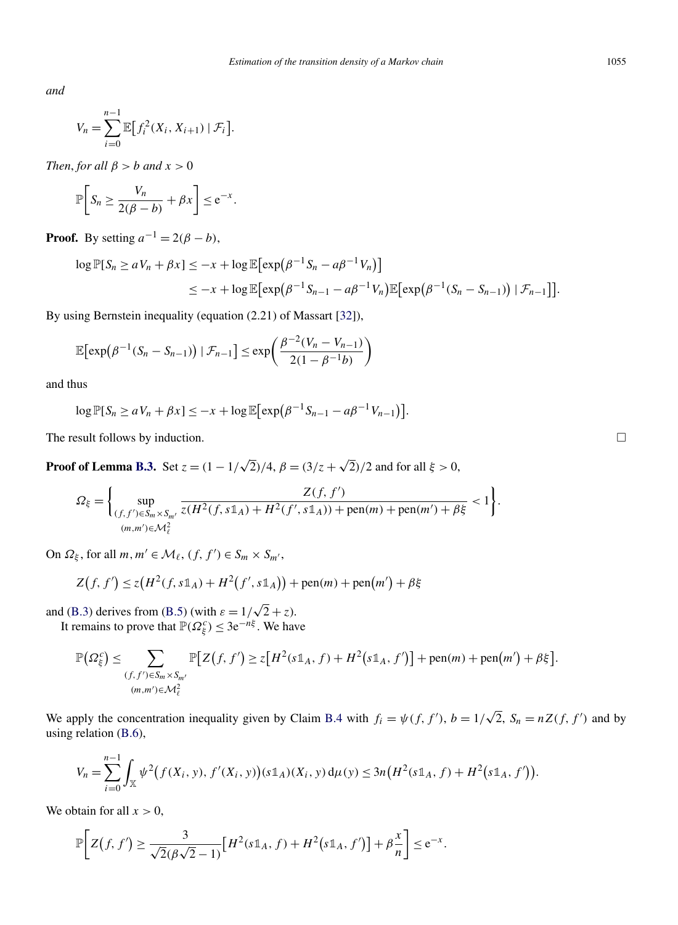*and*

$$
V_n = \sum_{i=0}^{n-1} \mathbb{E} \big[ f_i^2(X_i, X_{i+1}) \mid \mathcal{F}_i \big].
$$

*Then, for all*  $\beta > b$  *and*  $x > 0$ 

$$
\mathbb{P}\bigg[S_n \geq \frac{V_n}{2(\beta - b)} + \beta x\bigg] \leq e^{-x}.
$$

**Proof.** By setting  $a^{-1} = 2(\beta - b)$ ,

$$
\log \mathbb{P}[S_n \ge aV_n + \beta X] \le -x + \log \mathbb{E}[\exp(\beta^{-1}S_n - a\beta^{-1}V_n)]
$$
  

$$
\le -x + \log \mathbb{E}[\exp(\beta^{-1}S_{n-1} - a\beta^{-1}V_n)\mathbb{E}[\exp(\beta^{-1}(S_n - S_{n-1})) | \mathcal{F}_{n-1}]].
$$

By using Bernstein inequality (equation (2.21) of Massart [\[32\]](#page-40-0)),

$$
\mathbb{E}\big[\exp\big(\beta^{-1}(S_n-S_{n-1})\big) \mid \mathcal{F}_{n-1}\big] \leq \exp\bigg(\frac{\beta^{-2}(V_n-V_{n-1})}{2(1-\beta^{-1}b)}\bigg)
$$

and thus

$$
\log \mathbb{P}[S_n \ge aV_n + \beta x] \le -x + \log \mathbb{E}[\exp(\beta^{-1}S_{n-1} - a\beta^{-1}V_{n-1})].
$$

The result follows by induction.

**Proof of Lemma [B.3.](#page-22-0)** Set  $z = (1 - 1/\sqrt{2})/4$ ,  $\beta = (3/z + \sqrt{2})/2$  and for all  $\xi > 0$ ,

$$
\Omega_{\xi} = \left\{ \sup_{(f,f') \in S_m \times S_{m'}} \frac{Z(f,f')}{z(H^2(f,s\mathbb{1}_A) + H^2(f',s\mathbb{1}_A)) + \text{pen}(m) + \text{pen}(m') + \beta \xi} < 1 \right\}.
$$
  

$$
\lim_{(m,m') \in \mathcal{M}_{\xi}^2} \left\{ \frac{Z(f,f')}{z(H^2(f,s\mathbb{1}_A) + H^2(f',s\mathbb{1}_A)) + \text{pen}(m) + \text{pen}(m') + \beta \xi} < 1 \right\}.
$$

On  $\Omega_{\xi}$ , for all  $m, m' \in \mathcal{M}_{\ell}$ ,  $(f, f') \in S_m \times S_{m'}$ ,

$$
Z(f, f') \le z(H^2(f, s\mathbb{1}_A) + H^2(f', s\mathbb{1}_A)) + \text{pen}(m) + \text{pen}(m') + \beta \xi
$$

and [\(B.3\)](#page-22-0) derives from [\(B.5\)](#page-24-0) (with  $\varepsilon = 1/\sqrt{2} + z$ ). It remains to prove that  $\mathbb{P}(\Omega_{\xi}^c) \leq 3e^{-n\xi}$ . We have

$$
\mathbb{P}\left(\Omega_{\xi}^{c}\right) \leq \sum_{\substack{(f,f')\in S_m\times S_{m'}\\(m,m')\in\mathcal{M}_{\ell}^{2}}} \mathbb{P}\big[Z\big(f,f'\big) \geq z\big[H^{2}(s\mathbb{1}_{A},f) + H^{2}(s\mathbb{1}_{A},f')\big] + \text{pen}(m) + \text{pen}(m') + \beta\xi\big].
$$

We apply the concentration inequality given by Claim [B.4](#page-26-0) with  $f_i = \psi(f, f')$ ,  $b = 1/\sqrt{2}$ ,  $S_n = nZ(f, f')$  and by using relation [\(B.6\)](#page-25-0),

$$
V_n = \sum_{i=0}^{n-1} \int_{\mathbb{X}} \psi^2 \big( f(X_i, y), f'(X_i, y) \big) (s \mathbb{1}_A)(X_i, y) \, d\mu(y) \leq 3n \big( H^2(s \mathbb{1}_A, f) + H^2(s \mathbb{1}_A, f') \big).
$$

We obtain for all  $x > 0$ ,

$$
\mathbb{P}\bigg[Z(f,f')\geq \frac{3}{\sqrt{2}(\beta\sqrt{2}-1)}\big[H^2(s\mathbb{1}_A,f)+H^2(s\mathbb{1}_A,f')\big]+\beta\frac{x}{n}\bigg]\leq e^{-x}.
$$

 $\Box$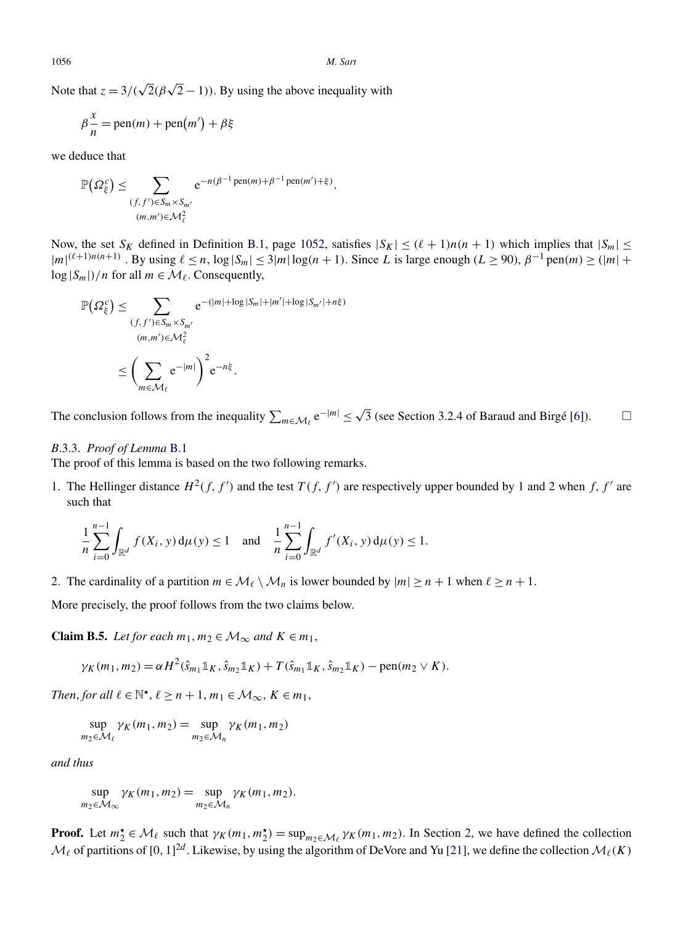<span id="page-28-0"></span>Note that  $z = 3/(\sqrt{2}(\beta \sqrt{2} - 1))$ . By using the above inequality with

$$
\beta \frac{x}{n} = \text{pen}(m) + \text{pen}(m') + \beta \xi
$$

we deduce that

$$
\mathbb{P}\left(\Omega_{\xi}^{c}\right) \leq \sum_{\substack{(f,f')\in S_m\times S_{m'}\\(m,m')\in\mathcal{M}_{\ell}^{2}}} e^{-n(\beta^{-1}\operatorname{pen}(m)+\beta^{-1}\operatorname{pen}(m')+ \xi)}.
$$

Now, the set  $S_K$  defined in Definition [B.1,](#page-24-0) page [1052,](#page-24-0) satisfies  $|S_K| \leq (\ell + 1)n(n + 1)$  which implies that  $|S_m| \leq$  $|m|^{(\ell+1)n(n+1)}$ . By using  $\ell \le n$ ,  $\log |S_m| \le 3|m|\log(n+1)$ . Since *L* is large enough (*L* ≥ 90),  $\beta^{-1}$  pen $(m)$  ≥  $(|m| +$  $\log |S_m|$ /*n* for all  $m \in \mathcal{M}_\ell$ . Consequently,

$$
\mathbb{P}(\Omega_{\xi}^{c}) \leq \sum_{(f,f') \in S_m \times S_{m'}} e^{-(|m| + \log|S_m| + |m'| + \log|S_{m'}| + n\xi)}
$$
  

$$
\leq {(\sum_{m \in \mathcal{M}_{\ell}} e^{-|m|})}^2 e^{-n\xi}.
$$

The conclusion follows from the inequality  $\sum_{m \in \mathcal{M}_\ell} e^{-|m|} \le \sqrt{3}$  (see Section 3.2.4 of Baraud and Birgé [\[6\]](#page-39-0)).  $\Box$ 

# *B*.3.3. *Proof of Lemma* [B.1](#page-21-0)

The proof of this lemma is based on the two following remarks.

1. The Hellinger distance  $H^2(f, f')$  and the test  $T(f, f')$  are respectively upper bounded by 1 and 2 when *f, f'* are such that

$$
\frac{1}{n}\sum_{i=0}^{n-1}\int_{\mathbb{R}^d}f(X_i, y)\,d\mu(y) \le 1 \quad \text{and} \quad \frac{1}{n}\sum_{i=0}^{n-1}\int_{\mathbb{R}^d}f'(X_i, y)\,d\mu(y) \le 1.
$$

2. The cardinality of a partition  $m \in \mathcal{M}_\ell \setminus \mathcal{M}_n$  is lower bounded by  $|m| \ge n + 1$  when  $\ell \ge n + 1$ .

More precisely, the proof follows from the two claims below.

**Claim B.5.** *Let for each*  $m_1, m_2 \in M_\infty$  *and*  $K \in m_1$ ,

$$
\gamma_K(m_1, m_2) = \alpha H^2(\hat{s}_{m_1} \mathbb{1}_K, \hat{s}_{m_2} \mathbb{1}_K) + T(\hat{s}_{m_1} \mathbb{1}_K, \hat{s}_{m_2} \mathbb{1}_K) - \text{pen}(m_2 \vee K).
$$

*Then, for all*  $l \in \mathbb{N}^{\star}$ ,  $l \geq n+1$ ,  $m_1 \in \mathcal{M}_{\infty}$ ,  $K \in m_1$ ,

$$
\sup_{m_2 \in \mathcal{M}_{\ell}} \gamma_K(m_1, m_2) = \sup_{m_2 \in \mathcal{M}_n} \gamma_K(m_1, m_2)
$$

*and thus*

$$
\sup_{m_2 \in \mathcal{M}_{\infty}} \gamma_K(m_1, m_2) = \sup_{m_2 \in \mathcal{M}_n} \gamma_K(m_1, m_2).
$$

**Proof.** Let  $m_2^* \in \mathcal{M}_\ell$  such that  $\gamma_K(m_1, m_2^*) = \sup_{m_2 \in \mathcal{M}_\ell} \gamma_K(m_1, m_2)$ . In Section [2,](#page-2-0) we have defined the collection  $\mathcal{M}_{\ell}$  of partitions of  $[0, 1]^{2d}$ . Likewise, by using the algorithm of DeVore and Yu [\[21\]](#page-39-0), we define the collection  $\mathcal{M}_{\ell}(K)$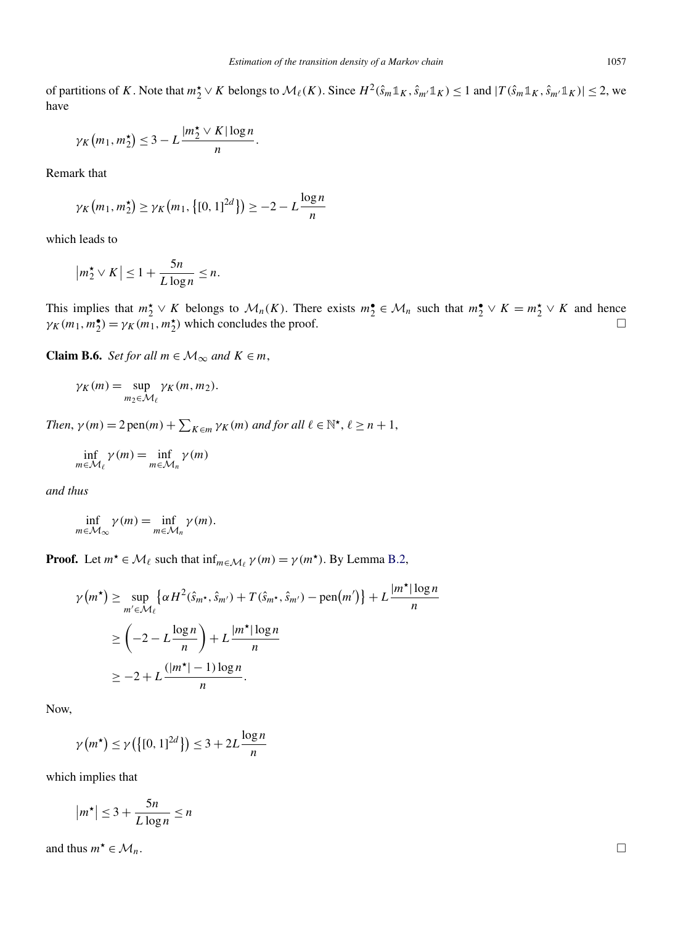of partitions of K. Note that  $m_2^* \vee K$  belongs to  $\mathcal{M}_\ell(K)$ . Since  $H^2(\hat{s}_m \mathbb{1}_K, \hat{s}_{m'} \mathbb{1}_K) \le 1$  and  $|T(\hat{s}_m \mathbb{1}_K, \hat{s}_{m'} \mathbb{1}_K)| \le 2$ , we have

$$
\gamma_K\big(m_1, m_2^{\star}\big) \leq 3 - L \frac{|m_2^{\star} \vee K| \log n}{n}.
$$

Remark that

$$
\gamma_K(m_1, m_2^{\star}) \ge \gamma_K(m_1, \{[0, 1]^{2d}\}) \ge -2 - L \frac{\log n}{n}
$$

which leads to

$$
|m_2^{\star} \vee K| \le 1 + \frac{5n}{L \log n} \le n.
$$

This implies that  $m_2^{\star} \vee K$  belongs to  $\mathcal{M}_n(K)$ . There exists  $m_2^{\bullet} \in \mathcal{M}_n$  such that  $m_2^{\bullet} \vee K = m_2^{\star} \vee K$  and hence  $\gamma_K(m_1, m_2^{\bullet}) = \gamma_K(m_1, m_2^{\star})$  which concludes the proof.  $\square$  $\Box$ 

**Claim B.6.** *Set for all*  $m \in M_\infty$  *and*  $K \in m$ ,

$$
\gamma_K(m) = \sup_{m_2 \in \mathcal{M}_{\ell}} \gamma_K(m, m_2).
$$

*Then*,  $\gamma(m) = 2 \text{ pen}(m) + \sum_{K \in m} \gamma_K(m)$  *and for all*  $\ell \in \mathbb{N}^{\star}, \ell \geq n + 1$ ,

$$
\inf_{m \in \mathcal{M}_{\ell}} \gamma(m) = \inf_{m \in \mathcal{M}_n} \gamma(m)
$$

*and thus*

$$
\inf_{m \in \mathcal{M}_{\infty}} \gamma(m) = \inf_{m \in \mathcal{M}_n} \gamma(m).
$$

**Proof.** Let  $m^* \in M_\ell$  such that  $\inf_{m \in M_\ell} \gamma(m) = \gamma(m^*)$ . By Lemma [B.2,](#page-21-0)

$$
\gamma(m^*) \ge \sup_{m' \in \mathcal{M}_{\ell}} \left\{ \alpha H^2(\hat{s}_{m^*}, \hat{s}_{m'}) + T(\hat{s}_{m^*}, \hat{s}_{m'}) - \text{pen}(m') \right\} + L \frac{|m^*| \log n}{n}
$$
  
\n
$$
\ge \left( -2 - L \frac{\log n}{n} \right) + L \frac{|m^*| \log n}{n}
$$
  
\n
$$
\ge -2 + L \frac{(|m^*| - 1) \log n}{n}.
$$

Now,

$$
\gamma(m^{\star}) \le \gamma\left(\left\{ [0, 1]^{2d} \right\} \right) \le 3 + 2L \frac{\log n}{n}
$$

which implies that

$$
|m^\star| \le 3 + \frac{5n}{L \log n} \le n
$$

and thus  $m^* \in \mathcal{M}_n$ .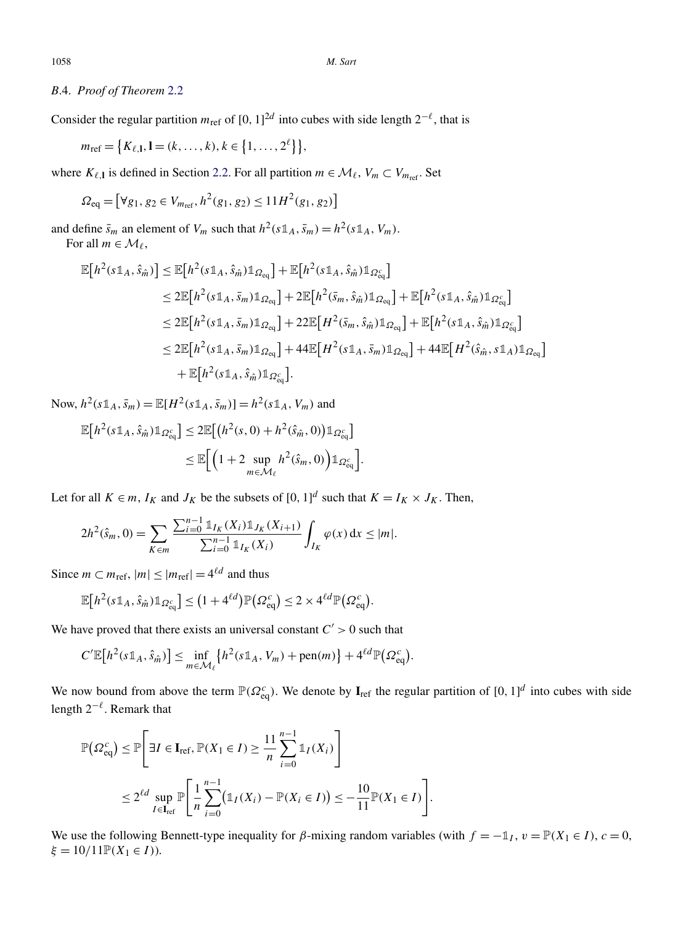# *B*.4. *Proof of Theorem* [2.2](#page-6-0)

Consider the regular partition  $m_{\text{ref}}$  of  $[0, 1]^{2d}$  into cubes with side length  $2^{-\ell}$ , that is

 $m_{\text{ref}} = \{K_{\ell,1}, 1 = (k, ..., k), k \in \{1, ..., 2^{\ell}\}\},\$ 

where  $K_{\ell,1}$  is defined in Section [2.2.](#page-3-0) For all partition  $m \in \mathcal{M}_{\ell}$ ,  $V_m \subset V_{m_{\text{ref}}}$ . Set

$$
\Omega_{\text{eq}} = \left[ \forall g_1, g_2 \in V_{m_{\text{ref}}}, h^2(g_1, g_2) \le 11H^2(g_1, g_2) \right]
$$

and define  $\bar{s}_m$  an element of  $V_m$  such that  $h^2(s\mathbb{1}_A, \bar{s}_m) = h^2(s\mathbb{1}_A, V_m)$ . For all  $m \in \mathcal{M}_{\ell}$ ,

$$
\mathbb{E}\left[h^{2}(s\mathbb{1}_{A},\hat{s}_{\hat{m}})\right] \leq \mathbb{E}\left[h^{2}(s\mathbb{1}_{A},\hat{s}_{\hat{m}})\mathbb{1}_{\Omega_{\text{eq}}}\right] + \mathbb{E}\left[h^{2}(s\mathbb{1}_{A},\hat{s}_{\hat{m}})\mathbb{1}_{\Omega_{\text{eq}}^{c}}\right]
$$
  
\n
$$
\leq 2\mathbb{E}\left[h^{2}(s\mathbb{1}_{A},\bar{s}_{m})\mathbb{1}_{\Omega_{\text{eq}}}\right] + 2\mathbb{E}\left[h^{2}(\bar{s}_{m},\hat{s}_{\hat{m}})\mathbb{1}_{\Omega_{\text{eq}}}\right] + \mathbb{E}\left[h^{2}(s\mathbb{1}_{A},\hat{s}_{\hat{m}})\mathbb{1}_{\Omega_{\text{eq}}^{c}}\right]
$$
  
\n
$$
\leq 2\mathbb{E}\left[h^{2}(s\mathbb{1}_{A},\bar{s}_{m})\mathbb{1}_{\Omega_{\text{eq}}}\right] + 22\mathbb{E}\left[H^{2}(\bar{s}_{m},\hat{s}_{\hat{m}})\mathbb{1}_{\Omega_{\text{eq}}}\right] + \mathbb{E}\left[h^{2}(s\mathbb{1}_{A},\hat{s}_{\hat{m}})\mathbb{1}_{\Omega_{\text{eq}}^{c}}\right]
$$
  
\n
$$
\leq 2\mathbb{E}\left[h^{2}(s\mathbb{1}_{A},\bar{s}_{m})\mathbb{1}_{\Omega_{\text{eq}}}\right] + 44\mathbb{E}\left[H^{2}(s\mathbb{1}_{A},\bar{s}_{m})\mathbb{1}_{\Omega_{\text{eq}}}\right] + 44\mathbb{E}\left[H^{2}(\hat{s}_{m},s\mathbb{1}_{A})\mathbb{1}_{\Omega_{\text{eq}}}\right]
$$
  
\n
$$
+ \mathbb{E}\left[h^{2}(s\mathbb{1}_{A},\hat{s}_{\hat{m}})\mathbb{1}_{\Omega_{\text{eq}}^{c}}\right].
$$

Now,  $h^2(s1_A, \bar{s}_m) = \mathbb{E}[H^2(s1_A, \bar{s}_m)] = h^2(s1_A, V_m)$  and

$$
\mathbb{E}\big[h^2(s\mathbb{1}_A,\hat{s}_{\hat{m}})\mathbb{1}_{\Omega_{\text{eq}}^c}\big] \leq 2\mathbb{E}\big[\big(h^2(s,0)+h^2(\hat{s}_{\hat{m}},0)\big)\mathbb{1}_{\Omega_{\text{eq}}^c}\big] \leq \mathbb{E}\big[\Big(1+2\sup_{m\in\mathcal{M}_{\ell}}h^2(\hat{s}_m,0)\Big)\mathbb{1}_{\Omega_{\text{eq}}^c}\big].
$$

Let for all  $K \in m$ ,  $I_K$  and  $J_K$  be the subsets of  $[0, 1]^d$  such that  $K = I_K \times J_K$ . Then,

$$
2h^{2}(\hat{s}_{m},0)=\sum_{K\in\mathfrak{m}}\frac{\sum_{i=0}^{n-1}\mathbb{1}_{I_{K}}(X_{i})\mathbb{1}_{J_{K}}(X_{i+1})}{\sum_{i=0}^{n-1}\mathbb{1}_{I_{K}}(X_{i})}\int_{I_{K}}\varphi(x)\,dx\leq |m|.
$$

Since  $m \subset m_{\text{ref}}, |m| \leq |m_{\text{ref}}| = 4^{\ell d}$  and thus

$$
\mathbb{E}\big[h^2(s\mathbb{1}_A,\hat{s}_{\hat{m}})\mathbb{1}_{\Omega_{\mathrm{eq}}^c}\big] \leq \big(1+4^{\ell d}\big)\mathbb{P}\big(\Omega_{\mathrm{eq}}^c\big) \leq 2\times 4^{\ell d}\mathbb{P}\big(\Omega_{\mathrm{eq}}^c\big).
$$

We have proved that there exists an universal constant  $C' > 0$  such that

$$
C'\mathbb{E}\big[h^2(s\mathbb{1}_A,\hat{s}_{\hat{m}})\big]\leq \inf_{m\in\mathcal{M}_{\ell}}\big\{h^2(s\mathbb{1}_A,V_m)+\text{pen}(m)\big\}+4^{\ell d}\mathbb{P}\big(\Omega_{\text{eq}}^c\big).
$$

We now bound from above the term  $\mathbb{P}(\Omega_{eq}^c)$ . We denote by  $I_{ref}$  the regular partition of  $[0, 1]^d$  into cubes with side length  $2^{-\ell}$ . Remark that

$$
\mathbb{P}(\Omega_{\text{eq}}^c) \leq \mathbb{P}\Bigg[\exists I \in \mathbf{I}_{\text{ref}}, \mathbb{P}(X_1 \in I) \geq \frac{11}{n} \sum_{i=0}^{n-1} \mathbb{1}_I(X_i) \Bigg] \leq 2^{\ell d} \sup_{I \in \mathbf{I}_{\text{ref}}} \mathbb{P}\Bigg[\frac{1}{n} \sum_{i=0}^{n-1} (\mathbb{1}_I(X_i) - \mathbb{P}(X_i \in I)) \leq -\frac{10}{11} \mathbb{P}(X_1 \in I) \Bigg].
$$

We use the following Bennett-type inequality for *β*-mixing random variables (with  $f = -\mathbb{1}_I$ ,  $v = \mathbb{P}(X_1 \in I)$ ,  $c = 0$ ,  $\xi = 10/11\mathbb{P}(X_1 \in I)$ ).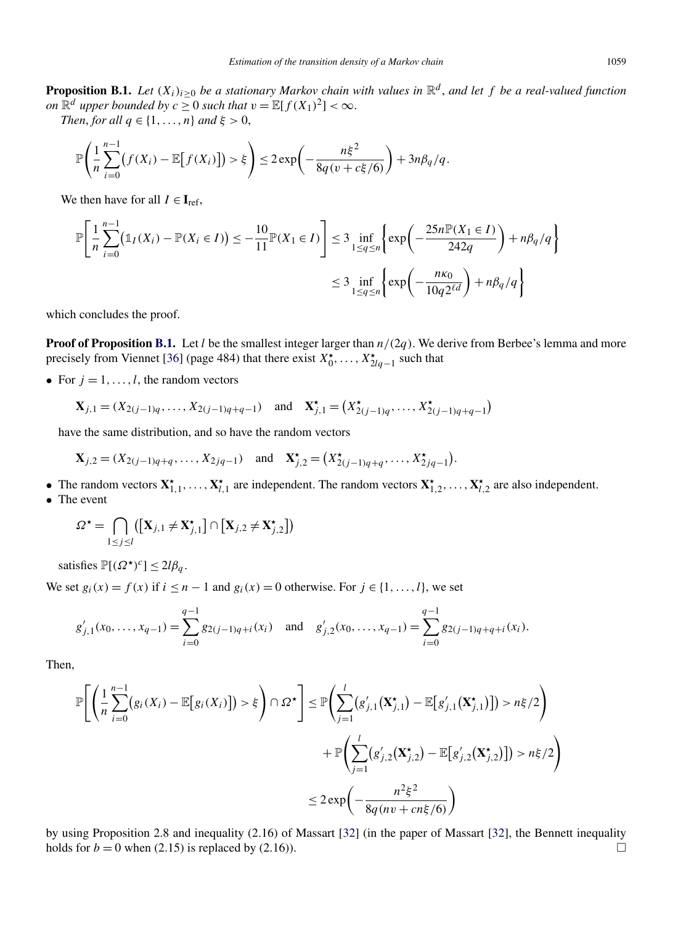**Proposition B.1.** *Let*  $(X_i)_{i\geq 0}$  *be a stationary Markov chain with values in*  $\mathbb{R}^d$ *, and let f be a real-valued function on*  $\mathbb{R}^d$  *upper bounded by*  $c \geq 0$  *such that*  $v = \mathbb{E}[f(X_1)^2] < \infty$ .

*Then, for all*  $q \in \{1, \ldots, n\}$  *and*  $\xi > 0$ ,

$$
\mathbb{P}\left(\frac{1}{n}\sum_{i=0}^{n-1}\big(f(X_i)-\mathbb{E}\big[f(X_i)\big]\big)>\xi\right)\leq 2\exp\left(-\frac{n\xi^2}{8q(v+c\xi/6)}\right)+3n\beta_q/q.
$$

We then have for all  $I \in I_{ref}$ ,

$$
\mathbb{P}\left[\frac{1}{n}\sum_{i=0}^{n-1}(\mathbb{1}_{I}(X_{i}) - \mathbb{P}(X_{i} \in I)) \le -\frac{10}{11}\mathbb{P}(X_{1} \in I)\right] \le 3 \inf_{1 \le q \le n} \left\{ \exp\left(-\frac{25n\mathbb{P}(X_{1} \in I)}{242q}\right) + n\beta_{q}/q \right\}
$$
  

$$
\le 3 \inf_{1 \le q \le n} \left\{ \exp\left(-\frac{n\kappa_{0}}{10q2^{\ell d}}\right) + n\beta_{q}/q \right\}
$$

which concludes the proof.

**Proof of Proposition B.1.** Let *l* be the smallest integer larger than  $n/(2q)$ . We derive from Berbee's lemma and more precisely from Viennet [\[36\]](#page-40-0) (page 484) that there exist  $X_0^{\star}, \ldots, X_{2lq-1}^{\star}$  such that

• For  $j = 1, \ldots, l$ , the random vectors

$$
\mathbf{X}_{j,1} = (X_{2(j-1)q}, \dots, X_{2(j-1)q+q-1}) \text{ and } \mathbf{X}_{j,1}^{\star} = (X_{2(j-1)q}^{\star}, \dots, X_{2(j-1)q+q-1}^{\star})
$$

have the same distribution, and so have the random vectors

$$
\mathbf{X}_{j,2} = (X_{2(j-1)q+q}, \ldots, X_{2jq-1})
$$
 and  $\mathbf{X}_{j,2}^{\star} = (X_{2(j-1)q+q}^{\star}, \ldots, X_{2jq-1}^{\star}).$ 

- The random vectors  $X^{\star}_{1,1}, \ldots, X^{\star}_{l,1}$  are independent. The random vectors  $X^{\star}_{1,2}, \ldots, X^{\star}_{l,2}$  are also independent.
- The event

$$
\Omega^{\star} = \bigcap_{1 \leq j \leq l} ([\mathbf{X}_{j,1} \neq \mathbf{X}_{j,1}^{\star}] \cap [\mathbf{X}_{j,2} \neq \mathbf{X}_{j,2}^{\star}])
$$

satisfies  $\mathbb{P}[(\Omega^{\star})^c] \leq 2l\beta_a$ .

We set  $g_i(x) = f(x)$  if  $i \leq n - 1$  and  $g_i(x) = 0$  otherwise. For  $j \in \{1, ..., l\}$ , we set

$$
g'_{j,1}(x_0,\ldots,x_{q-1})=\sum_{i=0}^{q-1}g_{2(i-1)q+i}(x_i) \text{ and } g'_{j,2}(x_0,\ldots,x_{q-1})=\sum_{i=0}^{q-1}g_{2(i-1)q+q+i}(x_i).
$$

Then,

$$
\mathbb{P}\left[\left(\frac{1}{n}\sum_{i=0}^{n-1} (g_i(X_i) - \mathbb{E}[g_i(X_i)]) > \xi\right) \cap \Omega^{\star}\right] \leq \mathbb{P}\left(\sum_{j=1}^{l} (g'_{j,1}(\mathbf{X}^{\star}_{j,1}) - \mathbb{E}[g'_{j,1}(\mathbf{X}^{\star}_{j,1})]) > n\xi/2\right) + \mathbb{P}\left(\sum_{j=1}^{l} (g'_{j,2}(\mathbf{X}^{\star}_{j,2}) - \mathbb{E}[g'_{j,2}(\mathbf{X}^{\star}_{j,2})]) > n\xi/2\right) \leq 2\exp\left(-\frac{n^2\xi^2}{8q(nv + cn\xi/6)}\right)
$$

by using Proposition 2.8 and inequality (2.16) of Massart [\[32\]](#page-40-0) (in the paper of Massart [\[32\]](#page-40-0), the Bennett inequality holds for  $b = 0$  when (2.15) is replaced by (2.16)).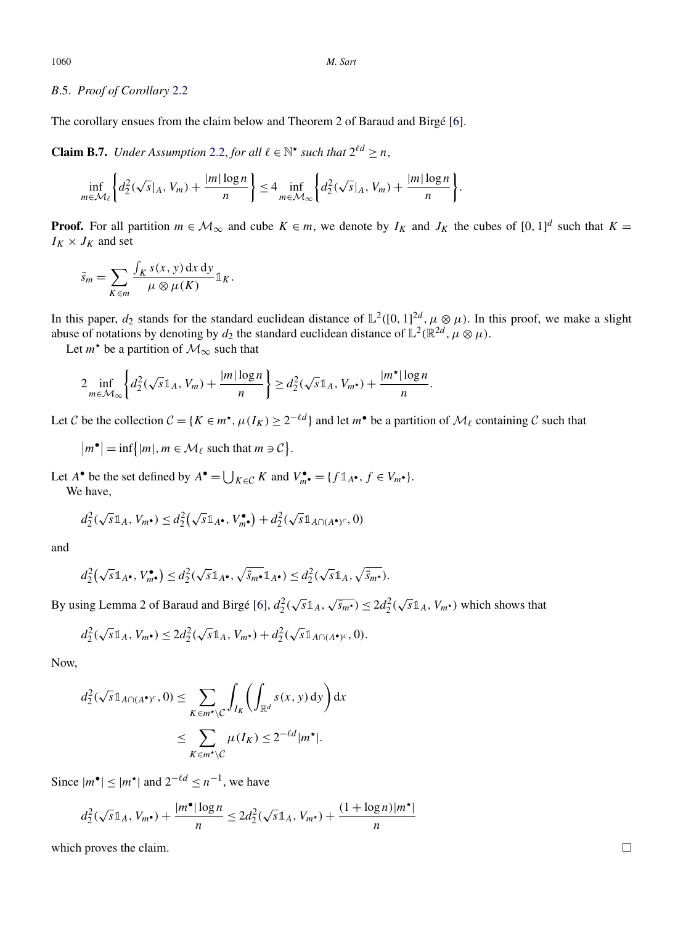# <span id="page-32-0"></span>*B*.5. *Proof of Corollary* [2.2](#page-7-0)

The corollary ensues from the claim below and Theorem 2 of Baraud and Birgé [\[6\]](#page-39-0).

**Claim B.7.** *Under Assumption* [2.2,](#page-7-0) *for all*  $l \in \mathbb{N}^{\star}$  *such that*  $2^{l d} \geq n$ ,

$$
\inf_{m \in \mathcal{M}_{\ell}} \left\{ d_2^2(\sqrt{s}|_A, V_m) + \frac{|m| \log n}{n} \right\} \le 4 \inf_{m \in \mathcal{M}_{\infty}} \left\{ d_2^2(\sqrt{s}|_A, V_m) + \frac{|m| \log n}{n} \right\}.
$$

**Proof.** For all partition  $m \in M_\infty$  and cube  $K \in m$ , we denote by  $I_K$  and  $J_K$  the cubes of  $[0, 1]^d$  such that  $K =$  $I_K \times J_K$  and set

$$
\bar{s}_m = \sum_{K \in m} \frac{\int_K s(x, y) \, dx \, dy}{\mu \otimes \mu(K)} \mathbb{1}_K.
$$

In this paper,  $d_2$  stands for the standard euclidean distance of  $\mathbb{L}^2([0,1]^{2d}, \mu \otimes \mu)$ . In this proof, we make a slight abuse of notations by denoting by  $d_2$  the standard euclidean distance of  $\mathbb{L}^2(\mathbb{R}^{2d}, \mu \otimes \mu)$ .

Let  $m^*$  be a partition of  $\mathcal{M}_{\infty}$  such that

$$
2\inf_{m\in\mathcal{M}_{\infty}}\left\{d_{2}^{2}(\sqrt{s}\mathbb{1}_{A},V_{m})+\frac{|m|\log n}{n}\right\}\geq d_{2}^{2}(\sqrt{s}\mathbb{1}_{A},V_{m^{\star}})+\frac{|m^{\star}|\log n}{n}.
$$

Let C be the collection  $C = \{K \in m^*$ ,  $\mu(I_K) \geq 2^{-\ell d}\}$  and let  $m^{\bullet}$  be a partition of  $\mathcal{M}_{\ell}$  containing C such that

$$
|m^{\bullet}| = \inf\{|m|, m \in \mathcal{M}_{\ell} \text{ such that } m \ni \mathcal{C}\}.
$$

Let *A*<sup>•</sup> be the set defined by  $A^{\bullet} = \bigcup_{K \in \mathcal{C}} K$  and  $V_{m}^{\bullet} = \{f \mathbb{1}_{A^{\bullet}}, f \in V_{m^{\bullet}}\}.$ We have,

$$
d_2^2(\sqrt{s}\mathbb{1}_A, V_{m^{\bullet}}) \leq d_2^2(\sqrt{s}\mathbb{1}_{A^{\bullet}}, V_{m^{\bullet}}^{\bullet}) + d_2^2(\sqrt{s}\mathbb{1}_{A\cap (A^{\bullet})^c}, 0)
$$

and

$$
d_2^2(\sqrt{s}\mathbb{1}_{A^\bullet}, V_{m^\bullet}^\bullet) \leq d_2^2(\sqrt{s}\mathbb{1}_{A^\bullet}, \sqrt{\overline{s}_{m^\bullet}}\mathbb{1}_{A^\bullet}) \leq d_2^2(\sqrt{s}\mathbb{1}_{A}, \sqrt{\overline{s}_{m^\star}}).
$$

By using Lemma 2 of Baraud and Birgé [\[6\]](#page-39-0),  $d_2^2(\sqrt{s}\mathbb{1}_A, \sqrt{s_m \cdot}) \leq 2d_2^2(\sqrt{s}\mathbb{1}_A, V_{m^\star})$  which shows that

$$
d_2^2(\sqrt{s}\mathbb{1}_A, V_{m^{\bullet}}) \le 2d_2^2(\sqrt{s}\mathbb{1}_A, V_{m^{\bullet}}) + d_2^2(\sqrt{s}\mathbb{1}_{A\cap(A^{\bullet})^c}, 0).
$$

Now,

$$
d_2^2(\sqrt{s}1_{A\cap (A^{\bullet})^c}, 0) \le \sum_{K \in m^{\star} \setminus C} \int_{I_K} \left( \int_{\mathbb{R}^d} s(x, y) \, dy \right) dx
$$
  
 
$$
\le \sum_{K \in m^{\star} \setminus C} \mu(I_K) \le 2^{-\ell d} |m^{\star}|.
$$

Since  $|m^{\bullet}|$  ≤  $|m^{\star}|$  and  $2^{-\ell d}$  ≤  $n^{-1}$ , we have

$$
d_2^2(\sqrt{s}\mathbb{1}_A, V_{m^*}) + \frac{|m^*| \log n}{n} \le 2d_2^2(\sqrt{s}\mathbb{1}_A, V_{m^*}) + \frac{(1 + \log n)|m^*|}{n}
$$

which proves the claim.  $\Box$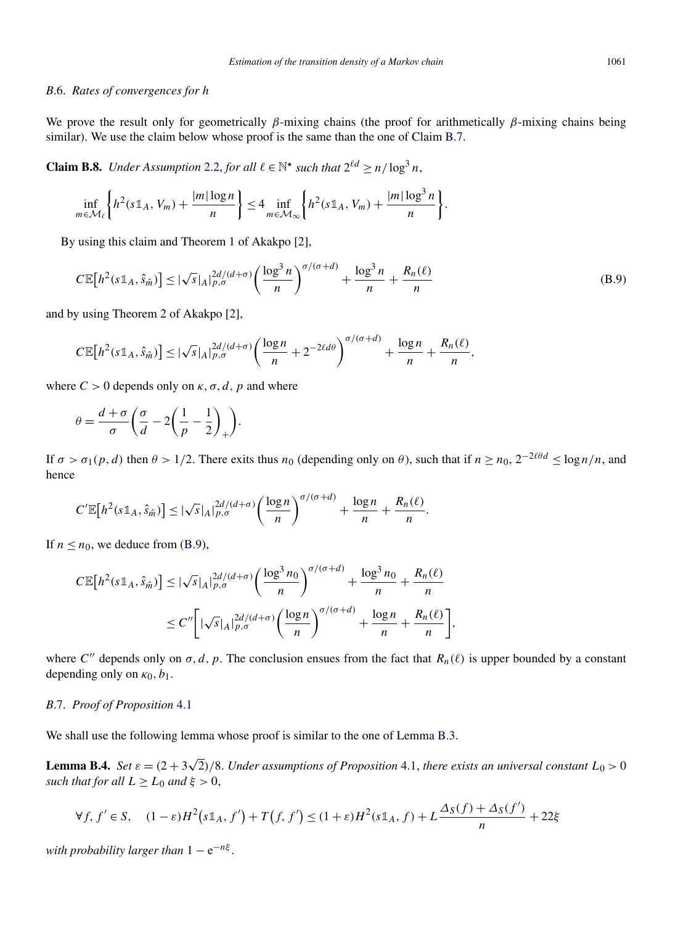## <span id="page-33-0"></span>*B*.6. *Rates of convergences for h*

We prove the result only for geometrically *β*-mixing chains (the proof for arithmetically *β*-mixing chains being similar). We use the claim below whose proof is the same than the one of Claim [B.7.](#page-32-0)

**Claim B.8.** *Under Assumption* [2.2,](#page-7-0) *for all*  $l \in \mathbb{N}^*$  *such that*  $2^{ld} > n/\log^3 n$ ,

$$
\inf_{m \in \mathcal{M}_{\ell}} \left\{ h^2(s \mathbb{1}_A, V_m) + \frac{|m| \log n}{n} \right\} \le 4 \inf_{m \in \mathcal{M}_{\infty}} \left\{ h^2(s \mathbb{1}_A, V_m) + \frac{|m| \log^3 n}{n} \right\}.
$$

By using this claim and Theorem 1 of Akakpo [\[2\]](#page-39-0),

$$
C\mathbb{E}\big[h^2(s\mathbb{1}_A,\hat{s}_{\hat{m}})\big] \le |\sqrt{s}|_A|_{p,\sigma}^{2d/(d+\sigma)}\bigg(\frac{\log^3 n}{n}\bigg)^{\sigma/(\sigma+d)} + \frac{\log^3 n}{n} + \frac{R_n(\ell)}{n}\tag{B.9}
$$

and by using Theorem 2 of Akakpo [\[2\]](#page-39-0),

$$
C\mathbb{E}\big[h^2(s\mathbb{1}_A,\hat{s}_{\hat{m}})\big] \leq |\sqrt{s}|_A|_{p,\sigma}^{2d/(d+\sigma)}\bigg(\frac{\log n}{n} + 2^{-2\ell d\theta}\bigg)^{\sigma/(\sigma+d)} + \frac{\log n}{n} + \frac{R_n(\ell)}{n},
$$

where  $C > 0$  depends only on  $\kappa$ ,  $\sigma$ ,  $d$ ,  $p$  and where

$$
\theta = \frac{d+\sigma}{\sigma} \bigg( \frac{\sigma}{d} - 2 \bigg( \frac{1}{p} - \frac{1}{2} \bigg)_+ \bigg).
$$

If  $\sigma > \sigma_1(p, d)$  then  $\theta > 1/2$ . There exits thus  $n_0$  (depending only on  $\theta$ ), such that if  $n \ge n_0$ ,  $2^{-2\ell\theta d} \le \log n/n$ , and hence

$$
C'\mathbb{E}\big[h^2(s\mathbb{1}_A,\hat{s}_{\hat{m}})\big]\leq |\sqrt{s}|_A|_{p,\sigma}^{2d/(d+\sigma)}\bigg(\frac{\log n}{n}\bigg)^{\sigma/(\sigma+d)}+\frac{\log n}{n}+\frac{R_n(\ell)}{n}.
$$

If  $n \leq n_0$ , we deduce from (B.9),

$$
C\mathbb{E}\big[h^2(s\mathbb{1}_A,\hat{s}_{\hat{m}})\big] \leq |\sqrt{s}|_A|_{p,\sigma}^{2d/(d+\sigma)} \bigg(\frac{\log^3 n_0}{n}\bigg)^{\sigma/(\sigma+d)} + \frac{\log^3 n_0}{n} + \frac{R_n(\ell)}{n} \bigg] \leq C'' \bigg[ |\sqrt{s}|_A|_{p,\sigma}^{2d/(d+\sigma)} \bigg(\frac{\log n}{n}\bigg)^{\sigma/(\sigma+d)} + \frac{\log n}{n} + \frac{R_n(\ell)}{n} \bigg],
$$

where *C*<sup>"</sup> depends only on  $\sigma$ , *d*, *p*. The conclusion ensues from the fact that  $R_n(\ell)$  is upper bounded by a constant depending only on  $\kappa_0$ ,  $b_1$ .

# *B*.7. *Proof of Proposition* [4.1](#page-11-0)

We shall use the following lemma whose proof is similar to the one of Lemma [B.3.](#page-22-0)

**Lemma B.4.** *Set*  $\varepsilon = (2 + 3\sqrt{2})/8$ . *Under assumptions of Proposition* [4.1,](#page-11-0) *there exists an universal constant*  $L_0 > 0$ *such that for all*  $L \ge L_0$  *and*  $\xi > 0$ ,

$$
\forall f, f' \in S, \quad (1-\varepsilon)H^2\big(\mathrm{SL}_A, f'\big) + T\big(f, f'\big) \le (1+\varepsilon)H^2(\mathrm{SL}_A, f) + L\frac{\Delta_S(f) + \Delta_S(f')}{n} + 22\xi
$$

*with probability larger than*  $1 - e^{-n\xi}$ .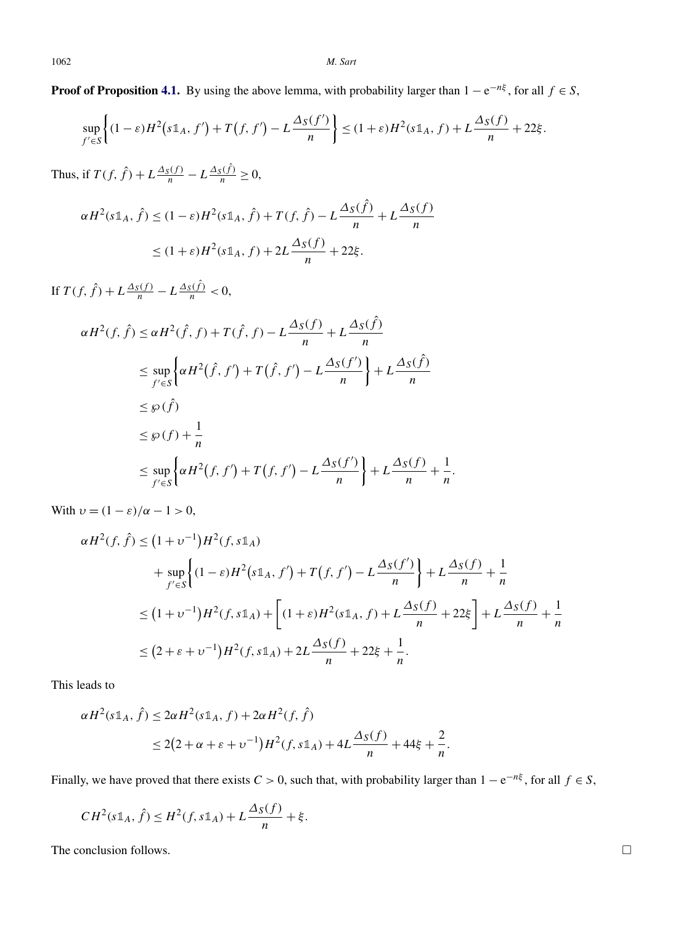**Proof of Proposition [4.1.](#page-11-0)** By using the above lemma, with probability larger than  $1 - e^{-n\xi}$ , for all  $f \in S$ ,

$$
\sup_{f' \in S} \left\{ (1-\varepsilon)H^2\big(s\mathbb{1}_A, f'\big) + T\big(f, f'\big) - L\frac{\Delta_S(f')}{n} \right\} \le (1+\varepsilon)H^2(s\mathbb{1}_A, f) + L\frac{\Delta_S(f)}{n} + 22\xi.
$$

Thus, if  $T(f, \hat{f}) + L \frac{\Delta_S(f)}{n} - L \frac{\Delta_S(\hat{f})}{n} \ge 0$ ,

$$
\alpha H^{2}(s\mathbb{1}_{A}, \hat{f}) \leq (1 - \varepsilon)H^{2}(s\mathbb{1}_{A}, \hat{f}) + T(f, \hat{f}) - L\frac{\Delta_{S}(\hat{f})}{n} + L\frac{\Delta_{S}(f)}{n}
$$
  

$$
\leq (1 + \varepsilon)H^{2}(s\mathbb{1}_{A}, f) + 2L\frac{\Delta_{S}(f)}{n} + 22\xi.
$$

If  $T(f, \hat{f}) + L \frac{\Delta_S(f)}{n} - L \frac{\Delta_S(\hat{f})}{n} < 0$ ,

$$
\alpha H^2(f, \hat{f}) \le \alpha H^2(\hat{f}, f) + T(\hat{f}, f) - L\frac{\Delta_S(f)}{n} + L\frac{\Delta_S(\hat{f})}{n}
$$
  
\n
$$
\le \sup_{f' \in S} \left\{ \alpha H^2(\hat{f}, f') + T(\hat{f}, f') - L\frac{\Delta_S(f')}{n} \right\} + L\frac{\Delta_S(\hat{f})}{n}
$$
  
\n
$$
\le \wp(f)
$$
  
\n
$$
\le \wp(f) + \frac{1}{n}
$$
  
\n
$$
\le \sup_{f' \in S} \left\{ \alpha H^2(f, f') + T(f, f') - L\frac{\Delta_S(f')}{n} \right\} + L\frac{\Delta_S(f)}{n} + \frac{1}{n}.
$$

With  $v = (1 - \varepsilon)/\alpha - 1 > 0$ ,

$$
\alpha H^{2}(f, \hat{f}) \leq (1 + \nu^{-1})H^{2}(f, s\mathbb{1}_{A})
$$
  
+ 
$$
\sup_{f' \in S} \left\{ (1 - \varepsilon)H^{2}(s\mathbb{1}_{A}, f') + T(f, f') - L\frac{\Delta_{S}(f')}{n} \right\} + L\frac{\Delta_{S}(f)}{n} + \frac{1}{n}
$$
  

$$
\leq (1 + \nu^{-1})H^{2}(f, s\mathbb{1}_{A}) + \left[ (1 + \varepsilon)H^{2}(s\mathbb{1}_{A}, f) + L\frac{\Delta_{S}(f)}{n} + 22\xi \right] + L\frac{\Delta_{S}(f)}{n} + \frac{1}{n}
$$
  

$$
\leq (2 + \varepsilon + \nu^{-1})H^{2}(f, s\mathbb{1}_{A}) + 2L\frac{\Delta_{S}(f)}{n} + 22\xi + \frac{1}{n}.
$$

This leads to

$$
\alpha H^{2}(s \mathbb{1}_{A}, \hat{f}) \leq 2\alpha H^{2}(s \mathbb{1}_{A}, f) + 2\alpha H^{2}(f, \hat{f})
$$
  
 
$$
\leq 2(2 + \alpha + \varepsilon + \nu^{-1})H^{2}(f, s \mathbb{1}_{A}) + 4L \frac{\Delta_{S}(f)}{n} + 44\xi + \frac{2}{n}.
$$

Finally, we have proved that there exists  $C > 0$ , such that, with probability larger than  $1 - e^{-n\xi}$ , for all  $f \in S$ ,

$$
CH2(s1A, \hat{f}) \leq H2(f, s1A) + L\frac{\Delta_S(f)}{n} + \xi.
$$

The conclusion follows.  $\Box$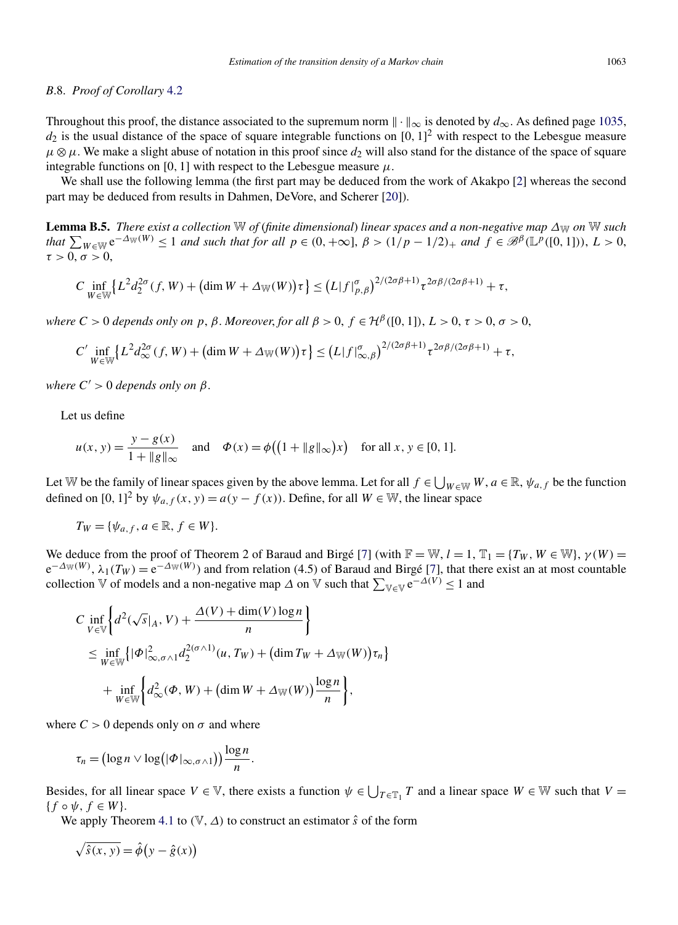#### <span id="page-35-0"></span>*B*.8. *Proof of Corollary* [4.2](#page-14-0)

Throughout this proof, the distance associated to the supremum norm  $\| \cdot \|_{\infty}$  is denoted by  $d_{\infty}$ . As defined page [1035,](#page-7-0)  $d_2$  is the usual distance of the space of square integrable functions on  $[0, 1]^2$  with respect to the Lebesgue measure  $\mu \otimes \mu$ . We make a slight abuse of notation in this proof since  $d_2$  will also stand for the distance of the space of square integrable functions on [0, 1] with respect to the Lebesgue measure  $\mu$ .

We shall use the following lemma (the first part may be deduced from the work of Akakpo [\[2\]](#page-39-0) whereas the second part may be deduced from results in Dahmen, DeVore, and Scherer [\[20\]](#page-39-0)).

**Lemma B.5.** *There exist a collection* W *of (finite dimensional) linear spaces and a non-negative map*  $\Delta_{\mathbb{W}}$  *on* W *such* that  $\sum_{W \in \mathbb{W}} e^{-\Delta_W(W)} \le 1$  and such that for all  $p \in (0, +\infty]$ ,  $\beta > (1/p - 1/2)_+$  and  $f \in \mathscr{B}^{\beta}(\mathbb{L}^p([0, 1]))$ ,  $L > 0$ ,  $\tau > 0, \sigma > 0$ 

$$
C\inf_{W\in\mathbb{W}}\left\{L^2d_2^{2\sigma}(f,W)+\left(\dim W+\Delta_\mathbb{W}(W)\right)\tau\right\}\leq \left(L|f|_{p,\beta}^{\sigma}\right)^{2/(2\sigma\beta+1)}\tau^{2\sigma\beta/(2\sigma\beta+1)}+\tau,
$$

*where*  $C > 0$  *depends only on*  $p, \beta$ *. Moreover, for all*  $\beta > 0$ ,  $f \in H^{\beta}([0, 1])$ ,  $L > 0$ ,  $\tau > 0$ ,  $\sigma > 0$ ,

$$
C' \inf_{W \in \mathbb{W}} \left\{ L^2 d_{\infty}^{2\sigma}(f, W) + \left( \dim W + \Delta_{\mathbb{W}}(W) \right) \tau \right\} \le (L |f|_{\infty, \beta}^{\sigma})^{2/(2\sigma\beta + 1)} \tau^{2\sigma\beta/(2\sigma\beta + 1)} + \tau,
$$

*where*  $C' > 0$  *depends only on*  $\beta$ *.* 

Let us define

$$
u(x, y) = \frac{y - g(x)}{1 + ||g||_{\infty}}
$$
 and  $\Phi(x) = \phi((1 + ||g||_{\infty})x)$  for all  $x, y \in [0, 1]$ .

Let W be the family of linear spaces given by the above lemma. Let for all  $f \in \bigcup_{W \in W} W$ ,  $a \in \mathbb{R}$ ,  $\psi_{a,f}$  be the function defined on [0, 1]<sup>2</sup> by  $\psi_{a,f}(x, y) = a(y - f(x))$ . Define, for all  $W \in \mathbb{W}$ , the linear space

$$
T_W = \{ \psi_{a,f}, a \in \mathbb{R}, f \in W \}.
$$

We deduce from the proof of Theorem 2 of Baraud and Birgé [\[7\]](#page-39-0) (with  $\mathbb{F} = \mathbb{W}$ ,  $l = 1$ ,  $\mathbb{T}_1 = \{T_W, W \in \mathbb{W}\}$ ,  $\gamma(W) =$  $e^{-\Delta_W(W)}$ ,  $\lambda_1(T_W) = e^{-\Delta_W(W)}$  and from relation (4.5) of Baraud and Birgé [\[7\]](#page-39-0), that there exist an at most countable collection  $\mathbb V$  of models and a non-negative map  $\Delta$  on  $\mathbb V$  such that  $\sum_{\mathbb V \in \mathbb V} e^{-\Delta(V)} \leq 1$  and

$$
C \inf_{V \in \mathbb{V}} \left\{ d^2(\sqrt{s}|_A, V) + \frac{\Delta(V) + \dim(V) \log n}{n} \right\}
$$
  
\n
$$
\leq \inf_{W \in \mathbb{W}} \left\{ |\Phi|^2_{\infty, \sigma \wedge 1} d_2^{2(\sigma \wedge 1)}(u, T_W) + (\dim T_W + \Delta_{\mathbb{W}}(W)) \tau_n \right\}
$$
  
\n
$$
+ \inf_{W \in \mathbb{W}} \left\{ d_\infty^2(\Phi, W) + (\dim W + \Delta_{\mathbb{W}}(W)) \frac{\log n}{n} \right\},
$$

where  $C > 0$  depends only on  $\sigma$  and where

$$
\tau_n = \left(\log n \vee \log\left(|\Phi|_{\infty,\sigma\wedge 1}\right)\right) \frac{\log n}{n}.
$$

Besides, for all linear space  $V \in V$ , there exists a function  $\psi \in \bigcup_{T \in \mathbb{T}_1} T$  and a linear space  $W \in W$  such that  $V =$  ${f \circ \psi, f \in W}$ .

We apply Theorem [4.1](#page-12-0) to  $(\mathbb{V}, \Delta)$  to construct an estimator  $\hat{s}$  of the form

$$
\sqrt{\hat{s}(x, y)} = \hat{\phi}(y - \hat{g}(x))
$$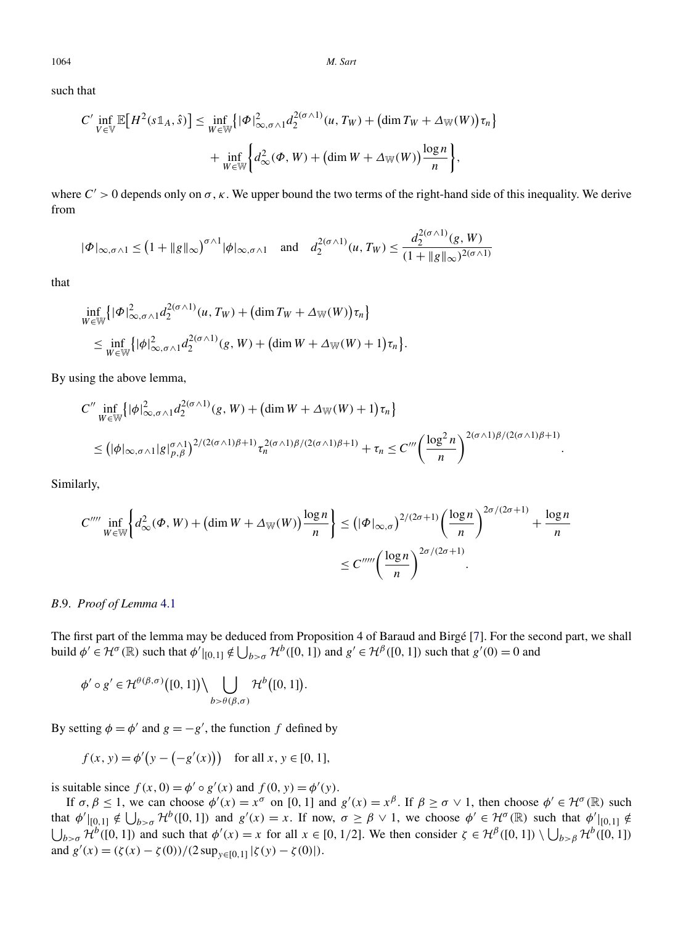1064 *M. Sart*

such that

$$
C' \inf_{V \in \mathbb{V}} \mathbb{E}\big[H^2(s\mathbb{1}_A, \hat{s})\big] \leq \inf_{W \in \mathbb{W}} \{|\Phi|^2_{\infty, \sigma \wedge 1} d_2^{2(\sigma \wedge 1)}(u, T_W) + (\dim T_W + \Delta_{\mathbb{W}}(W))\tau_n\} + \inf_{W \in \mathbb{W}} \left\{d_\infty^2(\Phi, W) + (\dim W + \Delta_{\mathbb{W}}(W))\frac{\log n}{n}\right\},\
$$

where  $C' > 0$  depends only on  $\sigma$ ,  $\kappa$ . We upper bound the two terms of the right-hand side of this inequality. We derive from

$$
|\Phi|_{\infty,\sigma \wedge 1} \le (1 + \|g\|_{\infty})^{\sigma \wedge 1} |\phi|_{\infty,\sigma \wedge 1} \quad \text{and} \quad d_2^{2(\sigma \wedge 1)}(u,T_W) \le \frac{d_2^{2(\sigma \wedge 1)}(g,W)}{(1 + \|g\|_{\infty})^{2(\sigma \wedge 1)}}
$$

that

$$
\inf_{W \in \mathbb{W}} \{ |\Phi|_{\infty, \sigma \wedge 1}^2 d_2^{2(\sigma \wedge 1)}(u, T_W) + (\dim T_W + \Delta_W(W)) \tau_n \}
$$
\n
$$
\leq \inf_{W \in \mathbb{W}} \{ |\phi|_{\infty, \sigma \wedge 1}^2 d_2^{2(\sigma \wedge 1)}(g, W) + (\dim W + \Delta_W(W) + 1) \tau_n \}.
$$

By using the above lemma,

$$
C'' \inf_{W \in \mathbb{W}} \{ |\phi|_{\infty, \sigma \wedge 1}^2 d_2^{2(\sigma \wedge 1)}(g, W) + (\dim W + \Delta_{\mathbb{W}}(W) + 1) \tau_n \}
$$
  
\n
$$
\leq (|\phi|_{\infty, \sigma \wedge 1} |g|_{p, \beta}^{\sigma \wedge 1})^{2/(2(\sigma \wedge 1)\beta + 1)} \tau_n^{2(\sigma \wedge 1)\beta/(2(\sigma \wedge 1)\beta + 1)} + \tau_n \leq C''' \left( \frac{\log^2 n}{n} \right)^{2(\sigma \wedge 1)\beta/(2(\sigma \wedge 1)\beta + 1)}
$$

*.*

Similarly,

$$
C'''' \inf_{W \in \mathbb{W}} \left\{ d_{\infty}^2(\Phi, W) + \left( \dim W + \Delta_{\mathbb{W}}(W) \right) \frac{\log n}{n} \right\} \leq \left( |\Phi|_{\infty, \sigma} \right)^{2/(2\sigma+1)} \left( \frac{\log n}{n} \right)^{2\sigma/(2\sigma+1)} + \frac{\log n}{n}
$$

$$
\leq C''''' \left( \frac{\log n}{n} \right)^{2\sigma/(2\sigma+1)}.
$$

*B*.9. *Proof of Lemma* [4.1](#page-14-0)

The first part of the lemma may be deduced from Proposition 4 of Baraud and Birgé [\[7\]](#page-39-0). For the second part, we shall build  $\phi' \in \mathcal{H}^{\sigma}(\mathbb{R})$  such that  $\phi'|_{[0,1]} \notin \bigcup_{b > \sigma} \mathcal{H}^b([0,1])$  and  $g' \in \mathcal{H}^{\beta}([0,1])$  such that  $g'(0) = 0$  and

$$
\phi' \circ g' \in \mathcal{H}^{\theta(\beta,\sigma)}([0,1]) \setminus \bigcup_{b > \theta(\beta,\sigma)} \mathcal{H}^b([0,1]).
$$

By setting  $\phi = \phi'$  and  $g = -g'$ , the function *f* defined by

$$
f(x, y) = \phi'(y - (-g'(x)))
$$
 for all  $x, y \in [0, 1]$ ,

is suitable since  $f(x, 0) = \phi' \circ g'(x)$  and  $f(0, y) = \phi'(y)$ .

If  $\sigma, \beta \le 1$ , we can choose  $\phi'(x) = x^{\sigma}$  on [0, 1] and  $g'(x) = x^{\beta}$ . If  $\beta \ge \sigma \vee 1$ , then choose  $\phi' \in \mathcal{H}^{\sigma}(\mathbb{R})$  such that  $\phi' |_{[0,1]} \notin \bigcup_{b> \sigma} \mathcal{H}^b([0,1])$  and  $g'(x) = x$ . If now,  $\sigma \ge \beta \vee 1$ , we choose  $\phi' \in \mathcal{H}^{\sigma}(\mathbb{R})$  such that  $\phi' |_{[0,1]} \notin$  $\bigcup_{b> \sigma} \mathcal{H}^b([0,1])$  and such that  $\phi'(x) = x$  for all  $x \in [0,1/2]$ . We then consider  $\zeta \in \mathcal{H}^{\beta}([0,1]) \setminus \bigcup_{b> \beta} \mathcal{H}^b([0,1])$ and  $g'(x) = (\zeta(x) - \zeta(0))/(2 \sup_{y \in [0,1]} |\zeta(y) - \zeta(0)|).$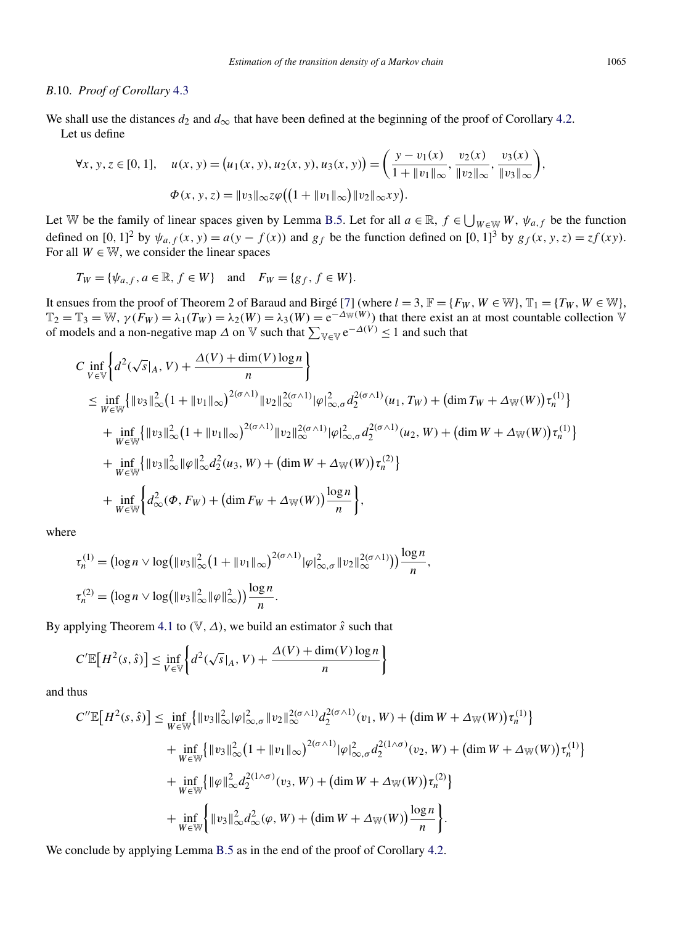#### *B*.10. *Proof of Corollary* [4.3](#page-15-0)

We shall use the distances  $d_2$  and  $d_{\infty}$  that have been defined at the beginning of the proof of Corollary [4.2.](#page-14-0) Let us define

$$
\forall x, y, z \in [0, 1], \quad u(x, y) = (u_1(x, y), u_2(x, y), u_3(x, y)) = \left(\frac{y - v_1(x)}{1 + \|v_1\|_{\infty}}, \frac{v_2(x)}{\|v_2\|_{\infty}}, \frac{v_3(x)}{\|v_3\|_{\infty}}\right),
$$

$$
\Phi(x, y, z) = \|v_3\|_{\infty} z \varphi \big( \big(1 + \|v_1\|_{\infty}\big) \|v_2\|_{\infty} xy \big).
$$

Let W be the family of linear spaces given by Lemma [B.5.](#page-35-0) Let for all  $a \in \mathbb{R}$ ,  $f \in \bigcup_{W \in \mathbb{W}} W$ ,  $\psi_{a,f}$  be the function defined on  $[0, 1]^2$  by  $\psi_{a,f}(x, y) = a(y - f(x))$  and  $g_f$  be the function defined on  $[0, 1]^3$  by  $g_f(x, y, z) = zf(xy)$ . For all  $W \in \mathbb{W}$ , we consider the linear spaces

$$
T_W = \{ \psi_{a,f}, a \in \mathbb{R}, f \in W \} \quad \text{and} \quad F_W = \{ g_f, f \in W \}.
$$

It ensues from the proof of Theorem 2 of Baraud and Birgé [\[7\]](#page-39-0) (where  $l = 3$ ,  $\mathbb{F} = \{F_W, W \in \mathbb{W}\}, \mathbb{T}_1 = \{T_W, W \in \mathbb{W}\},$  $\mathbb{T}_2 = \mathbb{T}_3 = \mathbb{W}, \gamma(F_W) = \lambda_1(T_W) = \lambda_2(W) = \lambda_3(W) = e^{-\Delta_W(W)}$  that there exist an at most countable collection  $\mathbb{V}$ of models and a non-negative map  $\Delta$  on  $\mathbb {V}$  such that  $\sum_{\mathbb {V} \in \mathbb {V}} e^{-\Delta(V)} \leq 1$  and such that

$$
C \inf_{V \in \mathbb{V}} \left\{ d^{2}(\sqrt{s}|_{A}, V) + \frac{\Delta(V) + \dim(V) \log n}{n} \right\}
$$
  
\n
$$
\leq \inf_{W \in \mathbb{W}} \left\{ ||v_{3}||_{\infty}^{2} (1 + ||v_{1}||_{\infty})^{2(\sigma \wedge 1)} ||v_{2}||_{\infty}^{2(\sigma \wedge 1)} |\varphi|_{\infty, \sigma}^{2} d_{2}^{2(\sigma \wedge 1)} (u_{1}, T_{W}) + (\dim T_{W} + \Delta_{\mathbb{W}}(W)) \tau_{n}^{(1)} \right\}
$$
  
\n
$$
+ \inf_{W \in \mathbb{W}} \left\{ ||v_{3}||_{\infty}^{2} (1 + ||v_{1}||_{\infty})^{2(\sigma \wedge 1)} ||v_{2}||_{\infty}^{2(\sigma \wedge 1)} |\varphi|_{\infty, \sigma}^{2} d_{2}^{2(\sigma \wedge 1)} (u_{2}, W) + (\dim W + \Delta_{\mathbb{W}}(W)) \tau_{n}^{(1)} \right\}
$$
  
\n
$$
+ \inf_{W \in \mathbb{W}} \left\{ ||v_{3}||_{\infty}^{2} ||\varphi||_{\infty}^{2} d_{2}^{2} (u_{3}, W) + (\dim W + \Delta_{\mathbb{W}}(W)) \tau_{n}^{(2)} \right\}
$$
  
\n
$$
+ \inf_{W \in \mathbb{W}} \left\{ d_{\infty}^{2} (\Phi, F_{W}) + (\dim F_{W} + \Delta_{\mathbb{W}}(W)) \frac{\log n}{n} \right\},
$$

where

$$
\tau_n^{(1)} = \left(\log n \vee \log \left(\|v_3\|_{\infty}^2 (1 + \|v_1\|_{\infty})^{2(\sigma \wedge 1)} |\varphi|_{\infty, \sigma}^2 \|v_2\|_{\infty}^{2(\sigma \wedge 1)}\right)\right) \frac{\log n}{n},
$$
  

$$
\tau_n^{(2)} = \left(\log n \vee \log \left(\|v_3\|_{\infty}^2 \|\varphi\|_{\infty}^2\right)\right) \frac{\log n}{n}.
$$

By applying Theorem [4.1](#page-12-0) to  $(\mathbb{V}, \Delta)$ , we build an estimator  $\hat{s}$  such that

$$
C'\mathbb{E}\big[H^2(s,\hat{s})\big] \leq \inf_{V \in \mathbb{V}} \bigg\{ d^2(\sqrt{s}|_A, V) + \frac{\Delta(V) + \dim(V)\log n}{n} \bigg\}
$$

and thus

$$
C''\mathbb{E}\left[H^{2}(s,\hat{s})\right] \leq \inf_{W \in \mathbb{W}} \{ \|v_{3}\|_{\infty}^{2} |\varphi|_{\infty,\sigma}^{2} \|v_{2}\|_{\infty}^{2(\sigma \wedge 1)} d_{2}^{2(\sigma \wedge 1)}(v_{1},W) + (\dim W + \Delta_{\mathbb{W}}(W))\tau_{n}^{(1)} \} + \inf_{W \in \mathbb{W}} \{ \|v_{3}\|_{\infty}^{2} \left(1 + \|v_{1}\|_{\infty}\right)^{2(\sigma \wedge 1)} |\varphi|_{\infty,\sigma}^{2} d_{2}^{2(1 \wedge \sigma)}(v_{2},W) + (\dim W + \Delta_{\mathbb{W}}(W))\tau_{n}^{(1)} \} + \inf_{W \in \mathbb{W}} \{ \|\varphi\|_{\infty}^{2} d_{2}^{2(1 \wedge \sigma)}(v_{3},W) + (\dim W + \Delta_{\mathbb{W}}(W))\tau_{n}^{(2)} \} + \inf_{W \in \mathbb{W}} \{ \|v_{3}\|_{\infty}^{2} d_{\infty}^{2}(\varphi, W) + (\dim W + \Delta_{\mathbb{W}}(W)) \frac{\log n}{n} \}.
$$

We conclude by applying Lemma [B.5](#page-35-0) as in the end of the proof of Corollary [4.2.](#page-14-0)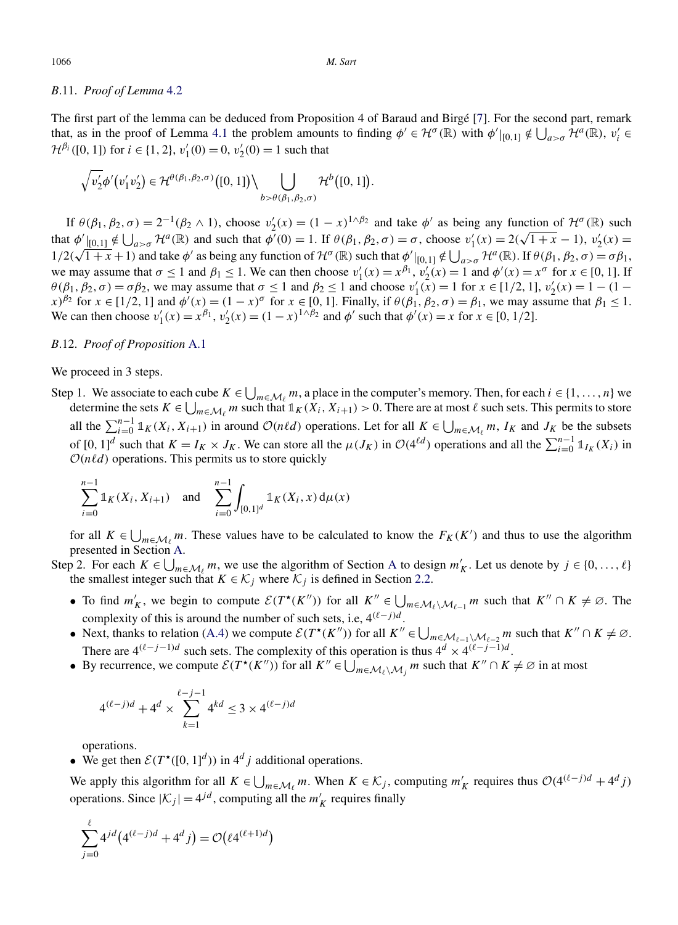#### *B*.11. *Proof of Lemma* [4.2](#page-16-0)

The first part of the lemma can be deduced from Proposition 4 of Baraud and Birgé [\[7\]](#page-39-0). For the second part, remark that, as in the proof of Lemma [4.1](#page-14-0) the problem amounts to finding  $\phi' \in H^{\sigma}(\mathbb{R})$  with  $\phi'|_{[0,1]} \notin \bigcup_{a > \sigma} \mathcal{H}^a(\mathbb{R})$ ,  $v'_i \in$  $\mathcal{H}^{\beta_i}([0, 1])$  for  $i \in \{1, 2\}, v'_1(0) = 0, v'_2(0) = 1$  such that

$$
\sqrt{v_2'}\phi'(v_1'v_2') \in \mathcal{H}^{\theta(\beta_1,\beta_2,\sigma)}\big([0,1]\big) \setminus \bigcup_{b > \theta(\beta_1,\beta_2,\sigma)} \mathcal{H}^b\big([0,1]\big).
$$

If  $\theta(\beta_1, \beta_2, \sigma) = 2^{-1}(\beta_2 \wedge 1)$ , choose  $v_2'(x) = (1 - x)^{1 \wedge \beta_2}$  and take  $\phi'$  as being any function of  $\mathcal{H}^{\sigma}(\mathbb{R})$  such that  $\phi'_{[0,1]} \notin \bigcup_{a>\sigma} \mathcal{H}^a(\mathbb{R})$  and such that  $\phi'(0) = 1$ . If  $\theta(\beta_1, \beta_2, \sigma) = \sigma$ , choose  $v'_1(x) = 2(\sqrt{1+x} - 1)$ ,  $v'_2(x) =$ that  $\varphi$   $\vert [0,1] \notin \bigcup_{a> \sigma} \mathcal{N}(a)$  and such that  $\varphi(0) = 1$ . If  $\varphi(p_1, p_2, \sigma) = 0$ , choose  $v_1(x) = 2(\sqrt{1 + x} - 1)$ ,  $v_2(x) = 1/2(\sqrt{1 + x} + 1)$  and take  $\varphi'$  as being any function of  $\mathcal{H}^{\sigma}(\mathbb{R})$  such that  $\varphi'|_{$ we may assume that  $\sigma \le 1$  and  $\beta_1 \le 1$ . We can then choose  $v'_1(x) = x^{\beta_1}$ ,  $v'_2(x) = 1$  and  $\phi'(x) = x^{\sigma}$  for  $x \in [0, 1]$ . If *θ*(*β*<sub>1</sub>*, β*<sub>2</sub>*, σ*) = *σβ*<sub>2</sub>*,* we may assume that *σ* ≤ 1 and *β*<sub>2</sub> ≤ 1 and choose *v*<sub>1</sub><sup>*(x)*</sup>) = 1 for *x* ∈ [1/2*,* 1], *v*<sub>2</sub><sup>*(x)*</sup>) = 1 − (1 −  $f(x)$  for  $x \in [1/2, 1]$  and  $\phi'(x) = (1-x)^\sigma$  for  $x \in [0, 1]$ . Finally, if  $\theta(\beta_1, \beta_2, \sigma) = \beta_1$ , we may assume that  $\beta_1 \leq 1$ . We can then choose  $v'_1(x) = x^{\beta_1}$ ,  $v'_2(x) = (1 - x)^{1 \wedge \beta_2}$  and  $\phi'$  such that  $\phi'(x) = x$  for *x* ∈ [0, 1/2].

# *B*.12. *Proof of Proposition* [A.1](#page-16-0)

#### We proceed in 3 steps.

Step 1. We associate to each cube  $K \in \bigcup_{m \in \mathcal{M}_\ell} m$ , a place in the computer's memory. Then, for each  $i \in \{1, \ldots, n\}$  we determine the contract  $K = \bigcup_{m \in \mathcal{M}_\ell} m_m$ , a place in the computer's memory. Then, for eac determine the sets  $K \in \bigcup_{m \in \mathcal{M}_\ell} m$  such that  $1_K(X_i, X_{i+1}) > 0$ . There are at most  $\ell$  such sets. This permits to store all the  $\sum_{i=0}^{n-1} \mathbb{1}_K(X_i, X_{i+1})$  in around  $\mathcal{O}(n\ell d)$  operations. Let for all  $K \in \bigcup_{m \in \mathcal{M}_\ell} m$ ,  $I_K$  and  $J_K$  be the subsets of  $[0, 1]^d$  such that  $K = I_K \times J_K$ . We can store all the  $\mu(J_K)$  in  $\mathcal{O}(4^{\ell d})$  operations and all the  $\sum_{i=0}^{n-1} \mathbb{1}_{I_K}(X_i)$  in  $O(n\ell d)$  operations. This permits us to store quickly

$$
\sum_{i=0}^{n-1} \mathbb{1}_K(X_i, X_{i+1}) \quad \text{and} \quad \sum_{i=0}^{n-1} \int_{[0,1]^d} \mathbb{1}_K(X_i, x) \, \mathrm{d}\mu(x)
$$

for all  $K \in \bigcup_{m \in \mathcal{M}_{\ell}} m$ . These values have to be calculated to know the  $F_K(K')$  and thus to use the algorithm presented in Section [A.](#page-16-0)

Step 2. For each  $K \in \bigcup_{m \in \mathcal{M}_\ell} m$ , we use the algorithm of Section [A](#page-16-0) to design  $m'_K$ . Let us denote by  $j \in \{0, ..., \ell\}$ the smallest integer such that  $K \in \mathcal{K}_j$  where  $\mathcal{K}_j$  is defined in Section [2.2.](#page-3-0)

- To find  $m'_K$ , we begin to compute  $\mathcal{E}(T^{\star}(K''))$  for all  $K'' \in \bigcup_{m \in \mathcal{M}_{\ell} \setminus \mathcal{M}_{\ell-1}} m$  such that  $K'' \cap K \neq \emptyset$ . The complexity of this is around the number of such sets, i.e,  $4^{(\ell-j)d}$ .
- Next, thanks to relation [\(A.4\)](#page-18-0) we compute  $\mathcal{E}(T^*(K''))$  for all  $K'' \in \bigcup_{m \in \mathcal{M}_{\ell-1}\setminus\mathcal{M}_{\ell-2}} m$  such that  $K'' \cap K \neq \emptyset$ . There are  $4^{(\ell-j-1)d}$  such sets. The complexity of this operation is thus  $4^d \times 4^{(\ell-j-1)d}$ .
- By recurrence, we compute  $\mathcal{E}(T^*(K''))$  for all  $K'' \in \bigcup_{m \in \mathcal{M}_\ell \setminus \mathcal{M}_j} m$  such that  $K'' \cap K \neq \emptyset$  in at most

$$
4^{(\ell-j)d} + 4^d \times \sum_{k=1}^{\ell-j-1} 4^{kd} \le 3 \times 4^{(\ell-j)d}
$$

operations.

• We get then  $\mathcal{E}(T^{\star}([0, 1]^d))$  in  $4^d j$  additional operations.

We apply this algorithm for all  $K \in \bigcup_{m \in \mathcal{M}_{\ell}} m$ . When  $K \in \mathcal{K}_j$ , computing  $m'_K$  requires thus  $\mathcal{O}(4^{(\ell-j)d} + 4^d j)$ operations. Since  $|\mathcal{K}_j| = 4^{jd}$ , computing all the  $m'_K$  requires finally

$$
\sum_{j=0}^{\ell} 4^{jd} (4^{(\ell-j)d} + 4^d j) = \mathcal{O}(\ell 4^{(\ell+1)d})
$$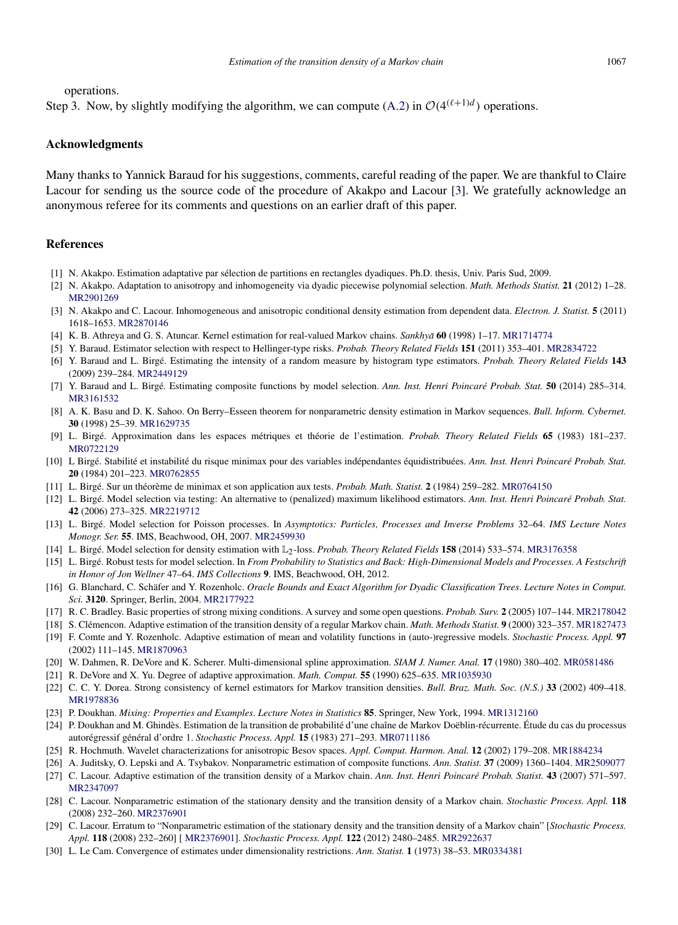<span id="page-39-0"></span>operations.

Step 3. Now, by slightly modifying the algorithm, we can compute [\(A.2\)](#page-17-0) in  $O(4^{(\ell+1)d})$  operations.

#### **Acknowledgments**

Many thanks to Yannick Baraud for his suggestions, comments, careful reading of the paper. We are thankful to Claire Lacour for sending us the source code of the procedure of Akakpo and Lacour [3]. We gratefully acknowledge an anonymous referee for its comments and questions on an earlier draft of this paper.

# **References**

- [1] N. Akakpo. Estimation adaptative par sélection de partitions en rectangles dyadiques. Ph.D. thesis, Univ. Paris Sud, 2009.
- [2] N. Akakpo. Adaptation to anisotropy and inhomogeneity via dyadic piecewise polynomial selection. *Math. Methods Statist.* **21** (2012) 1–28. [MR2901269](http://www.ams.org/mathscinet-getitem?mr=2901269)
- [3] N. Akakpo and C. Lacour. Inhomogeneous and anisotropic conditional density estimation from dependent data. *Electron. J. Statist.* **5** (2011) 1618–1653. [MR2870146](http://www.ams.org/mathscinet-getitem?mr=2870146)
- [4] K. B. Athreya and G. S. Atuncar. Kernel estimation for real-valued Markov chains. *Sankhya¯* **60** (1998) 1–17. [MR1714774](http://www.ams.org/mathscinet-getitem?mr=1714774)
- [5] Y. Baraud. Estimator selection with respect to Hellinger-type risks. *Probab. Theory Related Fields* **151** (2011) 353–401. [MR2834722](http://www.ams.org/mathscinet-getitem?mr=2834722)
- [6] Y. Baraud and L. Birgé. Estimating the intensity of a random measure by histogram type estimators. *Probab. Theory Related Fields* **143** (2009) 239–284. [MR2449129](http://www.ams.org/mathscinet-getitem?mr=2449129)
- [7] Y. Baraud and L. Birgé. Estimating composite functions by model selection. *Ann. Inst. Henri Poincaré Probab. Stat.* **50** (2014) 285–314. [MR3161532](http://www.ams.org/mathscinet-getitem?mr=3161532)
- [8] A. K. Basu and D. K. Sahoo. On Berry–Esseen theorem for nonparametric density estimation in Markov sequences. *Bull. Inform. Cybernet.* **30** (1998) 25–39. [MR1629735](http://www.ams.org/mathscinet-getitem?mr=1629735)
- [9] L. Birgé. Approximation dans les espaces métriques et théorie de l'estimation. *Probab. Theory Related Fields* **65** (1983) 181–237. [MR0722129](http://www.ams.org/mathscinet-getitem?mr=0722129)
- [10] L Birgé. Stabilité et instabilité du risque minimax pour des variables indépendantes équidistribuées. *Ann. Inst. Henri Poincaré Probab. Stat.* **20** (1984) 201–223. [MR0762855](http://www.ams.org/mathscinet-getitem?mr=0762855)
- [11] L. Birgé. Sur un théorème de minimax et son application aux tests. *Probab. Math. Statist.* **2** (1984) 259–282. [MR0764150](http://www.ams.org/mathscinet-getitem?mr=0764150)
- [12] L. Birgé. Model selection via testing: An alternative to (penalized) maximum likelihood estimators. *Ann. Inst. Henri Poincaré Probab. Stat.* **42** (2006) 273–325. [MR2219712](http://www.ams.org/mathscinet-getitem?mr=2219712)
- [13] L. Birgé. Model selection for Poisson processes. In *Asymptotics: Particles, Processes and Inverse Problems* 32–64. *IMS Lecture Notes Monogr. Ser.* **55**. IMS, Beachwood, OH, 2007. [MR2459930](http://www.ams.org/mathscinet-getitem?mr=2459930)
- [14] L. Birgé. Model selection for density estimation with L2-loss. *Probab. Theory Related Fields* **158** (2014) 533–574. [MR3176358](http://www.ams.org/mathscinet-getitem?mr=3176358)
- [15] L. Birgé. Robust tests for model selection. In *From Probability to Statistics and Back: High-Dimensional Models and Processes. A Festschrift in Honor of Jon Wellner* 47–64. *IMS Collections* **9**. IMS, Beachwood, OH, 2012.
- [16] G. Blanchard, C. Schäfer and Y. Rozenholc. *Oracle Bounds and Exact Algorithm for Dyadic Classification Trees*. *Lecture Notes in Comput. Sci.* **3120**. Springer, Berlin, 2004. [MR2177922](http://www.ams.org/mathscinet-getitem?mr=2177922)
- [17] R. C. Bradley. Basic properties of strong mixing conditions. A survey and some open questions. *Probab. Surv.* **2** (2005) 107–144. [MR2178042](http://www.ams.org/mathscinet-getitem?mr=2178042)
- [18] S. Clémencon. Adaptive estimation of the transition density of a regular Markov chain. *Math. Methods Statist.* **9** (2000) 323–357. [MR1827473](http://www.ams.org/mathscinet-getitem?mr=1827473)
- [19] F. Comte and Y. Rozenholc. Adaptive estimation of mean and volatility functions in (auto-)regressive models. *Stochastic Process. Appl.* **97** (2002) 111–145. [MR1870963](http://www.ams.org/mathscinet-getitem?mr=1870963)
- [20] W. Dahmen, R. DeVore and K. Scherer. Multi-dimensional spline approximation. *SIAM J. Numer. Anal.* **17** (1980) 380–402. [MR0581486](http://www.ams.org/mathscinet-getitem?mr=0581486)
- [21] R. DeVore and X. Yu. Degree of adaptive approximation. *Math. Comput.* **55** (1990) 625–635. [MR1035930](http://www.ams.org/mathscinet-getitem?mr=1035930)
- [22] C. C. Y. Dorea. Strong consistency of kernel estimators for Markov transition densities. *Bull. Braz. Math. Soc. (N.S.)* **33** (2002) 409–418. [MR1978836](http://www.ams.org/mathscinet-getitem?mr=1978836)
- [23] P. Doukhan. *Mixing: Properties and Examples*. *Lecture Notes in Statistics* **85**. Springer, New York, 1994. [MR1312160](http://www.ams.org/mathscinet-getitem?mr=1312160)
- [24] P. Doukhan and M. Ghindès. Estimation de la transition de probabilité d'une chaîne de Markov Doëblin-récurrente. Étude du cas du processus autorégressif général d'ordre 1. *Stochastic Process. Appl.* **15** (1983) 271–293. [MR0711186](http://www.ams.org/mathscinet-getitem?mr=0711186)
- [25] R. Hochmuth. Wavelet characterizations for anisotropic Besov spaces. *Appl. Comput. Harmon. Anal.* **12** (2002) 179–208. [MR1884234](http://www.ams.org/mathscinet-getitem?mr=1884234)
- [26] A. Juditsky, O. Lepski and A. Tsybakov. Nonparametric estimation of composite functions. *Ann. Statist.* **37** (2009) 1360–1404. [MR2509077](http://www.ams.org/mathscinet-getitem?mr=2509077)
- [27] C. Lacour. Adaptive estimation of the transition density of a Markov chain. *Ann. Inst. Henri Poincaré Probab. Statist.* **43** (2007) 571–597. [MR2347097](http://www.ams.org/mathscinet-getitem?mr=2347097)
- [28] C. Lacour. Nonparametric estimation of the stationary density and the transition density of a Markov chain. *Stochastic Process. Appl.* **118** (2008) 232–260. [MR2376901](http://www.ams.org/mathscinet-getitem?mr=2376901)
- [29] C. Lacour. Erratum to "Nonparametric estimation of the stationary density and the transition density of a Markov chain" [*Stochastic Process. Appl.* **118** (2008) 232–260] [ [MR2376901\]](http://www.ams.org/mathscinet-getitem?mr=2376901). *Stochastic Process. Appl.* **122** (2012) 2480–2485. [MR2922637](http://www.ams.org/mathscinet-getitem?mr=2922637)
- [30] L. Le Cam. Convergence of estimates under dimensionality restrictions. *Ann. Statist.* **1** (1973) 38–53. [MR0334381](http://www.ams.org/mathscinet-getitem?mr=0334381)